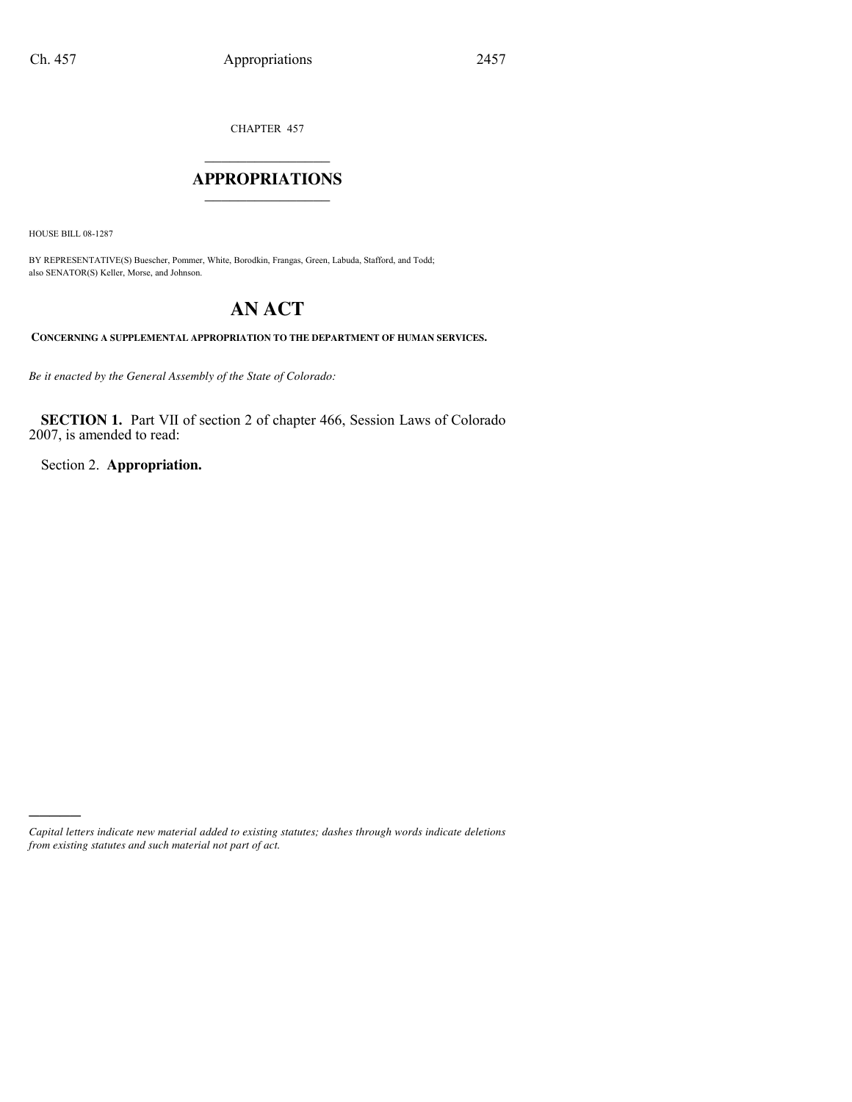CHAPTER 457

# $\mathcal{L}$  , we have the set of the set of the set of the set of the set of the set of the set of the set of the set of the set of the set of the set of the set of the set of the set of the set of the set of the set of the **APPROPRIATIONS** \_\_\_\_\_\_\_\_\_\_\_\_\_\_\_

HOUSE BILL 08-1287

)))))

BY REPRESENTATIVE(S) Buescher, Pommer, White, Borodkin, Frangas, Green, Labuda, Stafford, and Todd; also SENATOR(S) Keller, Morse, and Johnson.

# **AN ACT**

**CONCERNING A SUPPLEMENTAL APPROPRIATION TO THE DEPARTMENT OF HUMAN SERVICES.**

*Be it enacted by the General Assembly of the State of Colorado:*

**SECTION 1.** Part VII of section 2 of chapter 466, Session Laws of Colorado 2007, is amended to read:

Section 2. **Appropriation.**

*Capital letters indicate new material added to existing statutes; dashes through words indicate deletions from existing statutes and such material not part of act.*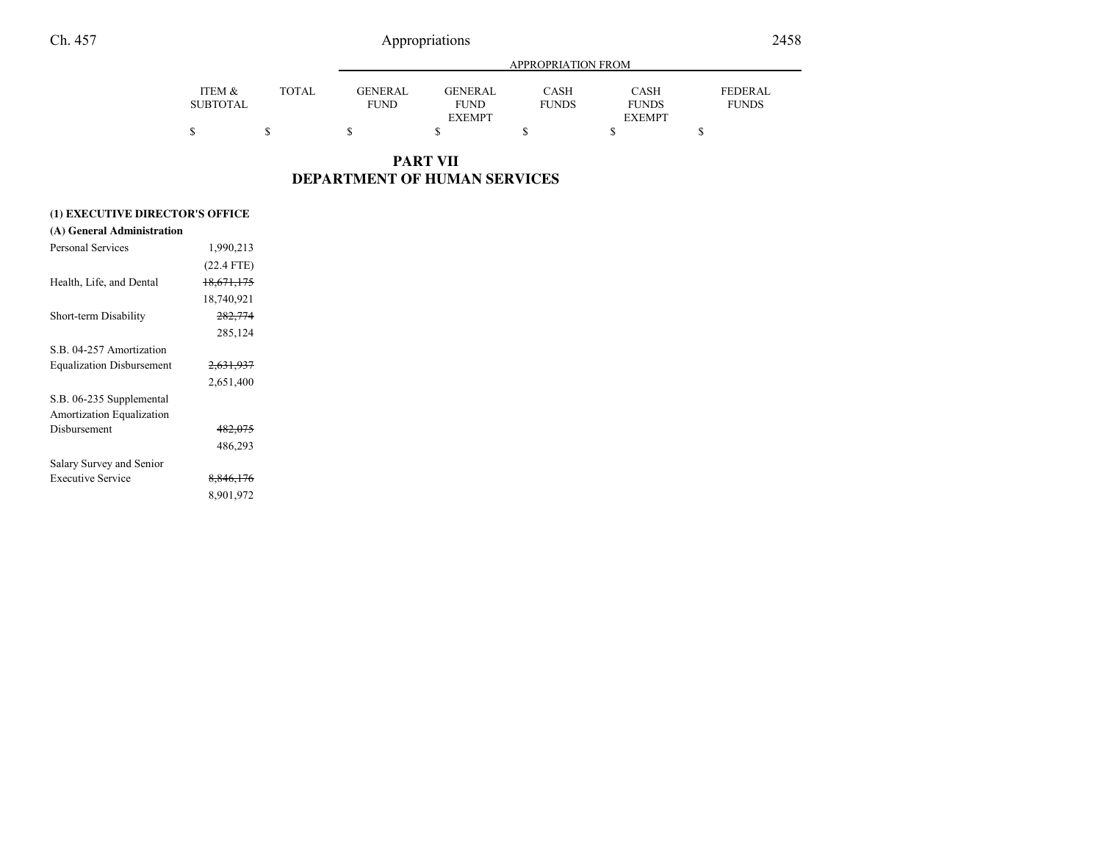|--|

|                 |              | APPROPRIATION FROM |                |              |               |                |  |
|-----------------|--------------|--------------------|----------------|--------------|---------------|----------------|--|
| ITEM &          | <b>TOTAL</b> | <b>GENERAL</b>     | <b>GENERAL</b> | CASH         | <b>CASH</b>   | <b>FEDERAL</b> |  |
| <b>SUBTOTAL</b> |              | <b>FUND</b>        | <b>FUND</b>    | <b>FUNDS</b> | <b>FUNDS</b>  | <b>FUNDS</b>   |  |
|                 |              |                    | <b>EXEMPT</b>  |              | <b>EXEMPT</b> |                |  |
|                 |              |                    |                |              |               |                |  |

**PART VII DEPARTMENT OF HUMAN SERVICES**

| (1) EXECUTIVE DIRECTOR'S OFFICE    |                      |  |  |  |  |
|------------------------------------|----------------------|--|--|--|--|
| (A) General Administration         |                      |  |  |  |  |
| Personal Services                  | 1,990,213            |  |  |  |  |
|                                    | $(22.4$ FTE)         |  |  |  |  |
| Health, Life, and Dental           | 18,671,175           |  |  |  |  |
|                                    | 18,740,921           |  |  |  |  |
| Short-term Disability              | 282,774              |  |  |  |  |
|                                    | 285,124              |  |  |  |  |
| S <sub>B</sub> 04-257 Amortization |                      |  |  |  |  |
| <b>Equalization Disbursement</b>   | <del>2,631,937</del> |  |  |  |  |
|                                    | 2,651,400            |  |  |  |  |
| S.B. 06-235 Supplemental           |                      |  |  |  |  |
| <b>Amortization Equalization</b>   |                      |  |  |  |  |
| Disbursement                       | 482,075              |  |  |  |  |
|                                    | 486,293              |  |  |  |  |
| Salary Survey and Senior           |                      |  |  |  |  |
| Executive Service                  | 8,846,176            |  |  |  |  |
|                                    | 8,901,972            |  |  |  |  |
|                                    |                      |  |  |  |  |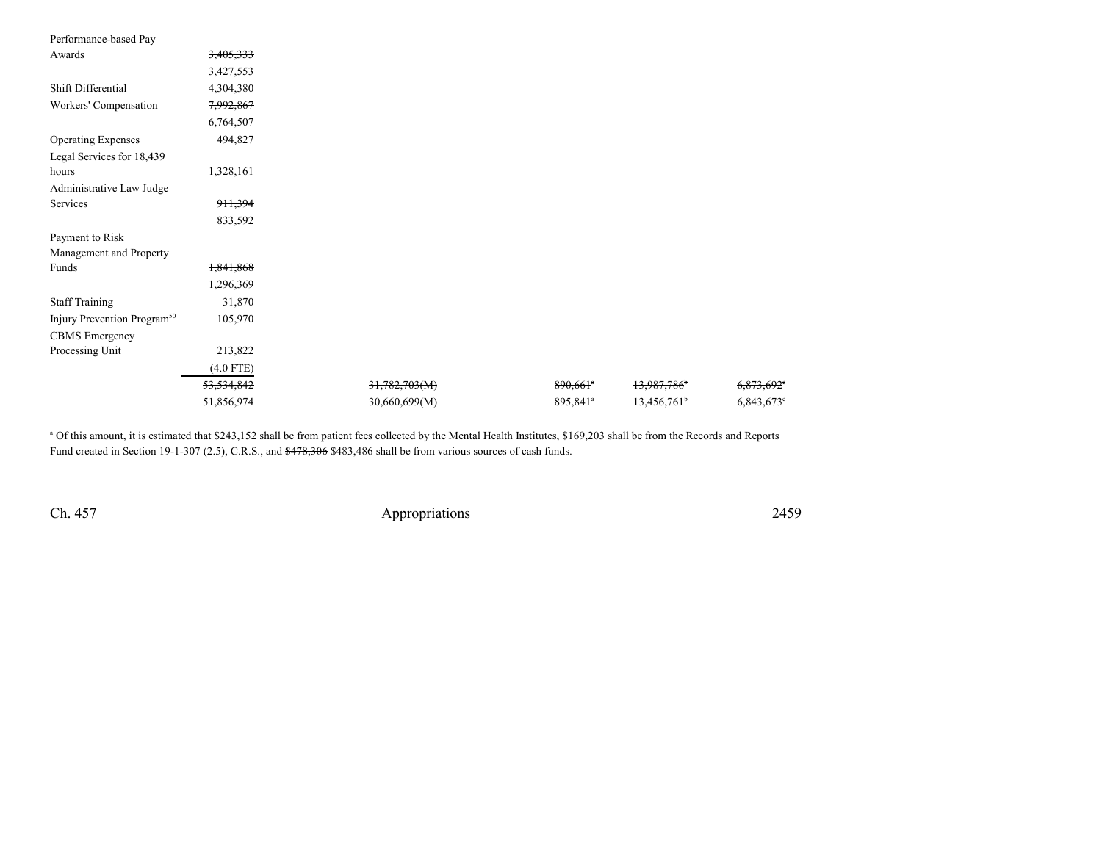| Performance-based Pay                   |             |               |                        |                         |                          |
|-----------------------------------------|-------------|---------------|------------------------|-------------------------|--------------------------|
| Awards                                  | 3,405,333   |               |                        |                         |                          |
|                                         | 3,427,553   |               |                        |                         |                          |
| Shift Differential                      | 4,304,380   |               |                        |                         |                          |
| Workers' Compensation                   | 7,992,867   |               |                        |                         |                          |
|                                         | 6,764,507   |               |                        |                         |                          |
| <b>Operating Expenses</b>               | 494,827     |               |                        |                         |                          |
| Legal Services for 18,439               |             |               |                        |                         |                          |
| hours                                   | 1,328,161   |               |                        |                         |                          |
| Administrative Law Judge                |             |               |                        |                         |                          |
| Services                                | 911,394     |               |                        |                         |                          |
|                                         | 833,592     |               |                        |                         |                          |
| Payment to Risk                         |             |               |                        |                         |                          |
| Management and Property                 |             |               |                        |                         |                          |
| Funds                                   | 1,841,868   |               |                        |                         |                          |
|                                         | 1,296,369   |               |                        |                         |                          |
| <b>Staff Training</b>                   | 31,870      |               |                        |                         |                          |
| Injury Prevention Program <sup>50</sup> | 105,970     |               |                        |                         |                          |
| <b>CBMS</b> Emergency                   |             |               |                        |                         |                          |
| Processing Unit                         | 213,822     |               |                        |                         |                          |
|                                         | $(4.0$ FTE) |               |                        |                         |                          |
|                                         | 53,534,842  | 31,782,703(M) | $890,661$ <sup>*</sup> | 13,987,786 <sup>b</sup> | $6,873,692$ <sup>e</sup> |
|                                         | 51,856,974  | 30,660,699(M) | 895,841 <sup>a</sup>   | $13,456,761^b$          | 6,843,673°               |
|                                         |             |               |                        |                         |                          |

<sup>a</sup> Of this amount, it is estimated that \$243,152 shall be from patient fees collected by the Mental Health Institutes, \$169,203 shall be from the Records and Reports Fund created in Section 19-1-307 (2.5), C.R.S., and  $$478,306$  \$483,486 shall be from various sources of cash funds.

Ch. 457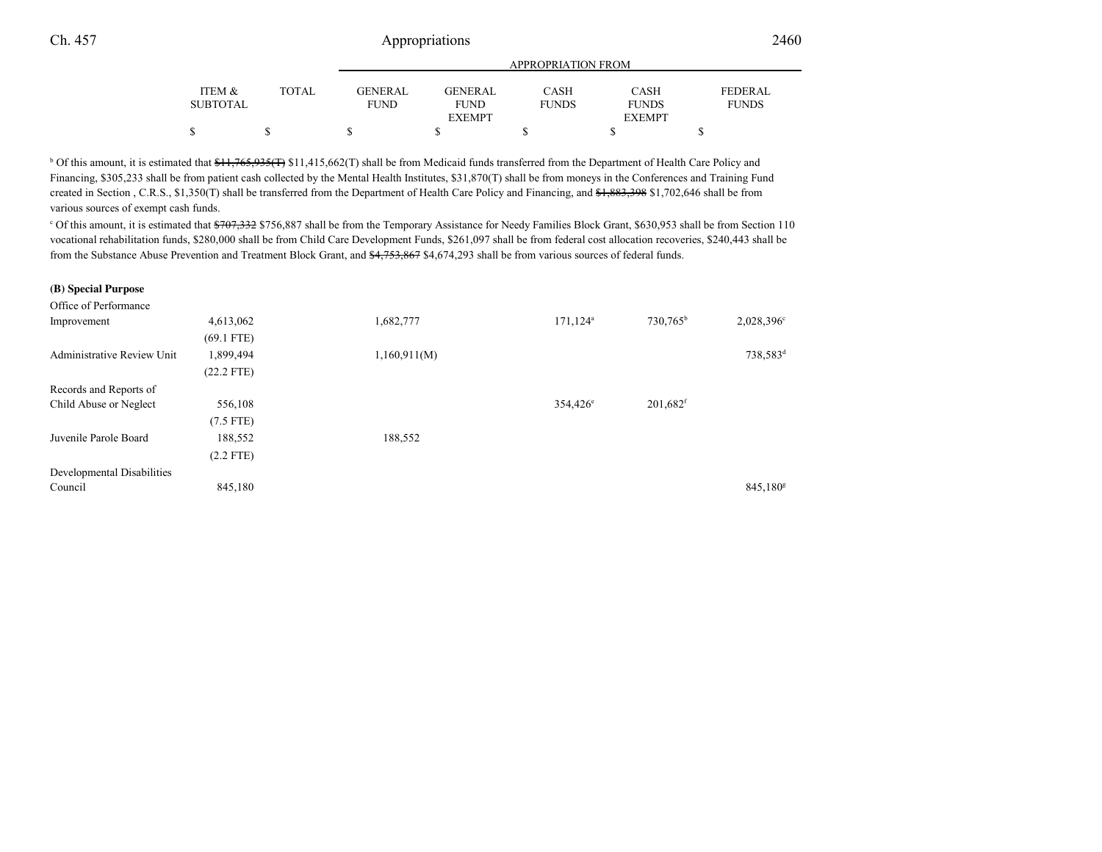|                 |        | APPROPRIATION FROM |                |              |               |                |  |
|-----------------|--------|--------------------|----------------|--------------|---------------|----------------|--|
| ITEM &          | TOTAL. | GENERAL            | <b>GENERAL</b> | CASH         | <b>CASH</b>   | <b>FEDERAL</b> |  |
| <b>SUBTOTAL</b> |        | <b>FUND</b>        | <b>FUND</b>    | <b>FUNDS</b> | <b>FUNDS</b>  | <b>FUNDS</b>   |  |
|                 |        |                    | <b>EXEMPT</b>  |              | <b>EXEMPT</b> |                |  |
|                 |        |                    |                |              |               |                |  |

<sup>b</sup> Of this amount, it is estimated that \$11,765,935(<del>T</del>) \$11,415,662(T) shall be from Medicaid funds transferred from the Department of Health Care Policy and Financing, \$305,233 shall be from patient cash collected by the Mental Health Institutes, \$31,870(T) shall be from moneys in the Conferences and Training Fundcreated in Section , C.R.S., \$1,350(T) shall be transferred from the Department of Health Care Policy and Financing, and \$1,883,398 \$1,702,646 shall be from various sources of exempt cash funds.

<sup>c</sup> Of this amount, it is estimated that  $\frac{4707,332}{756,887}$  shall be from the Temporary Assistance for Needy Families Block Grant, \$630,953 shall be from Section 110 vocational rehabilitation funds, \$280,000 shall be from Child Care Development Funds, \$261,097 shall be from federal cost allocation recoveries, \$240,443 shall befrom the Substance Abuse Prevention and Treatment Block Grant, and \$4,753,867 \$4,674,293 shall be from various sources of federal funds.

#### **(B) Special Purpose**

| Office of Performance             |              |              |                         |                        |                      |
|-----------------------------------|--------------|--------------|-------------------------|------------------------|----------------------|
| Improvement                       | 4,613,062    | 1,682,777    | $171, 124$ <sup>a</sup> | 730,765 <sup>b</sup>   | $2,028,396^{\circ}$  |
|                                   | $(69.1$ FTE) |              |                         |                        |                      |
| <b>Administrative Review Unit</b> | 1,899,494    | 1,160,911(M) |                         |                        | 738,583 <sup>d</sup> |
|                                   | $(22.2$ FTE) |              |                         |                        |                      |
| Records and Reports of            |              |              |                         |                        |                      |
| Child Abuse or Neglect            | 556,108      |              | $354,426^{\circ}$       | $201,682$ <sup>f</sup> |                      |
|                                   | $(7.5$ FTE)  |              |                         |                        |                      |
| Juvenile Parole Board             | 188,552      | 188,552      |                         |                        |                      |
|                                   | $(2.2$ FTE)  |              |                         |                        |                      |
| Developmental Disabilities        |              |              |                         |                        |                      |
| Council                           | 845,180      |              |                         |                        | $845,180^8$          |
|                                   |              |              |                         |                        |                      |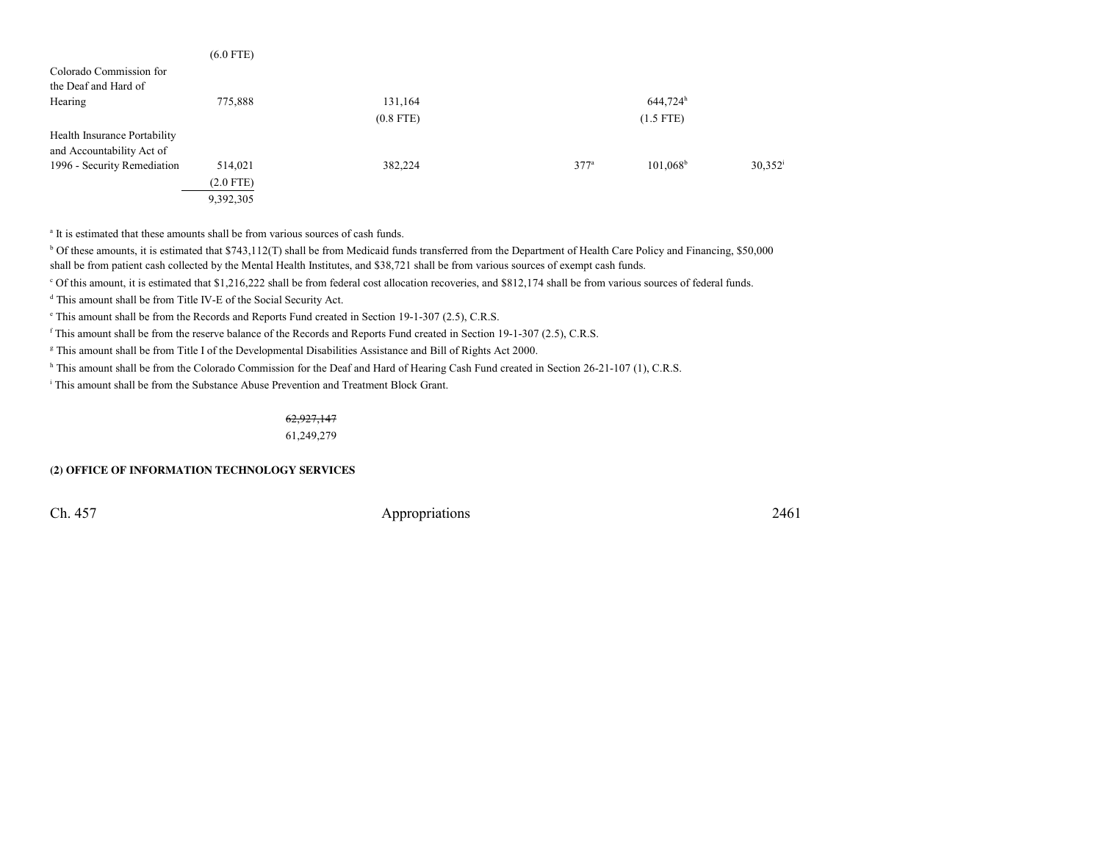|                              | $(6.0$ FTE) |             |                  |                   |                  |
|------------------------------|-------------|-------------|------------------|-------------------|------------------|
| Colorado Commission for      |             |             |                  |                   |                  |
| the Deaf and Hard of         |             |             |                  |                   |                  |
| Hearing                      | 775,888     | 131,164     |                  | $644,724^h$       |                  |
|                              |             | $(0.8$ FTE) |                  | $(1.5$ FTE)       |                  |
| Health Insurance Portability |             |             |                  |                   |                  |
| and Accountability Act of    |             |             |                  |                   |                  |
| 1996 - Security Remediation  | 514,021     | 382,224     | 377 <sup>a</sup> | $101,068^{\rm b}$ | $30.352^{\rm i}$ |
|                              | $(2.0$ FTE) |             |                  |                   |                  |
|                              | 9,392,305   |             |                  |                   |                  |

<sup>a</sup> It is estimated that these amounts shall be from various sources of cash funds.

<sup>b</sup> Of these amounts, it is estimated that \$743,112(T) shall be from Medicaid funds transferred from the Department of Health Care Policy and Financing, \$50,000 shall be from patient cash collected by the Mental Health Institutes, and \$38,721 shall be from various sources of exempt cash funds.

c Of this amount, it is estimated that \$1,216,222 shall be from federal cost allocation recoveries, and \$812,174 shall be from various sources of federal funds.

<sup>d</sup> This amount shall be from Title IV-E of the Social Security Act.

e This amount shall be from the Records and Reports Fund created in Section 19-1-307 (2.5), C.R.S.

<sup>f</sup> This amount shall be from the reserve balance of the Records and Reports Fund created in Section 19-1-307 (2.5), C.R.S.

g This amount shall be from Title I of the Developmental Disabilities Assistance and Bill of Rights Act 2000.

h This amount shall be from the Colorado Commission for the Deaf and Hard of Hearing Cash Fund created in Section 26-21-107 (1), C.R.S.

<sup>i</sup> This amount shall be from the Substance Abuse Prevention and Treatment Block Grant.

## 62,927,147

61,249,279

## **(2) OFFICE OF INFORMATION TECHNOLOGY SERVICES**

Ch. 457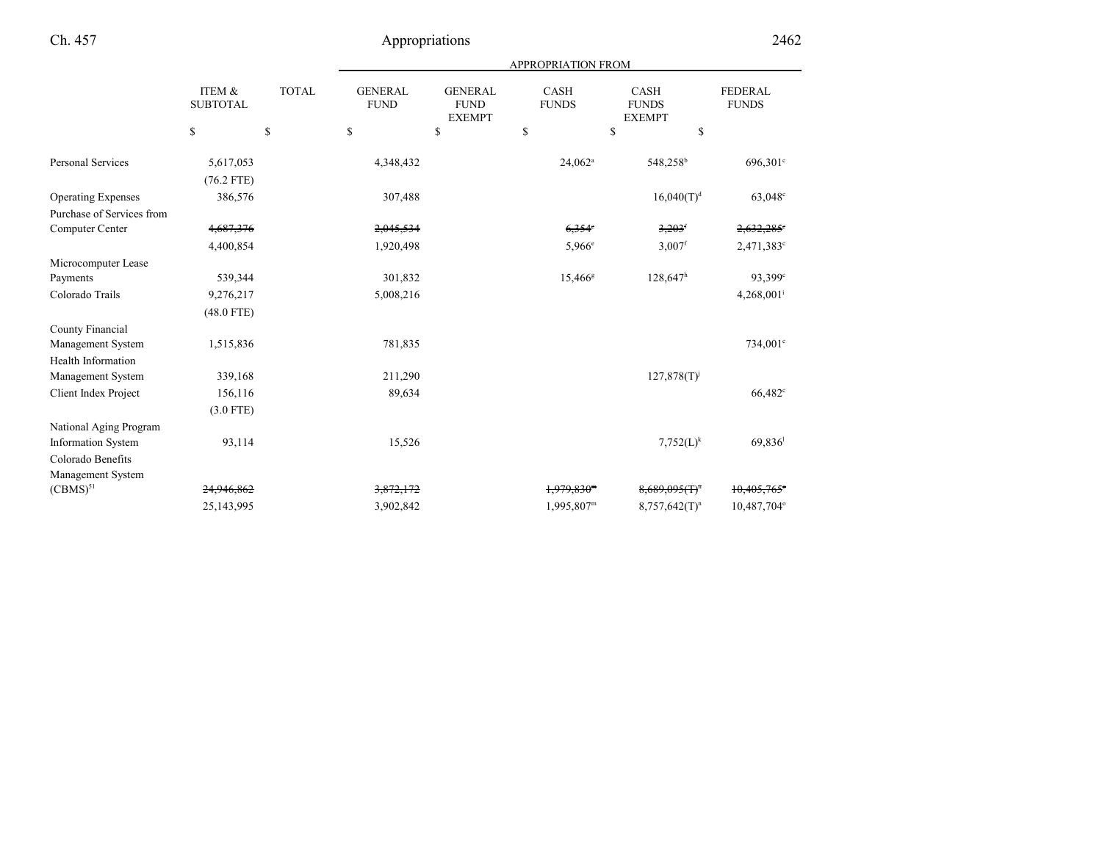|                           |                                             |              |                                             |                                                | <b>APPROPRIATION FROM</b>   |                                              |                                |
|---------------------------|---------------------------------------------|--------------|---------------------------------------------|------------------------------------------------|-----------------------------|----------------------------------------------|--------------------------------|
|                           | <b>ITEM &amp;</b><br><b>SUBTOTAL</b>        | <b>TOTAL</b> | <b>GENERAL</b><br><b>FUND</b>               | <b>GENERAL</b><br><b>FUND</b><br><b>EXEMPT</b> | <b>CASH</b><br><b>FUNDS</b> | <b>CASH</b><br><b>FUNDS</b><br><b>EXEMPT</b> | <b>FEDERAL</b><br><b>FUNDS</b> |
|                           | $\mathbb{S}% _{n}^{X\rightarrow\mathbb{R}}$ | \$           | $\mathbb{S}% _{n}^{X\rightarrow\mathbb{R}}$ | \$                                             | \$                          | \$<br>\$                                     |                                |
| <b>Personal Services</b>  | 5,617,053<br>$(76.2$ FTE)                   |              | 4,348,432                                   |                                                | $24,062^a$                  | 548,258 <sup>b</sup>                         | 696,301°                       |
| <b>Operating Expenses</b> | 386,576                                     |              | 307,488                                     |                                                |                             | 16,040(T) <sup>d</sup>                       | $63,048^{\circ}$               |
| Purchase of Services from |                                             |              |                                             |                                                |                             |                                              |                                |
| Computer Center           | 4,687,376                                   |              | 2,045,534                                   |                                                | $6,354$ <sup>c</sup>        | $3,203$ <sup>f</sup>                         | $2,632,285$ °                  |
|                           | 4,400,854                                   |              | 1,920,498                                   |                                                | 5.966e                      | $3,007$ <sup>f</sup>                         | 2,471,383°                     |
| Microcomputer Lease       |                                             |              |                                             |                                                |                             |                                              |                                |
| Payments                  | 539,344                                     |              | 301,832                                     |                                                | 15,466 <sup>g</sup>         | $128,647$ <sup>h</sup>                       | 93,399 <sup>c</sup>            |
| Colorado Trails           | 9,276,217                                   |              | 5,008,216                                   |                                                |                             |                                              | $4,268,001$ <sup>i</sup>       |
|                           | $(48.0$ FTE)                                |              |                                             |                                                |                             |                                              |                                |
| County Financial          |                                             |              |                                             |                                                |                             |                                              |                                |
| Management System         | 1,515,836                                   |              | 781,835                                     |                                                |                             |                                              | 734,001 <sup>c</sup>           |
| Health Information        |                                             |              |                                             |                                                |                             |                                              |                                |
| Management System         | 339,168                                     |              | 211,290                                     |                                                |                             | 127,878(T)                                   |                                |
| Client Index Project      | 156,116                                     |              | 89,634                                      |                                                |                             |                                              | 66,482 <sup>c</sup>            |
|                           | $(3.0$ FTE)                                 |              |                                             |                                                |                             |                                              |                                |
| National Aging Program    |                                             |              |                                             |                                                |                             |                                              |                                |
| <b>Information System</b> | 93,114                                      |              | 15,526                                      |                                                |                             | $7,752(L)^k$                                 | 69,836                         |
| Colorado Benefits         |                                             |              |                                             |                                                |                             |                                              |                                |
| Management System         |                                             |              |                                             |                                                |                             |                                              |                                |
| $(CBMS)^{51}$             | 24,946,862                                  |              | 3,872,172                                   |                                                | $1,979,830$ <sup>m</sup>    | $8,689,095$ (T) <sup>n</sup>                 | 10,405,765                     |
|                           | 25,143,995                                  |              | 3,902,842                                   |                                                | 1,995,807m                  | $8,757,642(T)^n$                             | 10,487,704°                    |
|                           |                                             |              |                                             |                                                |                             |                                              |                                |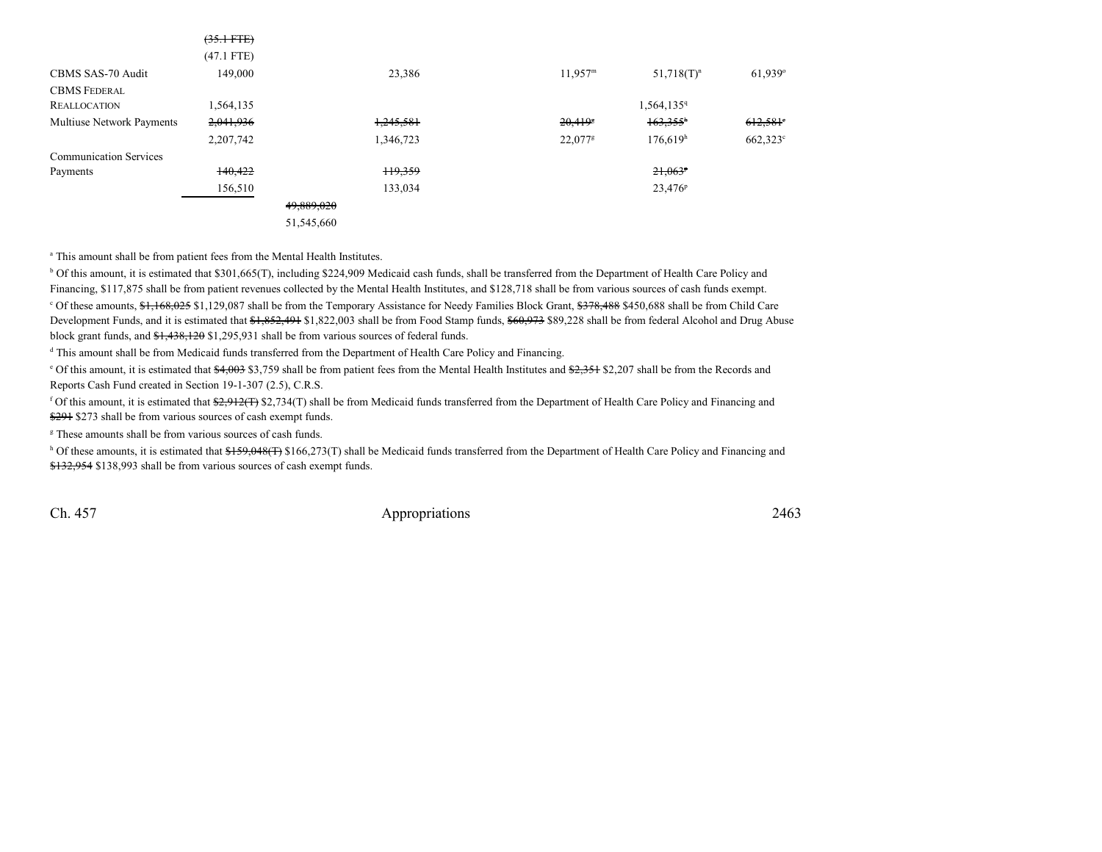|                               | $(35.1 \text{ FTE})$ |            |                    |                     |                      |                        |
|-------------------------------|----------------------|------------|--------------------|---------------------|----------------------|------------------------|
|                               | $(47.1$ FTE)         |            |                    |                     |                      |                        |
| CBMS SAS-70 Audit             | 149,000              |            | 23,386             | 11,957 <sup>m</sup> | $51,718(T)^n$        | $61,939^\circ$         |
| <b>CBMS FEDERAL</b>           |                      |            |                    |                     |                      |                        |
| <b>REALLOCATION</b>           | 1,564,135            |            |                    |                     | 1,564,1359           |                        |
| Multiuse Network Payments     | 2,041,936            |            | 1,245,581          | 20,4195             | $163,355^h$          | $612,581$ <sup>e</sup> |
|                               | 2,207,742            |            | 1,346,723          | 22,077 <sup>g</sup> | 176,619 <sup>h</sup> | $662,323^{\circ}$      |
| <b>Communication Services</b> |                      |            |                    |                     |                      |                        |
| Payments                      | 140,422              |            | <del>119,359</del> |                     | $21,063^p$           |                        |
|                               | 156,510              |            | 133,034            |                     | $23,476^{\rm p}$     |                        |
|                               |                      | 49,889,020 |                    |                     |                      |                        |
|                               |                      | 51,545,660 |                    |                     |                      |                        |

<sup>a</sup> This amount shall be from patient fees from the Mental Health Institutes.

<sup>b</sup> Of this amount, it is estimated that \$301,665(T), including \$224,909 Medicaid cash funds, shall be transferred from the Department of Health Care Policy and Financing, \$117,875 shall be from patient revenues collected by the Mental Health Institutes, and \$128,718 shall be from various sources of cash funds exempt.

<sup>c</sup> Of these amounts, \$1,168,025 \$1,129,087 shall be from the Temporary Assistance for Needy Families Block Grant, \$378,488 \$450,688 shall be from Child Care Development Funds, and it is estimated that  $\frac{61,852,491}{1,822,003}$  shall be from Food Stamp funds,  $\frac{60,973}{1,822,8}$  shall be from federal Alcohol and Drug Abuse block grant funds, and \$1,438,120 \$1,295,931 shall be from various sources of federal funds.

<sup>d</sup> This amount shall be from Medicaid funds transferred from the Department of Health Care Policy and Financing.

<sup>e</sup> Of this amount, it is estimated that \$4,003 \$3,759 shall be from patient fees from the Mental Health Institutes and \$2,351 \$2,207 shall be from the Records and Reports Cash Fund created in Section 19-1-307 (2.5), C.R.S.

f Of this amount, it is estimated that  $\frac{2,912(T)}{2,734(T)}$  shall be from Medicaid funds transferred from the Department of Health Care Policy and Financing and \$291 \$273 shall be from various sources of cash exempt funds.

<sup>g</sup> These amounts shall be from various sources of cash funds.

h Of these amounts, it is estimated that \$159,048(T) \$166,273(T) shall be Medicaid funds transferred from the Department of Health Care Policy and Financing and \$132,954 \$138,993 shall be from various sources of cash exempt funds.

Ch. 457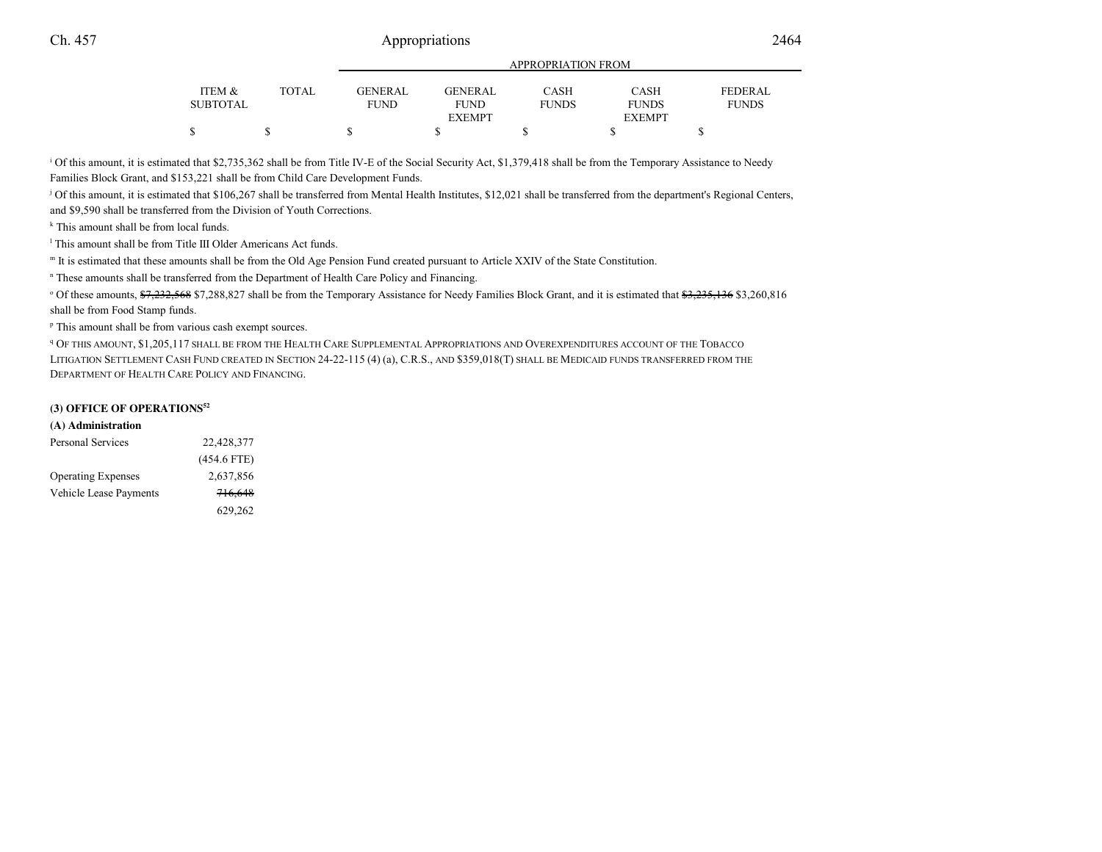|                   |       | <u>IN LIWE KEILON LIWEN</u> |                |              |               |                |
|-------------------|-------|-----------------------------|----------------|--------------|---------------|----------------|
| <b>ITEM &amp;</b> | TOTAL | <b>GENERAL</b>              | <b>GENERAL</b> | CASH         | <b>CASH</b>   | <b>FEDERAL</b> |
| SUBTOTAL          |       | <b>FUND</b>                 | <b>FUND</b>    | <b>FUNDS</b> | <b>FUNDS</b>  | <b>FUNDS</b>   |
|                   |       |                             | <b>EXEMPT</b>  |              | <b>EXEMPT</b> |                |
|                   |       |                             |                |              |               |                |
|                   |       |                             |                |              |               |                |

APPROPRIATION FROM

<sup>i</sup> Of this amount, it is estimated that \$2,735,362 shall be from Title IV-E of the Social Security Act, \$1,379,418 shall be from the Temporary Assistance to Needy Families Block Grant, and \$153,221 shall be from Child Care Development Funds.

j Of this amount, it is estimated that \$106,267 shall be transferred from Mental Health Institutes, \$12,021 shall be transferred from the department's Regional Centers,and \$9,590 shall be transferred from the Division of Youth Corrections.

<sup>k</sup> This amount shall be from local funds.

<sup>1</sup> This amount shall be from Title III Older Americans Act funds.

m It is estimated that these amounts shall be from the Old Age Pension Fund created pursuant to Article XXIV of the State Constitution.

n These amounts shall be transferred from the Department of Health Care Policy and Financing.

<sup>o</sup> Of these amounts, \$7,232,568 \$7,288,827 shall be from the Temporary Assistance for Needy Families Block Grant, and it is estimated that \$3,255,136 \$3,260,816 shall be from Food Stamp funds.

p This amount shall be from various cash exempt sources.

<sup>q</sup> Of this amount, \$1,205,117 shall be from the Health Care Supplemental Appropriations and Overexpenditures account of the Tobacco LITIGATION SETTLEMENT CASH FUND CREATED IN SECTION 24-22-115 (4) (a), C.R.S., AND \$359,018(T) SHALL BE MEDICAID FUNDS TRANSFERRED FROM THE DEPARTMENT OF HEALTH CARE POLICY AND FINANCING.

## **(3) OFFICE OF OPERATIONS<sup>52</sup>**

#### **(A) Administration**

| <b>Personal Services</b>  | 22,428,377    |
|---------------------------|---------------|
|                           | $(454.6$ FTE) |
| <b>Operating Expenses</b> | 2,637,856     |
| Vehicle Lease Payments    | 716,648       |
|                           | 629,262       |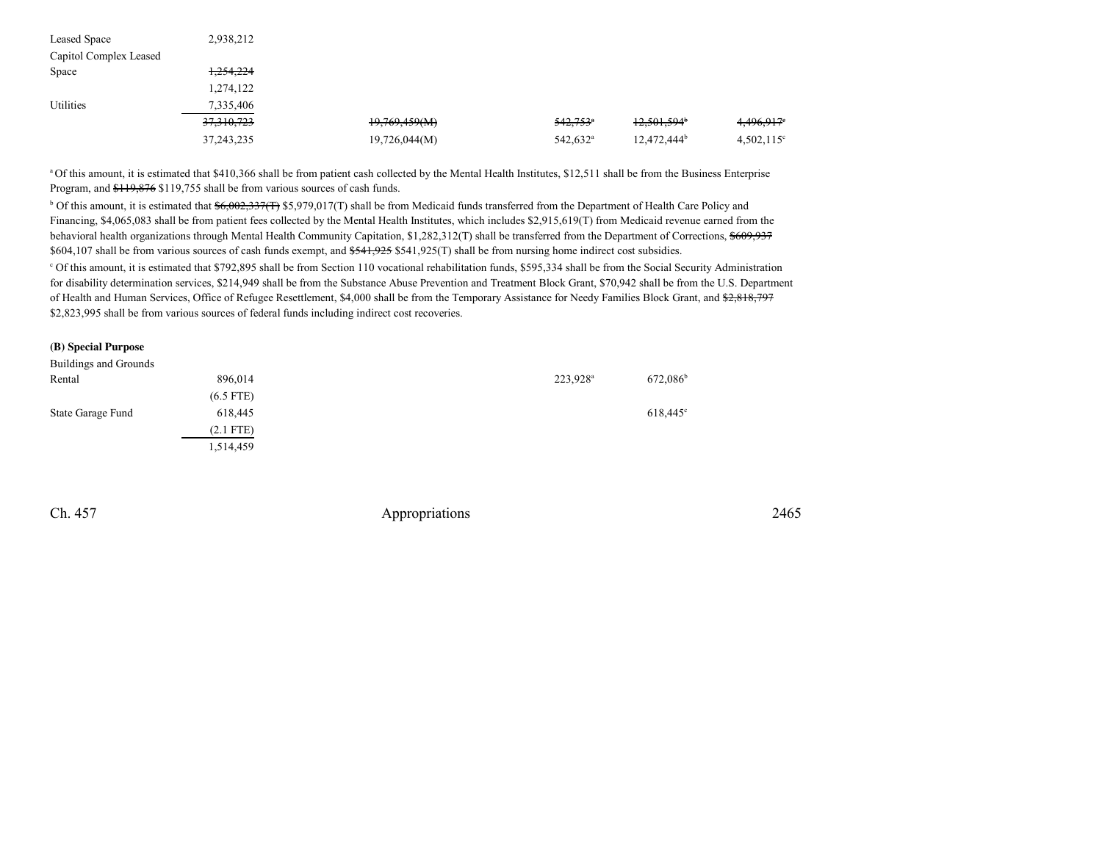| Leased Space           | 2,938,212             |               |                        |                           |                        |
|------------------------|-----------------------|---------------|------------------------|---------------------------|------------------------|
| Capitol Complex Leased |                       |               |                        |                           |                        |
| Space                  | 1,254,224             |               |                        |                           |                        |
|                        | 1,274,122             |               |                        |                           |                        |
| Utilities              | 7,335,406             |               |                        |                           |                        |
|                        | <del>37,310,723</del> | 19,769,459(M) | $542,753$ <sup>a</sup> | $12,501,594$ <sup>b</sup> | 4,496,917 <sup>e</sup> |
|                        | 37, 243, 235          | 19,726,044(M) | 542,632 <sup>a</sup>   | $12,472,444^b$            | $4,502,115^{\circ}$    |

<sup>a</sup> Of this amount, it is estimated that \$410,366 shall be from patient cash collected by the Mental Health Institutes, \$12,511 shall be from the Business Enterprise Program, and \$119,876 \$119,755 shall be from various sources of cash funds.

<sup>b</sup> Of this amount, it is estimated that  $\frac{$6,002,337(T) $5,979,017(T) $$  shall be from Medicaid funds transferred from the Department of Health Care Policy and Financing, \$4,065,083 shall be from patient fees collected by the Mental Health Institutes, which includes \$2,915,619(T) from Medicaid revenue earned from thebehavioral health organizations through Mental Health Community Capitation, \$1,282,312(T) shall be transferred from the Department of Corrections, \$609,937 \$604,107 shall be from various sources of cash funds exempt, and \$541,925 \$541,925(T) shall be from nursing home indirect cost subsidies.c Of this amount, it is estimated that \$792,895 shall be from Section 110 vocational rehabilitation funds, \$595,334 shall be from the Social Security Administration

 for disability determination services, \$214,949 shall be from the Substance Abuse Prevention and Treatment Block Grant, \$70,942 shall be from the U.S. Departmentof Health and Human Services, Office of Refugee Resettlement, \$4,000 shall be from the Temporary Assistance for Needy Families Block Grant, and \$2,818,797 \$2,823,995 shall be from various sources of federal funds including indirect cost recoveries.

#### **(B) Special Purpose**

| Buildings and Grounds |             |                      |                   |
|-----------------------|-------------|----------------------|-------------------|
| Rental                | 896,014     | 223,928 <sup>a</sup> | $672,086^{\rm b}$ |
|                       | $(6.5$ FTE) |                      |                   |
| State Garage Fund     | 618,445     |                      | $618,445^{\circ}$ |
|                       | $(2.1$ FTE) |                      |                   |
|                       | 1,514,459   |                      |                   |

Ch. 457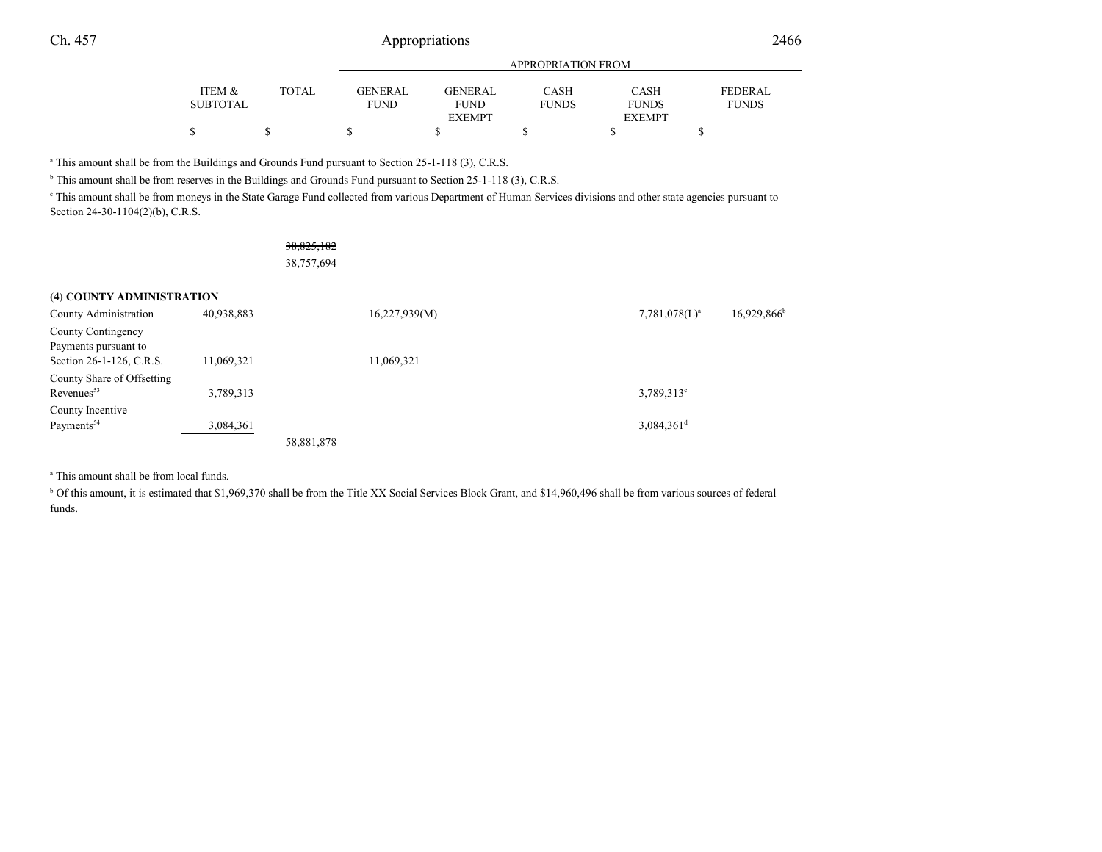|                 |        | APPROPRIATION FROM |               |              |               |                |  |  |
|-----------------|--------|--------------------|---------------|--------------|---------------|----------------|--|--|
| ITEM &          | TOTAL. | GENERAL            | GENERAL       | <b>CASH</b>  | <b>CASH</b>   | <b>FEDERAL</b> |  |  |
| <b>SUBTOTAL</b> |        | <b>FUND</b>        | <b>FUND</b>   | <b>FUNDS</b> | <b>FUNDS</b>  | <b>FUNDS</b>   |  |  |
|                 |        |                    | <b>EXEMPT</b> |              | <b>EXEMPT</b> |                |  |  |
|                 |        | \$                 |               |              |               |                |  |  |

a This amount shall be from the Buildings and Grounds Fund pursuant to Section 25-1-118 (3), C.R.S.

<sup>b</sup> This amount shall be from reserves in the Buildings and Grounds Fund pursuant to Section 25-1-118 (3), C.R.S.

This amount shall be from moneys in the State Garage Fund collected from various Department of Human Services divisions and other state agencies pursuant to Section 24-30-1104(2)(b), C.R.S.

> 38,825,18238,757,694

## **(4) COUNTY ADMINISTRATION**

| County Administration      | 40,938,883 |            | 16,227,939(M) | $7,781,078(L)^a$         | $16,929,866$ <sup>b</sup> |
|----------------------------|------------|------------|---------------|--------------------------|---------------------------|
| County Contingency         |            |            |               |                          |                           |
| Payments pursuant to       |            |            |               |                          |                           |
| Section 26-1-126, C.R.S.   | 11,069,321 |            | 11,069,321    |                          |                           |
| County Share of Offsetting |            |            |               |                          |                           |
| Revenues <sup>53</sup>     | 3,789,313  |            |               | $3,789,313^{\circ}$      |                           |
| County Incentive           |            |            |               |                          |                           |
| Payments <sup>54</sup>     | 3,084,361  |            |               | $3,084,361$ <sup>d</sup> |                           |
|                            |            | 58,881,878 |               |                          |                           |

<sup>a</sup> This amount shall be from local funds.

<sup>b</sup> Of this amount, it is estimated that \$1,969,370 shall be from the Title XX Social Services Block Grant, and \$14,960,496 shall be from various sources of federal funds.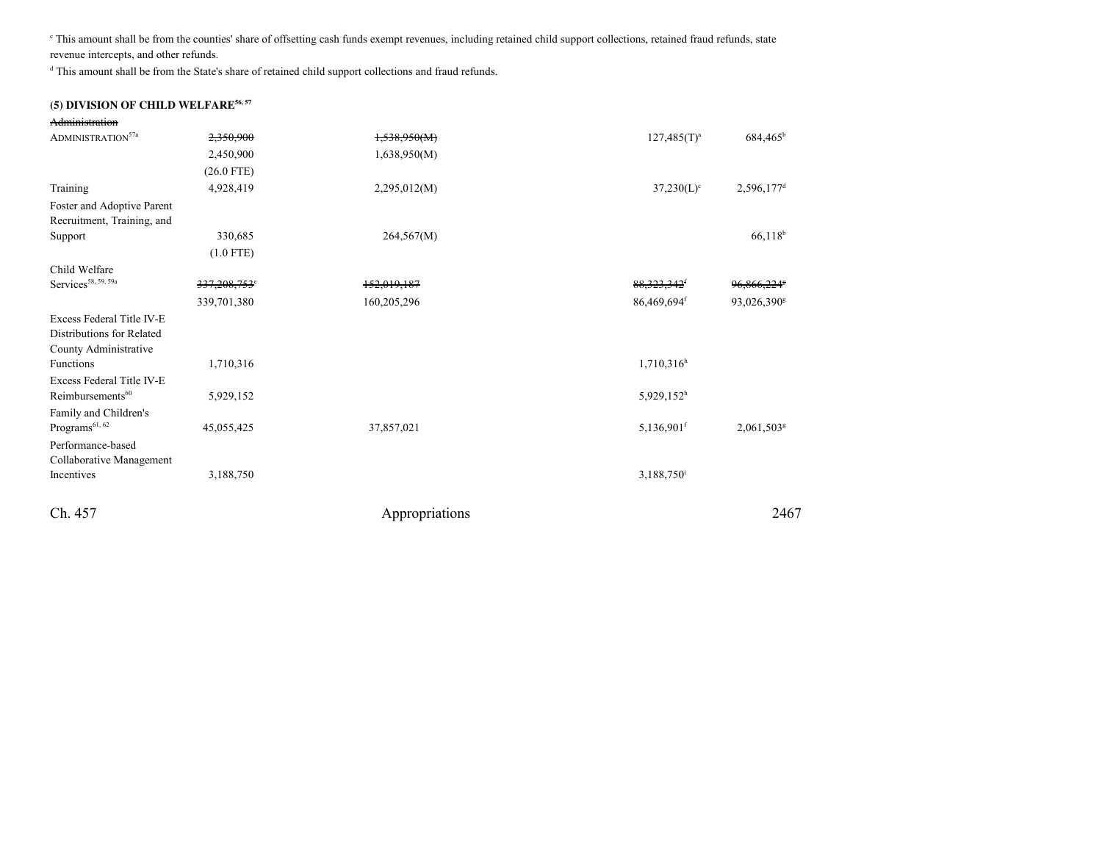c This amount shall be from the counties' share of offsetting cash funds exempt revenues, including retained child support collections, retained fraud refunds, staterevenue intercepts, and other refunds.

<sup>d</sup> This amount shall be from the State's share of retained child support collections and fraud refunds.

## **(5) DIVISION OF CHILD WELFARE56, 57**

| Administration                  |                          |                |                           |                          |
|---------------------------------|--------------------------|----------------|---------------------------|--------------------------|
| ADMINISTRATION <sup>57a</sup>   | 2,350,900                | 1,538,950(M)   | $127,485(T)^a$            | 684,465 <sup>b</sup>     |
|                                 | 2,450,900                | 1,638,950(M)   |                           |                          |
|                                 | $(26.0$ FTE)             |                |                           |                          |
| Training                        | 4,928,419                | 2,295,012(M)   | $37,230(L)$ °             | 2,596,177 <sup>d</sup>   |
| Foster and Adoptive Parent      |                          |                |                           |                          |
| Recruitment, Training, and      |                          |                |                           |                          |
| Support                         | 330,685                  | 264,567(M)     |                           | 66,118 <sup>b</sup>      |
|                                 | $(1.0$ FTE)              |                |                           |                          |
| Child Welfare                   |                          |                |                           |                          |
| Services <sup>58, 59, 59a</sup> | 337,208,753 <sup>e</sup> | 152,019,187    | 88, 323, 342 <sup>f</sup> | 96.866.224               |
|                                 | 339,701,380              | 160,205,296    | $86,469,694$ <sup>f</sup> | 93,026,390 <sup>g</sup>  |
| Excess Federal Title IV-E       |                          |                |                           |                          |
| Distributions for Related       |                          |                |                           |                          |
| County Administrative           |                          |                |                           |                          |
| Functions                       | 1,710,316                |                | $1,710,316^h$             |                          |
| Excess Federal Title IV-E       |                          |                |                           |                          |
| Reimbursements <sup>60</sup>    | 5,929,152                |                | 5,929,152 <sup>h</sup>    |                          |
| Family and Children's           |                          |                |                           |                          |
| Programs <sup>61, 62</sup>      | 45,055,425               | 37,857,021     | $5,136,901$ <sup>f</sup>  | $2,061,503$ <sup>g</sup> |
| Performance-based               |                          |                |                           |                          |
| Collaborative Management        |                          |                |                           |                          |
| Incentives                      | 3,188,750                |                | $3,188,750$ <sup>i</sup>  |                          |
| Ch. 457                         |                          | Appropriations |                           | 2467                     |
|                                 |                          |                |                           |                          |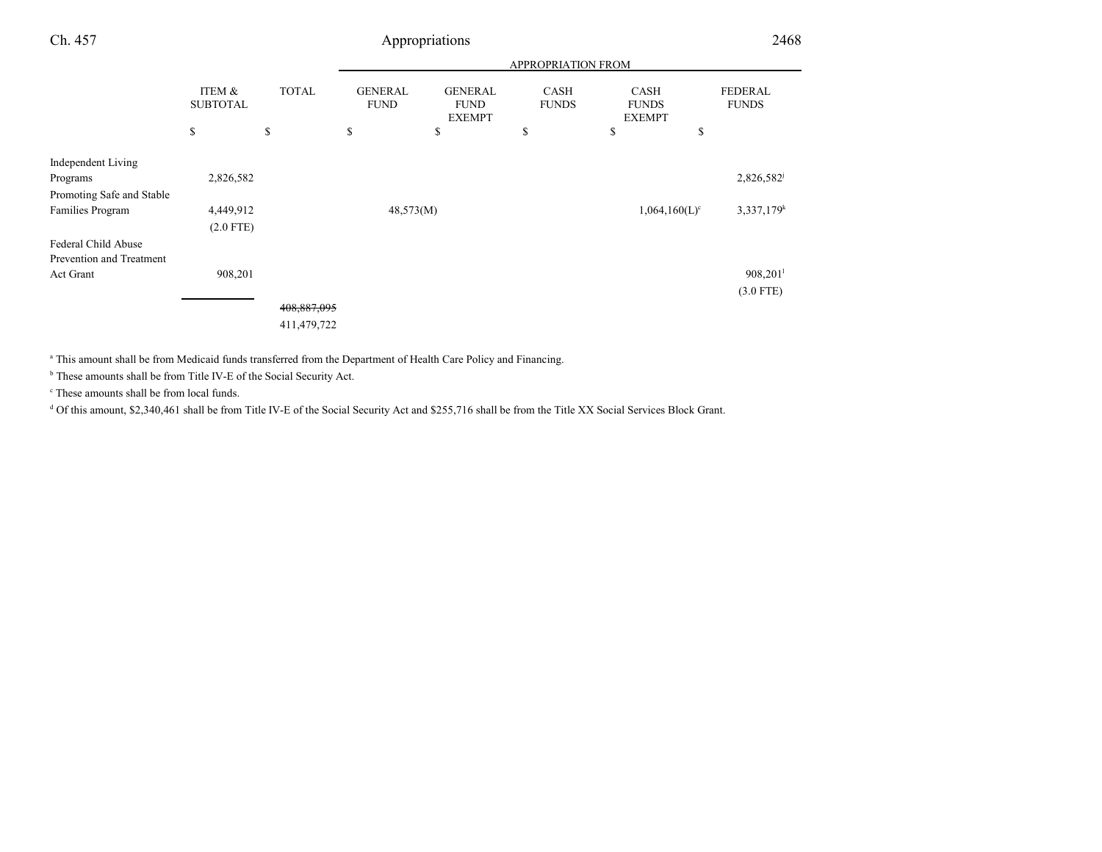| Ch. 457                         |              | Appropriations                |                                                |                             |                                              |                                |                        |
|---------------------------------|--------------|-------------------------------|------------------------------------------------|-----------------------------|----------------------------------------------|--------------------------------|------------------------|
|                                 |              |                               |                                                |                             | APPROPRIATION FROM                           |                                |                        |
| ITEM &<br><b>SUBTOTAL</b><br>\$ | <b>TOTAL</b> | <b>GENERAL</b><br><b>FUND</b> | <b>GENERAL</b><br><b>FUND</b><br><b>EXEMPT</b> | <b>CASH</b><br><b>FUNDS</b> | <b>CASH</b><br><b>FUNDS</b><br><b>EXEMPT</b> | <b>FEDERAL</b><br><b>FUNDS</b> |                        |
|                                 |              | \$                            | \$                                             | \$                          | \$                                           | \$                             | \$                     |
| Independent Living              |              |                               |                                                |                             |                                              |                                |                        |
| Programs                        | 2,826,582    |                               |                                                |                             |                                              |                                | 2,826,582              |
| Promoting Safe and Stable       |              |                               |                                                |                             |                                              |                                |                        |
| Families Program                | 4,449,912    |                               | 48,573(M)                                      |                             |                                              | $1,064,160(L)^c$               | 3,337,179 <sup>k</sup> |
|                                 | $(2.0$ FTE)  |                               |                                                |                             |                                              |                                |                        |
| Federal Child Abuse             |              |                               |                                                |                             |                                              |                                |                        |
| Prevention and Treatment        |              |                               |                                                |                             |                                              |                                |                        |
| Act Grant                       | 908,201      |                               |                                                |                             |                                              |                                | $908,201$ <sup>1</sup> |
|                                 |              |                               |                                                |                             |                                              |                                | $(3.0$ FTE)            |
|                                 |              | 408,887,095                   |                                                |                             |                                              |                                |                        |
|                                 |              | 411,479,722                   |                                                |                             |                                              |                                |                        |

a This amount shall be from Medicaid funds transferred from the Department of Health Care Policy and Financing.

<sup>b</sup> These amounts shall be from Title IV-E of the Social Security Act.

c These amounts shall be from local funds.

<sup>d</sup> Of this amount, \$2,340,461 shall be from Title IV-E of the Social Security Act and \$255,716 shall be from the Title XX Social Services Block Grant.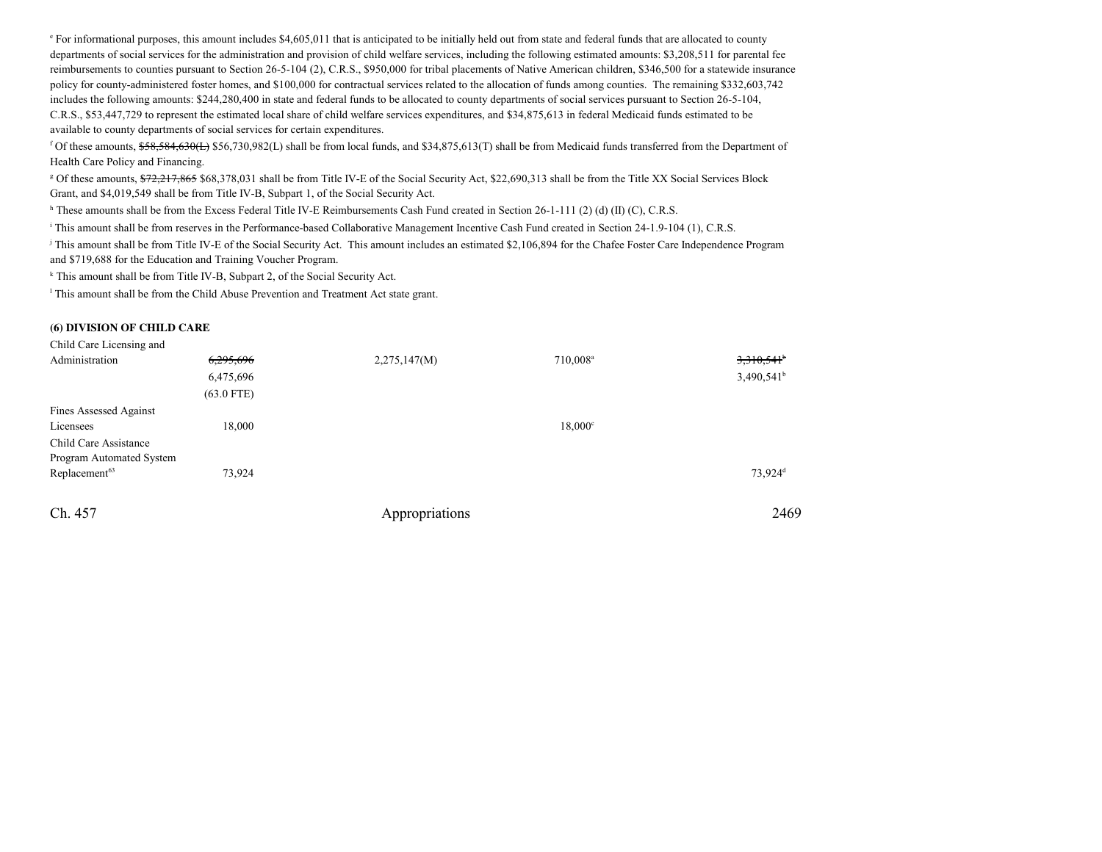<sup>e</sup> For informational purposes, this amount includes \$4,605,011 that is anticipated to be initially held out from state and federal funds that are allocated to county departments of social services for the administration and provision of child welfare services, including the following estimated amounts: \$3,208,511 for parental fee reimbursements to counties pursuant to Section 26-5-104 (2), C.R.S., \$950,000 for tribal placements of Native American children, \$346,500 for a statewide insurancepolicy for county-administered foster homes, and \$100,000 for contractual services related to the allocation of funds among counties. The remaining \$332,603,742includes the following amounts: \$244,280,400 in state and federal funds to be allocated to county departments of social services pursuant to Section 26-5-104,C.R.S., \$53,447,729 to represent the estimated local share of child welfare services expenditures, and \$34,875,613 in federal Medicaid funds estimated to beavailable to county departments of social services for certain expenditures.

<sup>f</sup> Of these amounts, \$58,584,630(L) \$56,730,982(L) shall be from local funds, and \$34,875,613(T) shall be from Medicaid funds transferred from the Department of Health Care Policy and Financing.

<sup>g</sup> Of these amounts, \$72,217,865 \$68,378,031 shall be from Title IV-E of the Social Security Act, \$22,690,313 shall be from the Title XX Social Services Block Grant, and \$4,019,549 shall be from Title IV-B, Subpart 1, of the Social Security Act.

h These amounts shall be from the Excess Federal Title IV-E Reimbursements Cash Fund created in Section 26-1-111 (2) (d) (II) (C), C.R.S.

<sup>i</sup> This amount shall be from reserves in the Performance-based Collaborative Management Incentive Cash Fund created in Section 24-1.9-104 (1), C.R.S.

j This amount shall be from Title IV-E of the Social Security Act. This amount includes an estimated \$2,106,894 for the Chafee Foster Care Independence Programand \$719,688 for the Education and Training Voucher Program.

<sup>k</sup> This amount shall be from Title IV-B, Subpart 2, of the Social Security Act.

<sup>l</sup> This amount shall be from the Child Abuse Prevention and Treatment Act state grant.

#### **(6) DIVISION OF CHILD CARE**

| Child Care Licensing and  |              |                |                      |                          |
|---------------------------|--------------|----------------|----------------------|--------------------------|
| Administration            | 6,295,696    | 2,275,147(M)   | 710,008 <sup>a</sup> | $3,310,541$ <sup>b</sup> |
|                           | 6,475,696    |                |                      | $3,490,541$ <sup>b</sup> |
|                           | $(63.0$ FTE) |                |                      |                          |
| Fines Assessed Against    |              |                |                      |                          |
| Licensees                 | 18,000       |                | $18,000^{\circ}$     |                          |
| Child Care Assistance     |              |                |                      |                          |
| Program Automated System  |              |                |                      |                          |
| Replacement <sup>63</sup> | 73,924       |                |                      | 73,924 <sup>d</sup>      |
|                           |              |                |                      |                          |
| Ch. 457                   |              | Appropriations |                      | 2469                     |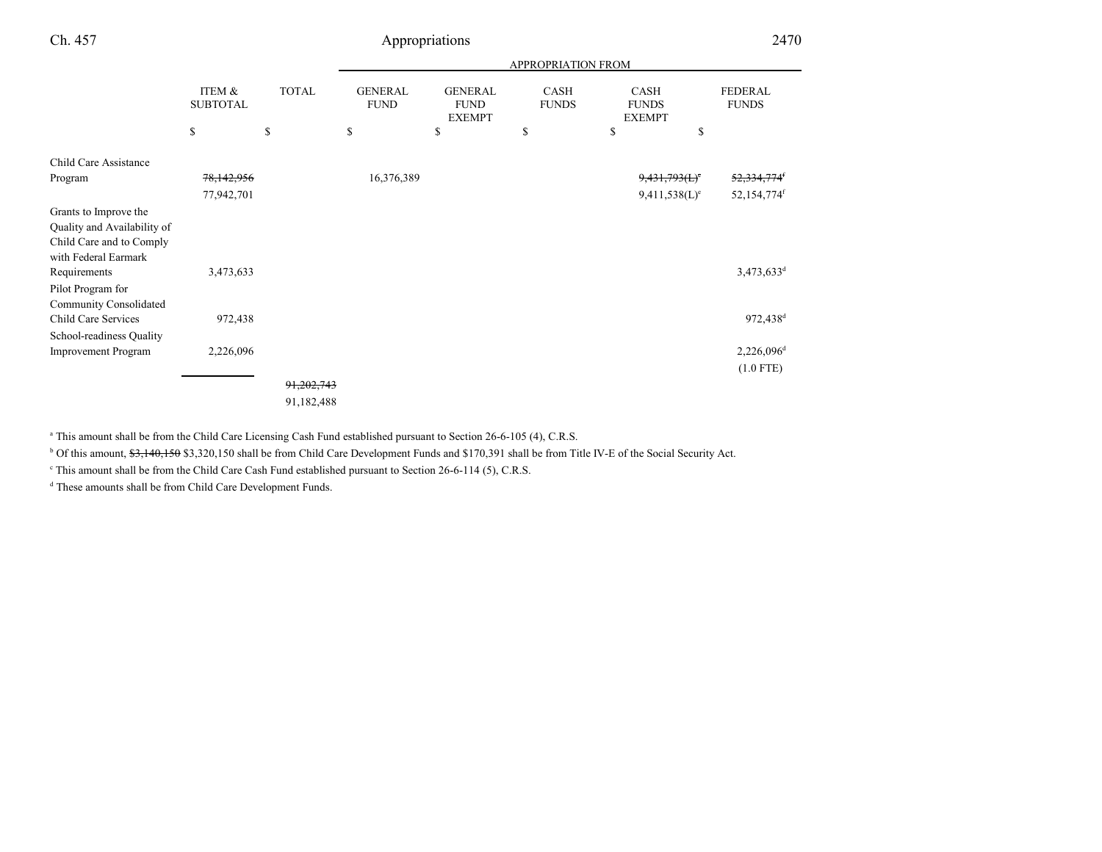| Ch. 457                                                                          |                           | 2470         |                               |                                                |                             |                                       |                                |
|----------------------------------------------------------------------------------|---------------------------|--------------|-------------------------------|------------------------------------------------|-----------------------------|---------------------------------------|--------------------------------|
|                                                                                  |                           |              |                               |                                                |                             |                                       |                                |
|                                                                                  | ITEM &<br><b>SUBTOTAL</b> | <b>TOTAL</b> | <b>GENERAL</b><br><b>FUND</b> | <b>GENERAL</b><br><b>FUND</b><br><b>EXEMPT</b> | <b>CASH</b><br><b>FUNDS</b> | CASH<br><b>FUNDS</b><br><b>EXEMPT</b> | <b>FEDERAL</b><br><b>FUNDS</b> |
|                                                                                  | \$                        | \$           | \$                            | \$                                             | \$                          | \$<br>\$                              |                                |
| Child Care Assistance                                                            |                           |              |                               |                                                |                             |                                       |                                |
| Program                                                                          | 78,142,956                |              | 16,376,389                    |                                                |                             | 9,431,793(L)                          | <del>52,334,774</del>          |
|                                                                                  | 77,942,701                |              |                               |                                                |                             | 9,411,538(L) <sup>e</sup>             | 52,154,774f                    |
| Grants to Improve the<br>Quality and Availability of<br>Child Care and to Comply |                           |              |                               |                                                |                             |                                       |                                |
| with Federal Earmark<br>Requirements<br>Pilot Program for                        | 3,473,633                 |              |                               |                                                |                             |                                       | 3,473,633 <sup>d</sup>         |
| Community Consolidated<br>Child Care Services<br>School-readiness Quality        | 972,438                   |              |                               |                                                |                             |                                       | 972,438 <sup>d</sup>           |
| Improvement Program                                                              | 2,226,096                 |              |                               |                                                |                             |                                       | $2,226,096^d$                  |
|                                                                                  |                           |              |                               |                                                |                             |                                       | $(1.0$ FTE)                    |
|                                                                                  |                           | 91,202,743   |                               |                                                |                             |                                       |                                |
|                                                                                  |                           | 91,182,488   |                               |                                                |                             |                                       |                                |

<sup>a</sup> This amount shall be from the Child Care Licensing Cash Fund established pursuant to Section 26-6-105 (4), C.R.S.

<sup>b</sup> Of this amount, <del>\$3,140,150</del> \$3,320,150 shall be from Child Care Development Funds and \$170,391 shall be from Title IV-E of the Social Security Act.

c This amount shall be from the Child Care Cash Fund established pursuant to Section 26-6-114 (5), C.R.S.

<sup>d</sup> These amounts shall be from Child Care Development Funds.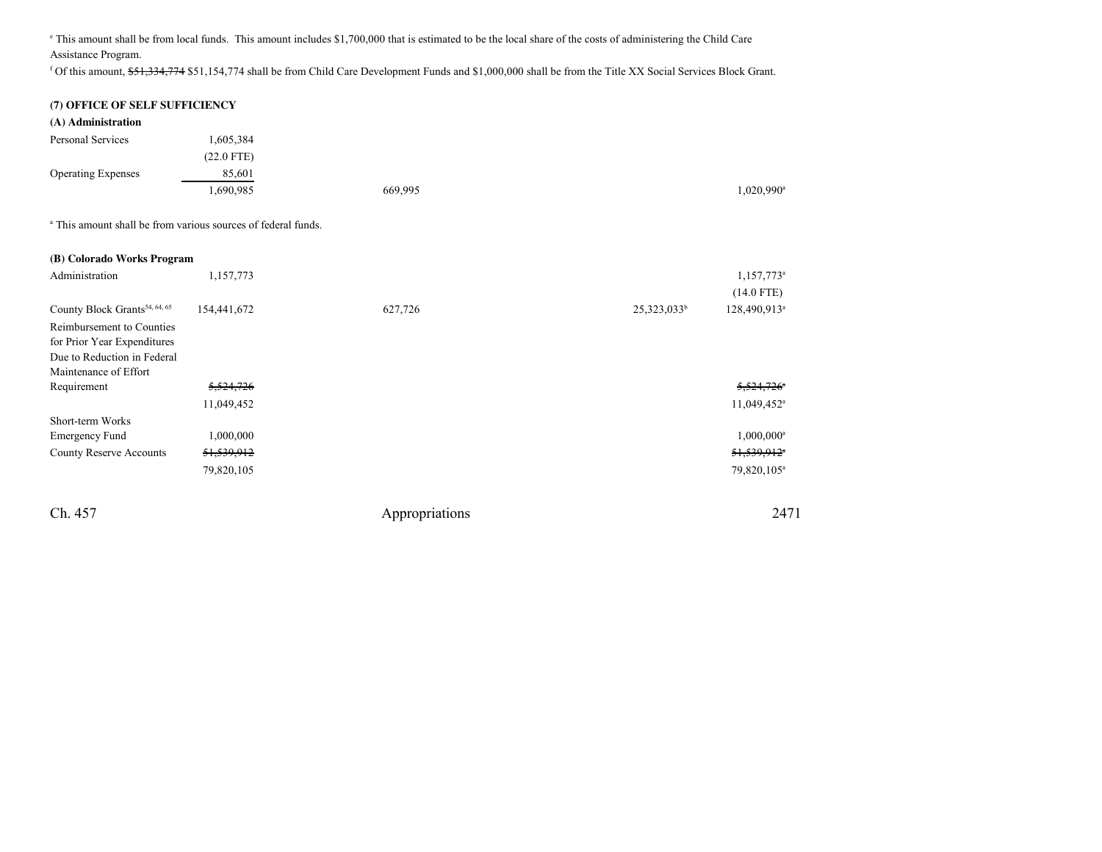e This amount shall be from local funds. This amount includes \$1,700,000 that is estimated to be the local share of the costs of administering the Child CareAssistance Program.

f Of this amount, \$51,334,774 \$51,154,774 shall be from Child Care Development Funds and \$1,000,000 shall be from the Title XX Social Services Block Grant.

## **(7) OFFICE OF SELF SUFFICIENCY**

| (A) Administration        |              |         |           |
|---------------------------|--------------|---------|-----------|
| Personal Services         | .605,384     |         |           |
|                           | $(22.0$ FTE) |         |           |
| <b>Operating Expenses</b> | 85,601       |         |           |
|                           | .690,985     | 669,995 | 1,020,990 |
|                           |              |         |           |

a This amount shall be from various sources of federal funds.

| (B) Colorado Works Program                |                       |         |                |                          |
|-------------------------------------------|-----------------------|---------|----------------|--------------------------|
| Administration                            | 1,157,773             |         |                | 1,157,773                |
|                                           |                       |         |                | $(14.0$ FTE)             |
| County Block Grants <sup>54, 64, 65</sup> | 154,441,672           | 627,726 | $25,323,033^b$ | 128,490,913              |
| Reimbursement to Counties                 |                       |         |                |                          |
| for Prior Year Expenditures               |                       |         |                |                          |
| Due to Reduction in Federal               |                       |         |                |                          |
| Maintenance of Effort                     |                       |         |                |                          |
| Requirement                               | 5,524,726             |         |                | 5,524,726                |
|                                           | 11,049,452            |         |                | 11,049,452               |
| Short-term Works                          |                       |         |                |                          |
| <b>Emergency Fund</b>                     | 1,000,000             |         |                | $1,000,000$ <sup>*</sup> |
| <b>County Reserve Accounts</b>            | <del>51,539,912</del> |         |                | 51,539,912               |
|                                           | 79,820,105            |         |                | 79,820,105               |
|                                           |                       |         |                |                          |

Ch. 457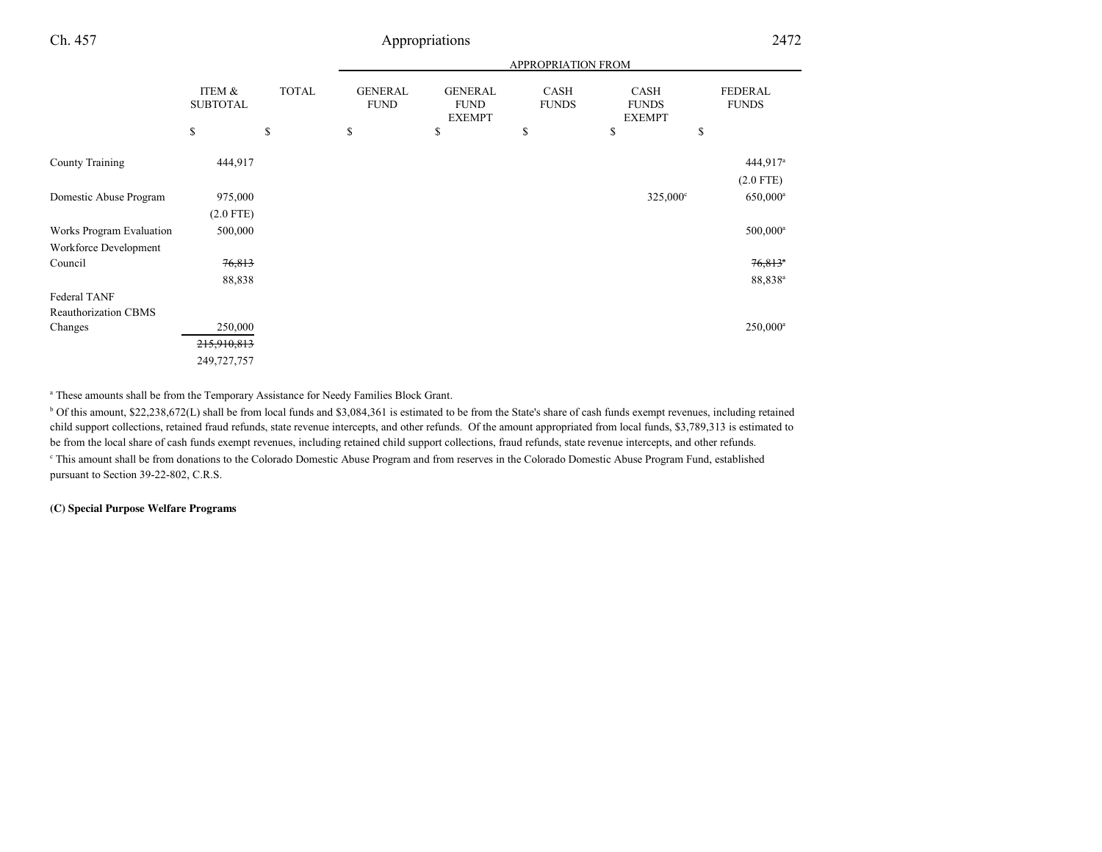|                             |                           |              | <b>APPROPRIATION FROM</b>     |                                                |                             |                                              |                                       |  |
|-----------------------------|---------------------------|--------------|-------------------------------|------------------------------------------------|-----------------------------|----------------------------------------------|---------------------------------------|--|
|                             | ITEM &<br><b>SUBTOTAL</b> | <b>TOTAL</b> | <b>GENERAL</b><br><b>FUND</b> | <b>GENERAL</b><br><b>FUND</b><br><b>EXEMPT</b> | <b>CASH</b><br><b>FUNDS</b> | <b>CASH</b><br><b>FUNDS</b><br><b>EXEMPT</b> | <b>FEDERAL</b><br><b>FUNDS</b>        |  |
|                             | \$                        | \$           | \$                            | \$                                             | \$                          | \$                                           | \$                                    |  |
| County Training             | 444,917                   |              |                               |                                                |                             |                                              | $444,917$ <sup>a</sup><br>$(2.0$ FTE) |  |
| Domestic Abuse Program      | 975,000<br>$(2.0$ FTE)    |              |                               |                                                |                             | $325,000^{\circ}$                            | $650,000$ <sup>a</sup>                |  |
| Works Program Evaluation    | 500,000                   |              |                               |                                                |                             |                                              | $500,000^a$                           |  |
| Workforce Development       |                           |              |                               |                                                |                             |                                              |                                       |  |
| Council                     | 76,813                    |              |                               |                                                |                             |                                              | $76,813$ <sup>*</sup>                 |  |
|                             | 88,838                    |              |                               |                                                |                             |                                              | 88,838 <sup>a</sup>                   |  |
| Federal TANF                |                           |              |                               |                                                |                             |                                              |                                       |  |
| <b>Reauthorization CBMS</b> |                           |              |                               |                                                |                             |                                              |                                       |  |
| Changes                     | 250,000                   |              |                               |                                                |                             |                                              | 250,000 <sup>a</sup>                  |  |
|                             | 215,910,813               |              |                               |                                                |                             |                                              |                                       |  |
|                             | 249,727,757               |              |                               |                                                |                             |                                              |                                       |  |

a These amounts shall be from the Temporary Assistance for Needy Families Block Grant.

<sup>b</sup> Of this amount, \$22,238,672(L) shall be from local funds and \$3,084,361 is estimated to be from the State's share of cash funds exempt revenues, including retained child support collections, retained fraud refunds, state revenue intercepts, and other refunds. Of the amount appropriated from local funds, \$3,789,313 is estimated tobe from the local share of cash funds exempt revenues, including retained child support collections, fraud refunds, state revenue intercepts, and other refunds.c This amount shall be from donations to the Colorado Domestic Abuse Program and from reserves in the Colorado Domestic Abuse Program Fund, establishedpursuant to Section 39-22-802, C.R.S.

### **(C) Special Purpose Welfare Programs**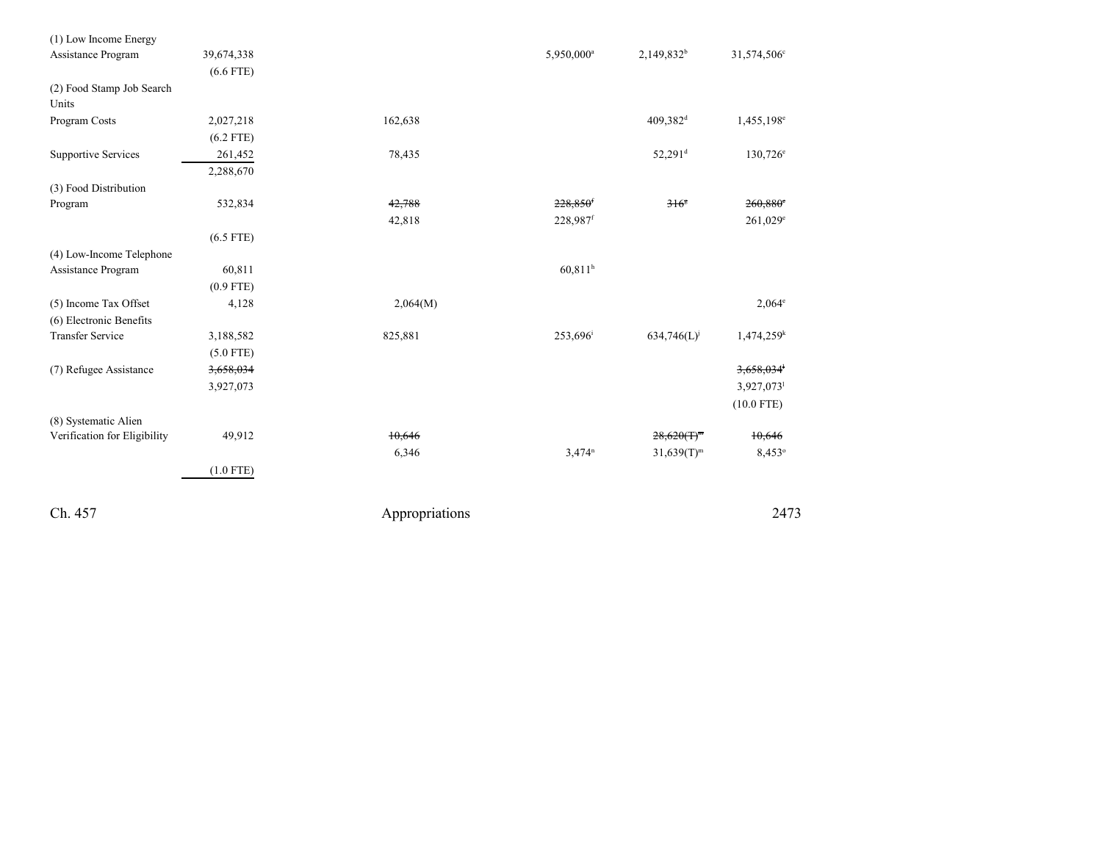| (1) Low Income Energy        |             |                |                        |                       |                          |
|------------------------------|-------------|----------------|------------------------|-----------------------|--------------------------|
| Assistance Program           | 39,674,338  |                | 5,950,000 <sup>a</sup> | $2,149,832^b$         | 31,574,506°              |
|                              | $(6.6$ FTE) |                |                        |                       |                          |
| (2) Food Stamp Job Search    |             |                |                        |                       |                          |
| Units                        |             |                |                        |                       |                          |
| Program Costs                | 2,027,218   | 162,638        |                        | 409,382 <sup>d</sup>  | 1,455,198 <sup>e</sup>   |
|                              | $(6.2$ FTE) |                |                        |                       |                          |
| <b>Supportive Services</b>   | 261,452     | 78,435         |                        | $52,291$ <sup>d</sup> | $130,726^{\circ}$        |
|                              | 2,288,670   |                |                        |                       |                          |
| (3) Food Distribution        |             |                |                        |                       |                          |
| Program                      | 532,834     | 42,788         | $228,850$ <sup>f</sup> | $316^{\circ}$         | $260,880$ <sup>e</sup>   |
|                              |             | 42,818         | 228,987f               |                       | $261,029$ <sup>e</sup>   |
|                              | $(6.5$ FTE) |                |                        |                       |                          |
| (4) Low-Income Telephone     |             |                |                        |                       |                          |
| Assistance Program           | 60,811      |                | 60,811 <sup>h</sup>    |                       |                          |
|                              | $(0.9$ FTE) |                |                        |                       |                          |
| (5) Income Tax Offset        | 4,128       | 2,064(M)       |                        |                       | $2,064^{\circ}$          |
| (6) Electronic Benefits      |             |                |                        |                       |                          |
| <b>Transfer Service</b>      | 3,188,582   | 825,881        | 253,696 <sup>i</sup>   | 634,746(L)            | $1,474,259$ <sup>k</sup> |
|                              | $(5.0$ FTE) |                |                        |                       |                          |
| (7) Refugee Assistance       | 3,658,034   |                |                        |                       | 3,658,034                |
|                              | 3,927,073   |                |                        |                       | 3,927,073                |
|                              |             |                |                        |                       | $(10.0$ FTE)             |
| (8) Systematic Alien         |             |                |                        |                       |                          |
| Verification for Eligibility | 49,912      | 10,646         |                        | $28,620(T)^m$         | 10,646                   |
|                              |             | 6,346          | $3,474^n$              | $31,639(T)^m$         | 8,453°                   |
|                              | $(1.0$ FTE) |                |                        |                       |                          |
| Ch. 457                      |             | Appropriations |                        |                       | 2473                     |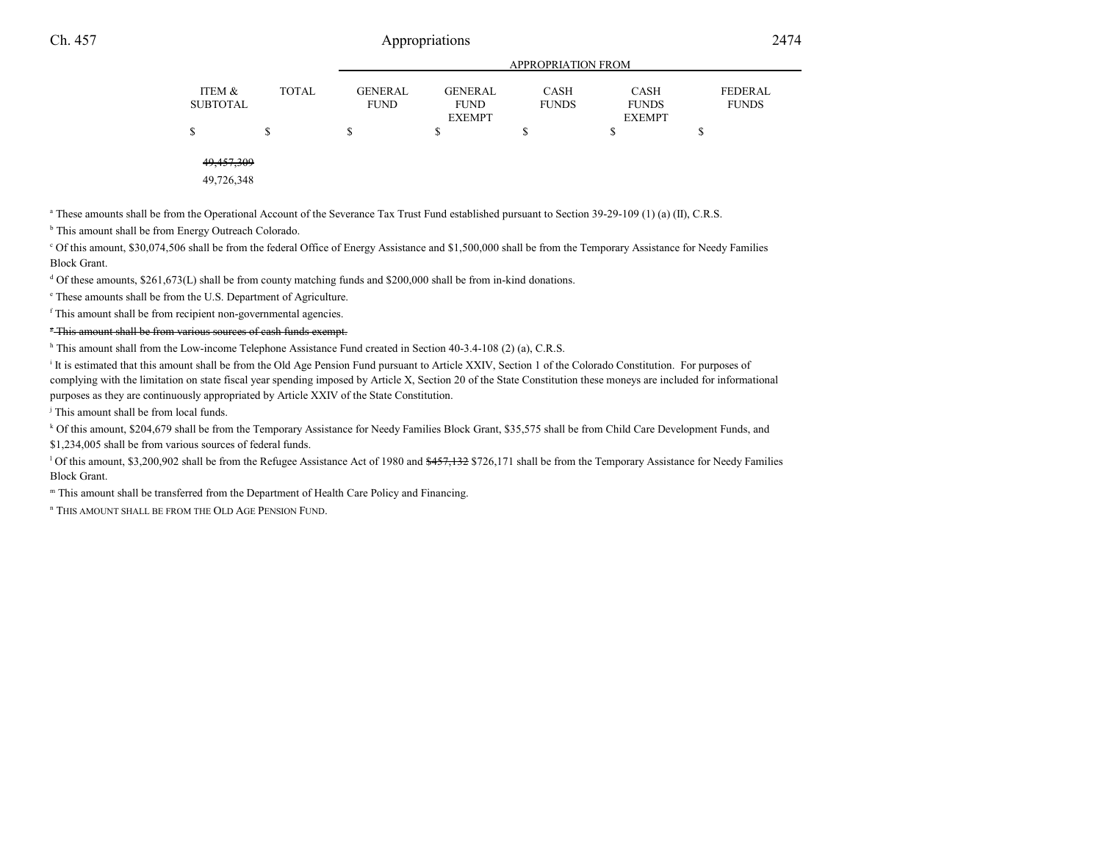|                    |              |                               | APPROPRIATION FROM                             |                             |                                              |                                |  |  |  |
|--------------------|--------------|-------------------------------|------------------------------------------------|-----------------------------|----------------------------------------------|--------------------------------|--|--|--|
| ITEM &<br>SUBTOTAL | <b>TOTAL</b> | <b>GENERAL</b><br><b>FUND</b> | <b>GENERAL</b><br><b>FUND</b><br><b>EXEMPT</b> | <b>CASH</b><br><b>FUNDS</b> | <b>CASH</b><br><b>FUNDS</b><br><b>EXEMPT</b> | <b>FEDERAL</b><br><b>FUNDS</b> |  |  |  |
| \$                 |              |                               |                                                |                             |                                              |                                |  |  |  |
| .                  |              |                               |                                                |                             |                                              |                                |  |  |  |

4<del>9,457,309</del>

49,726,348

<sup>a</sup> These amounts shall be from the Operational Account of the Severance Tax Trust Fund established pursuant to Section 39-29-109 (1) (a) (II), C.R.S.

<sup>b</sup> This amount shall be from Energy Outreach Colorado.

c Of this amount, \$30,074,506 shall be from the federal Office of Energy Assistance and \$1,500,000 shall be from the Temporary Assistance for Needy FamiliesBlock Grant.

 $d$  Of these amounts, \$261,673(L) shall be from county matching funds and \$200,000 shall be from in-kind donations.

e These amounts shall be from the U.S. Department of Agriculture.

<sup>f</sup> This amount shall be from recipient non-governmental agencies.

<sup>5</sup> This amount shall be from various sources of cash funds exempt.

<sup>h</sup> This amount shall from the Low-income Telephone Assistance Fund created in Section 40-3.4-108 (2) (a), C.R.S.

<sup>i</sup> It is estimated that this amount shall be from the Old Age Pension Fund pursuant to Article XXIV, Section 1 of the Colorado Constitution. For purposes of complying with the limitation on state fiscal year spending imposed by Article X, Section 20 of the State Constitution these moneys are included for informationalpurposes as they are continuously appropriated by Article XXIV of the State Constitution.

<sup>j</sup> This amount shall be from local funds.

k Of this amount, \$204,679 shall be from the Temporary Assistance for Needy Families Block Grant, \$35,575 shall be from Child Care Development Funds, and

\$1,234,005 shall be from various sources of federal funds.

<sup>1</sup> Of this amount, \$3,200,902 shall be from the Refugee Assistance Act of 1980 and  $\frac{457,132}{7}$  \$726,171 shall be from the Temporary Assistance for Needy Families Block Grant.

m This amount shall be transferred from the Department of Health Care Policy and Financing.

<sup>n</sup> THIS AMOUNT SHALL BE FROM THE OLD AGE PENSION FUND.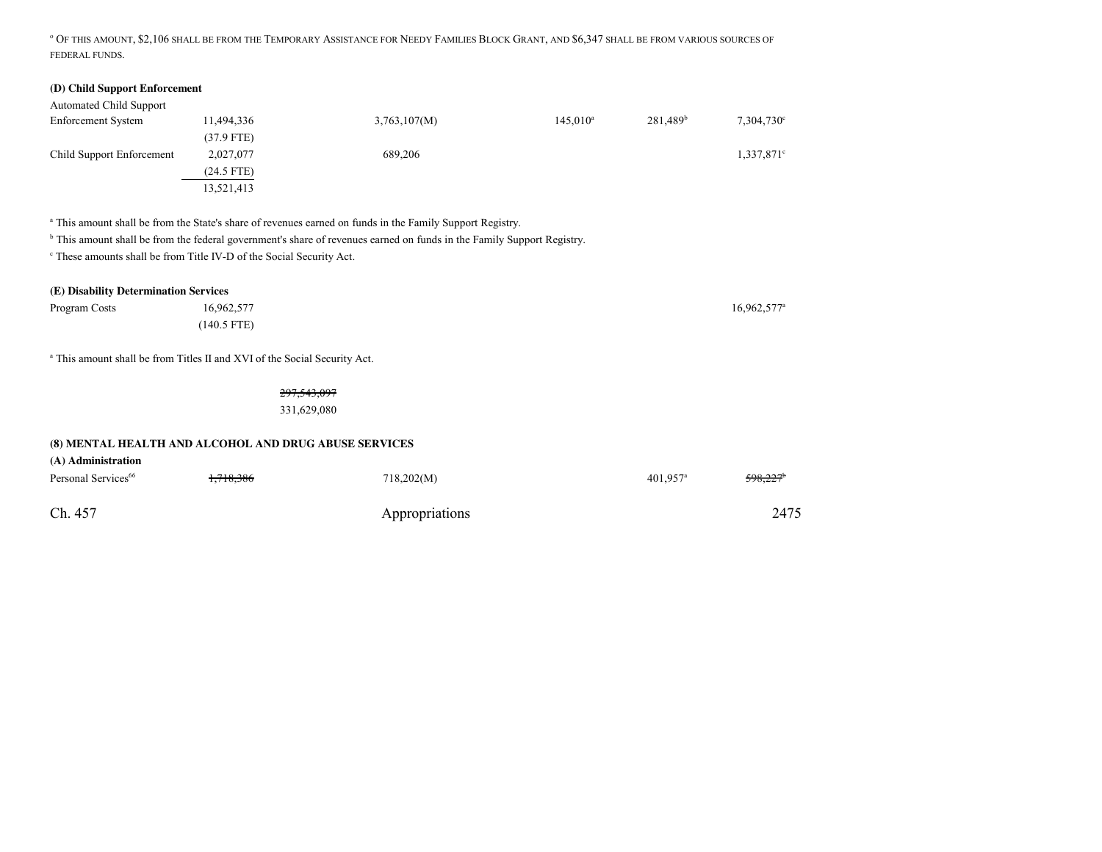<sup>o</sup> OF THIS AMOUNT, \$2,106 SHALL BE FROM THE TEMPORARY ASSISTANCE FOR NEEDY FAMILIES BLOCK GRANT, AND \$6,347 SHALL BE FROM VARIOUS SOURCES OFFEDERAL FUNDS.

## **(D) Child Support Enforcement**

| <b>Automated Child Support</b> |              |              |             |                      |                     |
|--------------------------------|--------------|--------------|-------------|----------------------|---------------------|
| <b>Enforcement System</b>      | 11,494,336   | 3,763,107(M) | $145.010^a$ | 281.489 <sup>b</sup> | $7,304,730^{\circ}$ |
|                                | $(37.9$ FTE) |              |             |                      |                     |
| Child Support Enforcement      | 2,027,077    | 689,206      |             |                      | $1,337,871$ °       |
|                                | $(24.5$ FTE) |              |             |                      |                     |
|                                | 13,521,413   |              |             |                      |                     |

<sup>a</sup> This amount shall be from the State's share of revenues earned on funds in the Family Support Registry.

<sup>b</sup> This amount shall be from the federal government's share of revenues earned on funds in the Family Support Registry.

c These amounts shall be from Title IV-D of the Social Security Act.

## **(E) Disability Determination Services**

| Program Costs | 16,962,577    | 16,962,577 |
|---------------|---------------|------------|
|               | $(140.5$ FTE) |            |

a This amount shall be from Titles II and XVI of the Social Security Act.

297,543,097

331,629,080

## **(8) MENTAL HEALTH AND ALCOHOL AND DRUG ABUSE SERVICES**

| (A) Administration<br>Personal Services <sup>66</sup> | 1,718,386 | 718,202(M)     | 401,957 <sup>a</sup> | <del>598,227</del> * |
|-------------------------------------------------------|-----------|----------------|----------------------|----------------------|
| Ch. 457                                               |           | Appropriations |                      | 2475                 |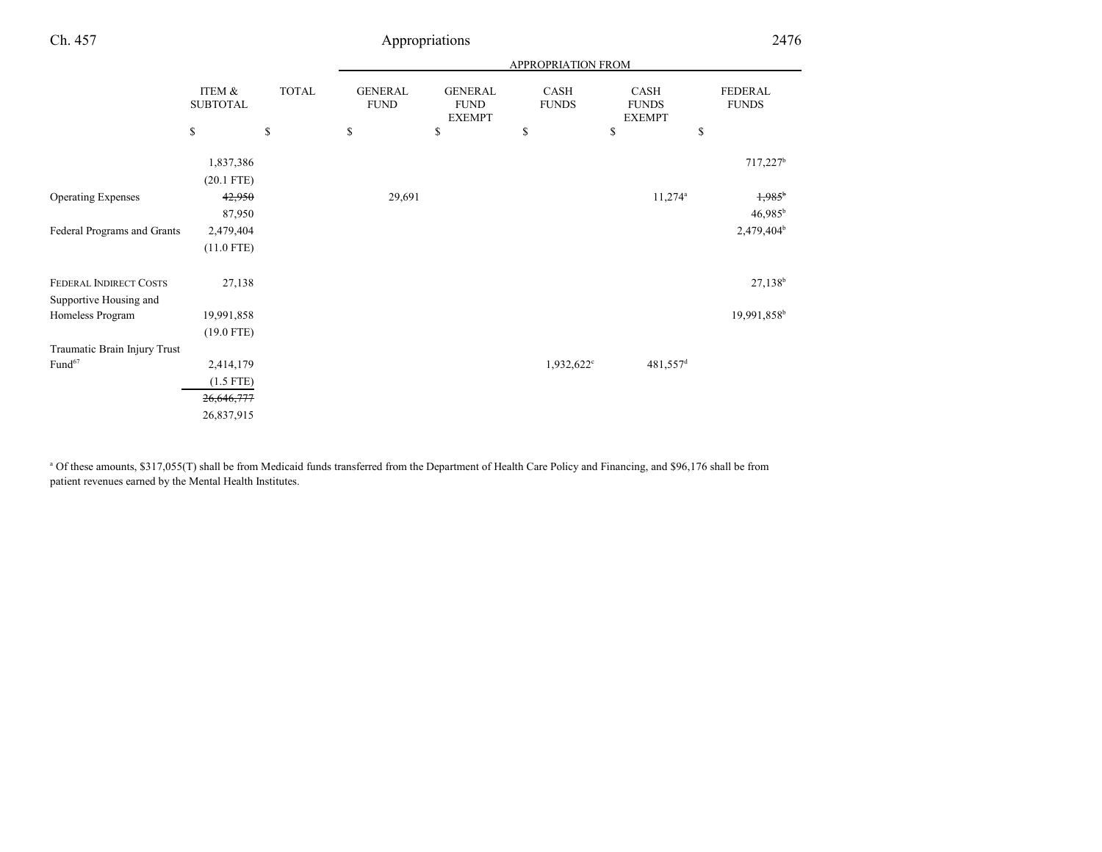|                                        |                            | <b>APPROPRIATION FROM</b>     |                                                |                        |                                       |                                             |  |
|----------------------------------------|----------------------------|-------------------------------|------------------------------------------------|------------------------|---------------------------------------|---------------------------------------------|--|
| ITEM &<br><b>SUBTOTAL</b>              | <b>TOTAL</b>               | <b>GENERAL</b><br><b>FUND</b> | <b>GENERAL</b><br><b>FUND</b><br><b>EXEMPT</b> | CASH<br><b>FUNDS</b>   | CASH<br><b>FUNDS</b><br><b>EXEMPT</b> | FEDERAL<br><b>FUNDS</b>                     |  |
| \$                                     | \$                         | \$                            | \$                                             | \$                     | \$                                    | $\mathbb{S}$                                |  |
| 1,837,386                              |                            |                               |                                                |                        |                                       | $717,227$ <sup>b</sup>                      |  |
| 42,950<br>87,950                       |                            | 29,691                        |                                                |                        | $11,274$ <sup>a</sup>                 | $1,985$ <sup>b</sup><br>46,985 <sup>b</sup> |  |
| 2,479,404<br>$(11.0$ FTE)              |                            |                               |                                                |                        |                                       | 2,479,404 <sup>b</sup>                      |  |
| 27,138                                 |                            |                               |                                                |                        |                                       | $27,138^{b}$                                |  |
| 19,991,858<br>$(19.0$ FTE)             |                            |                               |                                                |                        |                                       | 19,991,858 <sup>b</sup>                     |  |
| 2,414,179<br>$(1.5$ FTE)<br>26,646,777 |                            |                               |                                                | 1,932,622 <sup>c</sup> | 481,557 <sup>d</sup>                  |                                             |  |
|                                        | $(20.1$ FTE)<br>26,837,915 |                               |                                                |                        |                                       |                                             |  |

<sup>a</sup> Of these amounts, \$317,055(T) shall be from Medicaid funds transferred from the Department of Health Care Policy and Financing, and \$96,176 shall be from patient revenues earned by the Mental Health Institutes.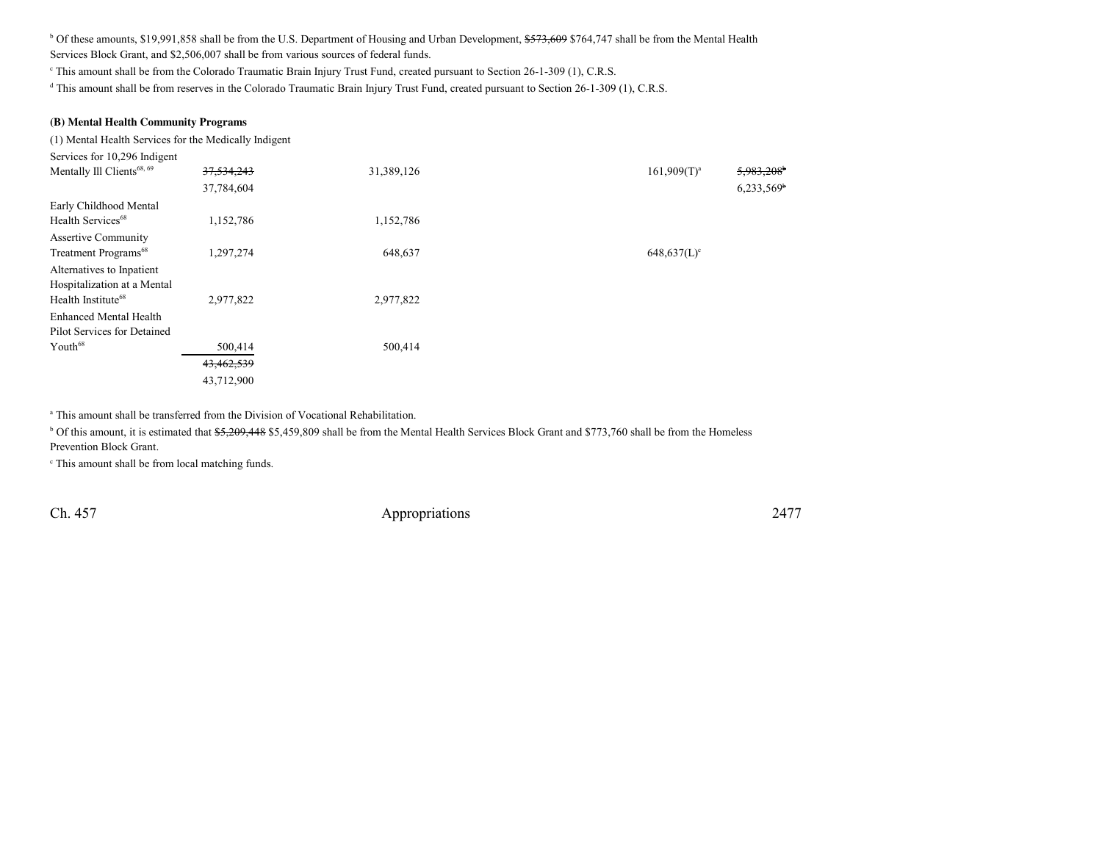$b$  Of these amounts, \$19,991,858 shall be from the U.S. Department of Housing and Urban Development,  $\frac{2573,609}{5764,747}$  shall be from the Mental Health Services Block Grant, and \$2,506,007 shall be from various sources of federal funds.

c This amount shall be from the Colorado Traumatic Brain Injury Trust Fund, created pursuant to Section 26-1-309 (1), C.R.S.

<sup>d</sup> This amount shall be from reserves in the Colorado Traumatic Brain Injury Trust Fund, created pursuant to Section 26-1-309 (1), C.R.S.

## **(B) Mental Health Community Programs**

(1) Mental Health Services for the Medically Indigent

| Services for 10,296 Indigent           |            |            |                                            |
|----------------------------------------|------------|------------|--------------------------------------------|
| Mentally Ill Clients <sup>68, 69</sup> | 37,534,243 | 31,389,126 | $5,983,208$ <sup>b</sup><br>$161,909(T)^a$ |
|                                        | 37,784,604 |            | $6,233,569$ <sup>b</sup>                   |
| Early Childhood Mental                 |            |            |                                            |
| Health Services <sup>68</sup>          | 1,152,786  | 1,152,786  |                                            |
| <b>Assertive Community</b>             |            |            |                                            |
| Treatment Programs <sup>68</sup>       | 1,297,274  | 648,637    | $648,637(L)^c$                             |
| Alternatives to Inpatient              |            |            |                                            |
| Hospitalization at a Mental            |            |            |                                            |
| Health Institute <sup>68</sup>         | 2,977,822  | 2,977,822  |                                            |
| <b>Enhanced Mental Health</b>          |            |            |                                            |
| Pilot Services for Detained            |            |            |                                            |
| Youth <sup>68</sup>                    | 500,414    | 500,414    |                                            |
|                                        | 43,462,539 |            |                                            |
|                                        | 43,712,900 |            |                                            |

<sup>a</sup> This amount shall be transferred from the Division of Vocational Rehabilitation.

<sup>b</sup> Of this amount, it is estimated that \$5,209,448 \$5,459,809 shall be from the Mental Health Services Block Grant and \$773,760 shall be from the Homeless Prevention Block Grant.

c This amount shall be from local matching funds.

Ch. 457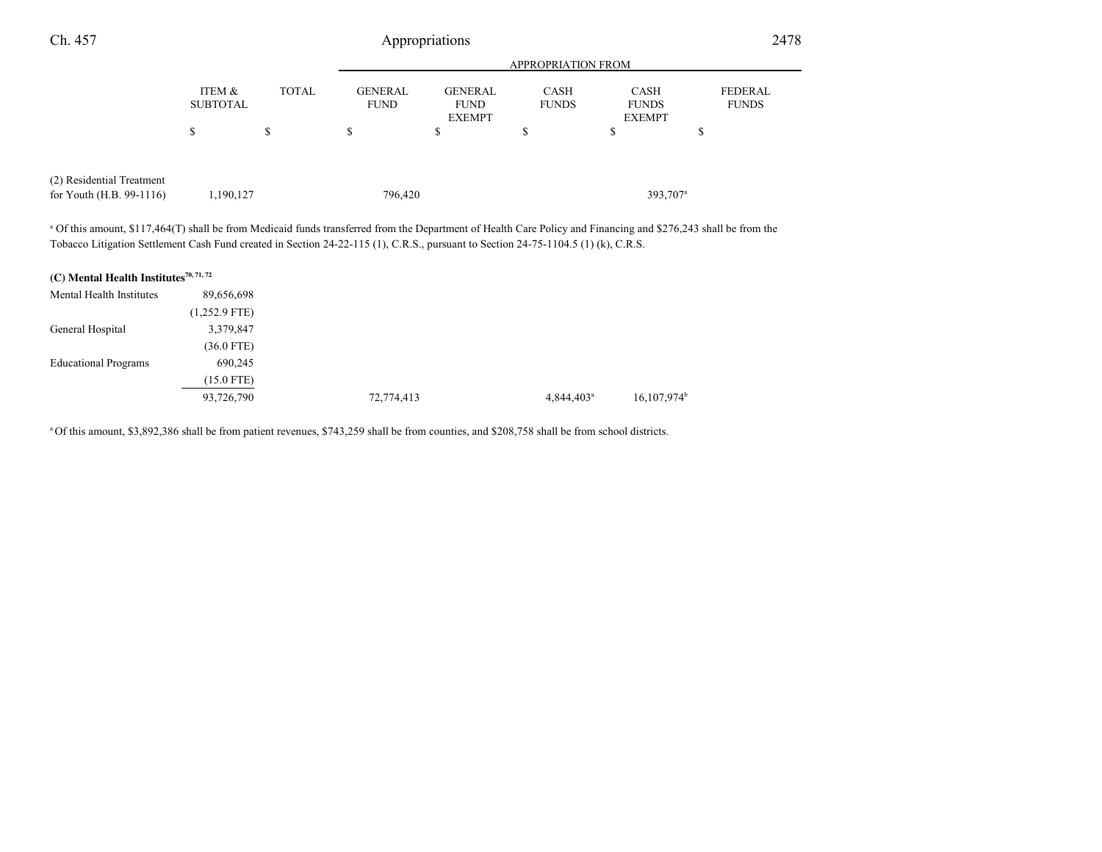| Ch. 457                                                                                                                                                                                                                                                                                                          |                           | Appropriations |                               |                                                |                             |                                              |                                |
|------------------------------------------------------------------------------------------------------------------------------------------------------------------------------------------------------------------------------------------------------------------------------------------------------------------|---------------------------|----------------|-------------------------------|------------------------------------------------|-----------------------------|----------------------------------------------|--------------------------------|
|                                                                                                                                                                                                                                                                                                                  |                           |                |                               |                                                | <b>APPROPRIATION FROM</b>   |                                              |                                |
|                                                                                                                                                                                                                                                                                                                  | ITEM &<br><b>SUBTOTAL</b> | <b>TOTAL</b>   | <b>GENERAL</b><br><b>FUND</b> | <b>GENERAL</b><br><b>FUND</b><br><b>EXEMPT</b> | <b>CASH</b><br><b>FUNDS</b> | <b>CASH</b><br><b>FUNDS</b><br><b>EXEMPT</b> | <b>FEDERAL</b><br><b>FUNDS</b> |
|                                                                                                                                                                                                                                                                                                                  | \$                        | S              | \$                            | \$                                             | S                           | \$                                           | S                              |
| (2) Residential Treatment                                                                                                                                                                                                                                                                                        |                           |                |                               |                                                |                             |                                              |                                |
| for Youth $(H.B. 99-1116)$                                                                                                                                                                                                                                                                                       | 1,190,127                 |                | 796,420                       |                                                |                             | 393,707 <sup>a</sup>                         |                                |
| <sup>a</sup> Of this amount, \$117,464(T) shall be from Medicaid funds transferred from the Department of Health Care Policy and Financing and \$276,243 shall be from the<br>Tobacco Litigation Settlement Cash Fund created in Section 24-22-115 (1), C.R.S., pursuant to Section 24-75-1104.5 (1) (k), C.R.S. |                           |                |                               |                                                |                             |                                              |                                |
| $(20.95 \times 10^{-11} \text{ J})$                                                                                                                                                                                                                                                                              |                           |                |                               |                                                |                             |                                              |                                |

| (C) Mental Health Institutes <sup>70, 71, 72</sup> |                 |            |                          |                           |
|----------------------------------------------------|-----------------|------------|--------------------------|---------------------------|
| Mental Health Institutes                           | 89,656,698      |            |                          |                           |
|                                                    | $(1,252.9$ FTE) |            |                          |                           |
| General Hospital                                   | 3,379,847       |            |                          |                           |
|                                                    | $(36.0$ FTE)    |            |                          |                           |
| <b>Educational Programs</b>                        | 690,245         |            |                          |                           |
|                                                    | $(15.0$ FTE)    |            |                          |                           |
|                                                    | 93,726,790      | 72,774,413 | $4,844,403$ <sup>a</sup> | $16,107,974$ <sup>b</sup> |
|                                                    |                 |            |                          |                           |

<sup>a</sup>Of this amount, \$3,892,386 shall be from patient revenues, \$743,259 shall be from counties, and \$208,758 shall be from school districts.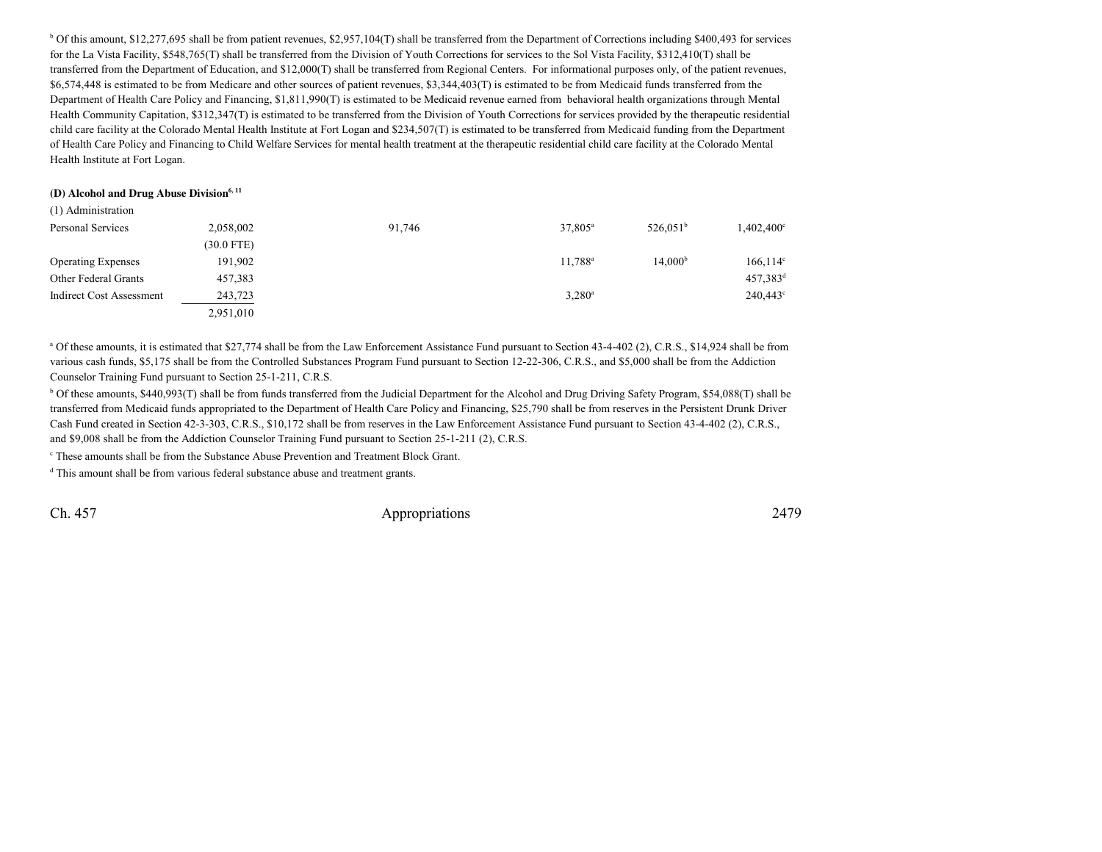<sup>b</sup> Of this amount, \$12,277,695 shall be from patient revenues, \$2,957,104(T) shall be transferred from the Department of Corrections including \$400,493 for services for the La Vista Facility, \$548,765(T) shall be transferred from the Division of Youth Corrections for services to the Sol Vista Facility, \$312,410(T) shall be transferred from the Department of Education, and \$12,000(T) shall be transferred from Regional Centers. For informational purposes only, of the patient revenues,\$6,574,448 is estimated to be from Medicare and other sources of patient revenues, \$3,344,403(T) is estimated to be from Medicaid funds transferred from the Department of Health Care Policy and Financing, \$1,811,990(T) is estimated to be Medicaid revenue earned from behavioral health organizations through Mental Health Community Capitation, \$312,347(T) is estimated to be transferred from the Division of Youth Corrections for services provided by the therapeutic residentialchild care facility at the Colorado Mental Health Institute at Fort Logan and \$234,507(T) is estimated to be transferred from Medicaid funding from the Departmentof Health Care Policy and Financing to Child Welfare Services for mental health treatment at the therapeutic residential child care facility at the Colorado MentalHealth Institute at Fort Logan.

#### **(D) Alcohol and Drug Abuse Division6, 11**

| (1) Administration        |              |        |                  |                     |                        |
|---------------------------|--------------|--------|------------------|---------------------|------------------------|
| Personal Services         | 2,058,002    | 91,746 | $37,805^{\circ}$ | $526.051^b$         | $1,402,400^{\circ}$    |
|                           | $(30.0$ FTE) |        |                  |                     |                        |
| <b>Operating Expenses</b> | 191.902      |        | $11.788^{\rm a}$ | 14.000 <sup>b</sup> | $166, 114$ °           |
| Other Federal Grants      | 457,383      |        |                  |                     | $457,383$ <sup>d</sup> |
| Indirect Cost Assessment  | 243,723      |        | $3,280^a$        |                     | 240,443 <sup>c</sup>   |
|                           | 2,951,010    |        |                  |                     |                        |

<sup>a</sup> Of these amounts, it is estimated that \$27,774 shall be from the Law Enforcement Assistance Fund pursuant to Section 43-4-402 (2), C.R.S., \$14,924 shall be from various cash funds, \$5,175 shall be from the Controlled Substances Program Fund pursuant to Section 12-22-306, C.R.S., and \$5,000 shall be from the AddictionCounselor Training Fund pursuant to Section 25-1-211, C.R.S.

<sup>b</sup> Of these amounts, \$440,993(T) shall be from funds transferred from the Judicial Department for the Alcohol and Drug Driving Safety Program, \$54,088(T) shall be transferred from Medicaid funds appropriated to the Department of Health Care Policy and Financing, \$25,790 shall be from reserves in the Persistent Drunk DriverCash Fund created in Section 42-3-303, C.R.S., \$10,172 shall be from reserves in the Law Enforcement Assistance Fund pursuant to Section 43-4-402 (2), C.R.S.,and \$9,008 shall be from the Addiction Counselor Training Fund pursuant to Section 25-1-211 (2), C.R.S.

c These amounts shall be from the Substance Abuse Prevention and Treatment Block Grant.

<sup>d</sup> This amount shall be from various federal substance abuse and treatment grants.

Ch. 457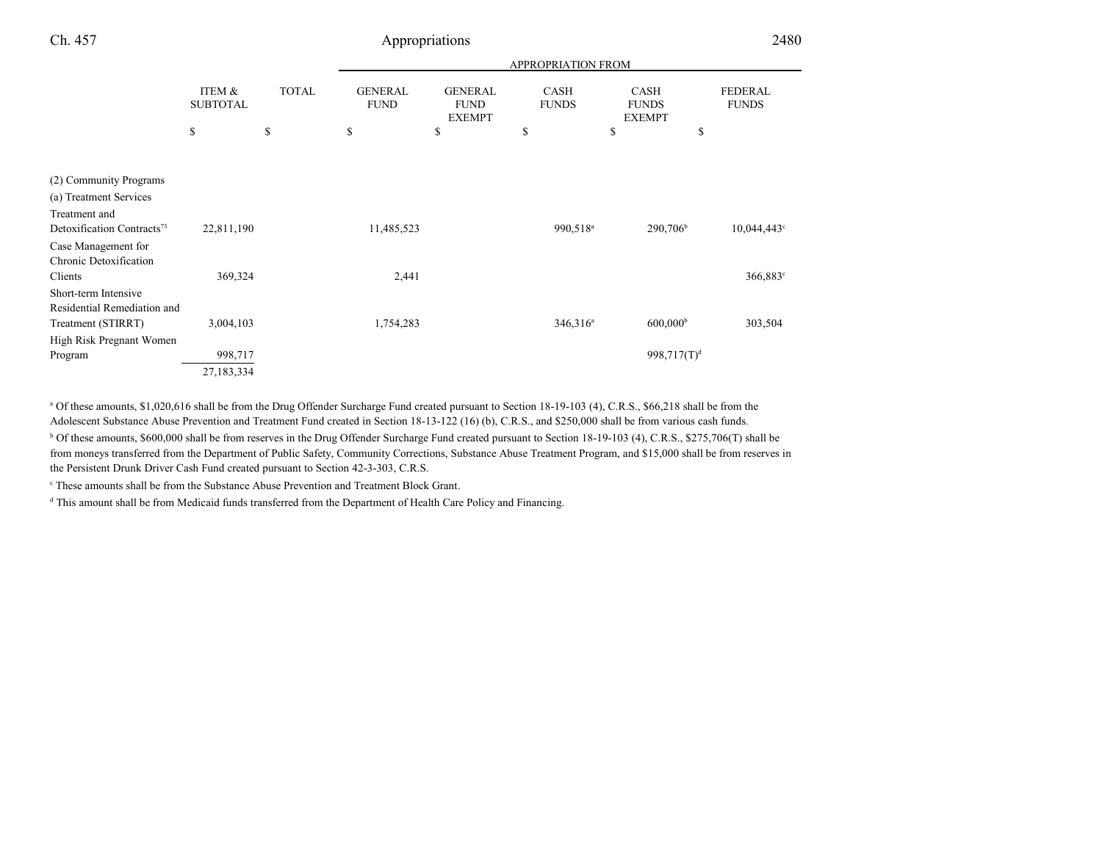|                                      |              | <b>APPROPRIATION FROM</b>     |                                                |                             |                                              |                                |  |
|--------------------------------------|--------------|-------------------------------|------------------------------------------------|-----------------------------|----------------------------------------------|--------------------------------|--|
| <b>ITEM &amp;</b><br><b>SUBTOTAL</b> | <b>TOTAL</b> | <b>GENERAL</b><br><b>FUND</b> | <b>GENERAL</b><br><b>FUND</b><br><b>EXEMPT</b> | <b>CASH</b><br><b>FUNDS</b> | <b>CASH</b><br><b>FUNDS</b><br><b>EXEMPT</b> | <b>FEDERAL</b><br><b>FUNDS</b> |  |
| \$                                   | \$           | \$                            | \$                                             | \$                          | \$                                           | \$                             |  |
|                                      |              |                               |                                                |                             |                                              |                                |  |
|                                      |              |                               |                                                |                             |                                              |                                |  |
|                                      |              |                               |                                                |                             |                                              |                                |  |
|                                      |              |                               |                                                |                             |                                              |                                |  |
| 22,811,190                           |              | 11,485,523                    |                                                | 990,518 <sup>a</sup>        | 290,706 <sup>b</sup>                         | $10,044,443^{\circ}$           |  |
|                                      |              |                               |                                                |                             |                                              |                                |  |
|                                      |              |                               |                                                |                             |                                              |                                |  |
| 369,324                              |              | 2,441                         |                                                |                             |                                              | $366,883^{\circ}$              |  |
|                                      |              |                               |                                                |                             |                                              |                                |  |
|                                      |              |                               |                                                |                             |                                              |                                |  |
| 3,004,103                            |              | 1,754,283                     |                                                | $346,316^a$                 | 600,000 <sup>b</sup>                         | 303,504                        |  |
|                                      |              |                               |                                                |                             |                                              |                                |  |
| 998,717                              |              |                               |                                                |                             | $998,717(T)^d$                               |                                |  |
| 27,183,334                           |              |                               |                                                |                             |                                              |                                |  |
|                                      |              |                               |                                                |                             |                                              |                                |  |

<sup>a</sup> Of these amounts, \$1,020,616 shall be from the Drug Offender Surcharge Fund created pursuant to Section 18-19-103 (4), C.R.S., \$66,218 shall be from the Adolescent Substance Abuse Prevention and Treatment Fund created in Section 18-13-122 (16) (b), C.R.S., and \$250,000 shall be from various cash funds.

<sup>b</sup> Of these amounts, \$600,000 shall be from reserves in the Drug Offender Surcharge Fund created pursuant to Section 18-19-103 (4), C.R.S., \$275,706(T) shall be from moneys transferred from the Department of Public Safety, Community Corrections, Substance Abuse Treatment Program, and \$15,000 shall be from reserves inthe Persistent Drunk Driver Cash Fund created pursuant to Section 42-3-303, C.R.S.

c These amounts shall be from the Substance Abuse Prevention and Treatment Block Grant.

<sup>d</sup> This amount shall be from Medicaid funds transferred from the Department of Health Care Policy and Financing.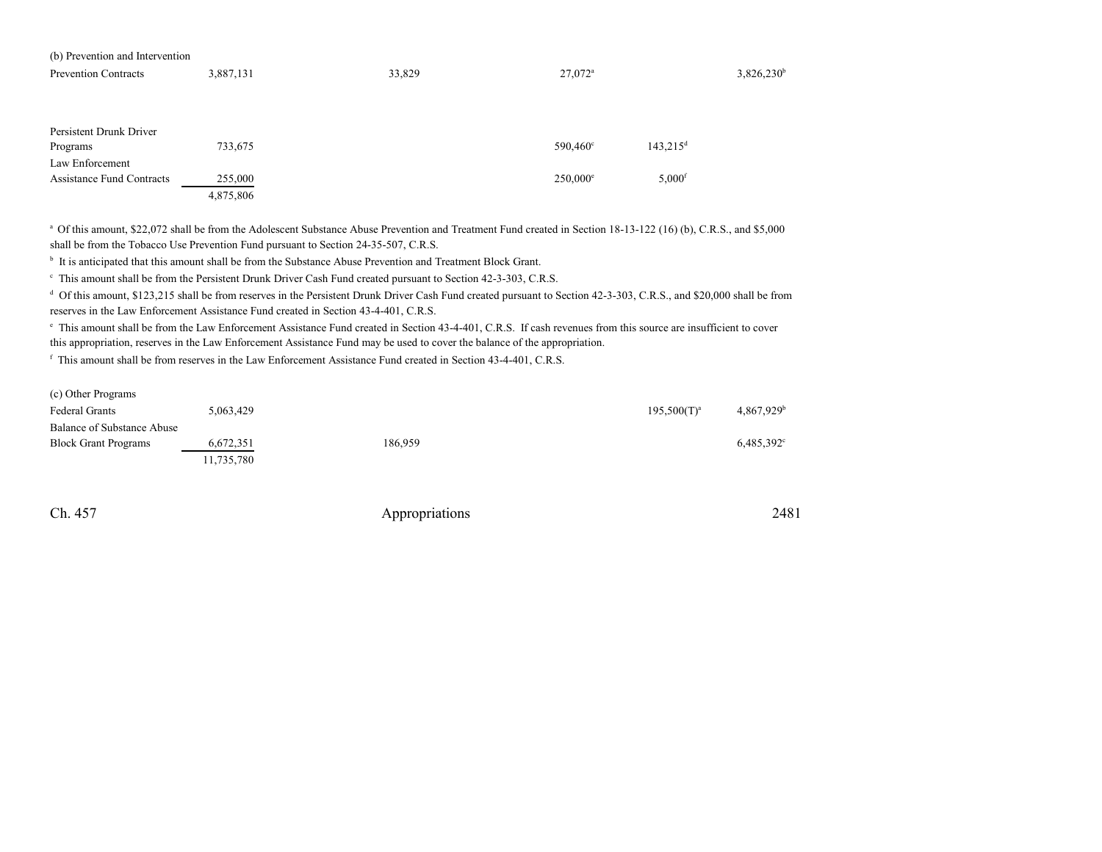| (b) Prevention and Intervention  |           |        |                       |                        |               |  |
|----------------------------------|-----------|--------|-----------------------|------------------------|---------------|--|
| <b>Prevention Contracts</b>      | 3,887,131 | 33,829 | $27.072$ <sup>a</sup> |                        | $3,826,230^b$ |  |
|                                  |           |        |                       |                        |               |  |
|                                  |           |        |                       |                        |               |  |
|                                  |           |        |                       |                        |               |  |
| Persistent Drunk Driver          |           |        |                       |                        |               |  |
| Programs                         | 733,675   |        | 590,460 <sup>c</sup>  | $143,215$ <sup>d</sup> |               |  |
| Law Enforcement                  |           |        |                       |                        |               |  |
| <b>Assistance Fund Contracts</b> | 255,000   |        | $250,000^{\circ}$     | $5,000$ <sup>f</sup>   |               |  |
|                                  | 4,875,806 |        |                       |                        |               |  |

<sup>a</sup> Of this amount, \$22,072 shall be from the Adolescent Substance Abuse Prevention and Treatment Fund created in Section 18-13-122 (16) (b), C.R.S., and \$5,000 shall be from the Tobacco Use Prevention Fund pursuant to Section 24-35-507, C.R.S.

<sup>b</sup> It is anticipated that this amount shall be from the Substance Abuse Prevention and Treatment Block Grant.

 $\epsilon$  This amount shall be from the Persistent Drunk Driver Cash Fund created pursuant to Section 42-3-303, C.R.S.

<sup>d</sup> Of this amount, \$123,215 shall be from reserves in the Persistent Drunk Driver Cash Fund created pursuant to Section 42-3-303, C.R.S., and \$20,000 shall be from reserves in the Law Enforcement Assistance Fund created in Section 43-4-401, C.R.S.

e This amount shall be from the Law Enforcement Assistance Fund created in Section 43-4-401, C.R.S. If cash revenues from this source are insufficient to coverthis appropriation, reserves in the Law Enforcement Assistance Fund may be used to cover the balance of the appropriation.

<sup>f</sup> This amount shall be from reserves in the Law Enforcement Assistance Fund created in Section 43-4-401, C.R.S.

| (c) Other Programs          |            |         |                |                        |
|-----------------------------|------------|---------|----------------|------------------------|
| Federal Grants              | 5.063.429  |         | $195,500(T)^a$ | 4.867.929 <sup>b</sup> |
| Balance of Substance Abuse  |            |         |                |                        |
| <b>Block Grant Programs</b> | 6,672,351  | 186.959 |                | $6,485,392^{\circ}$    |
|                             | 11.735.780 |         |                |                        |

Ch. 457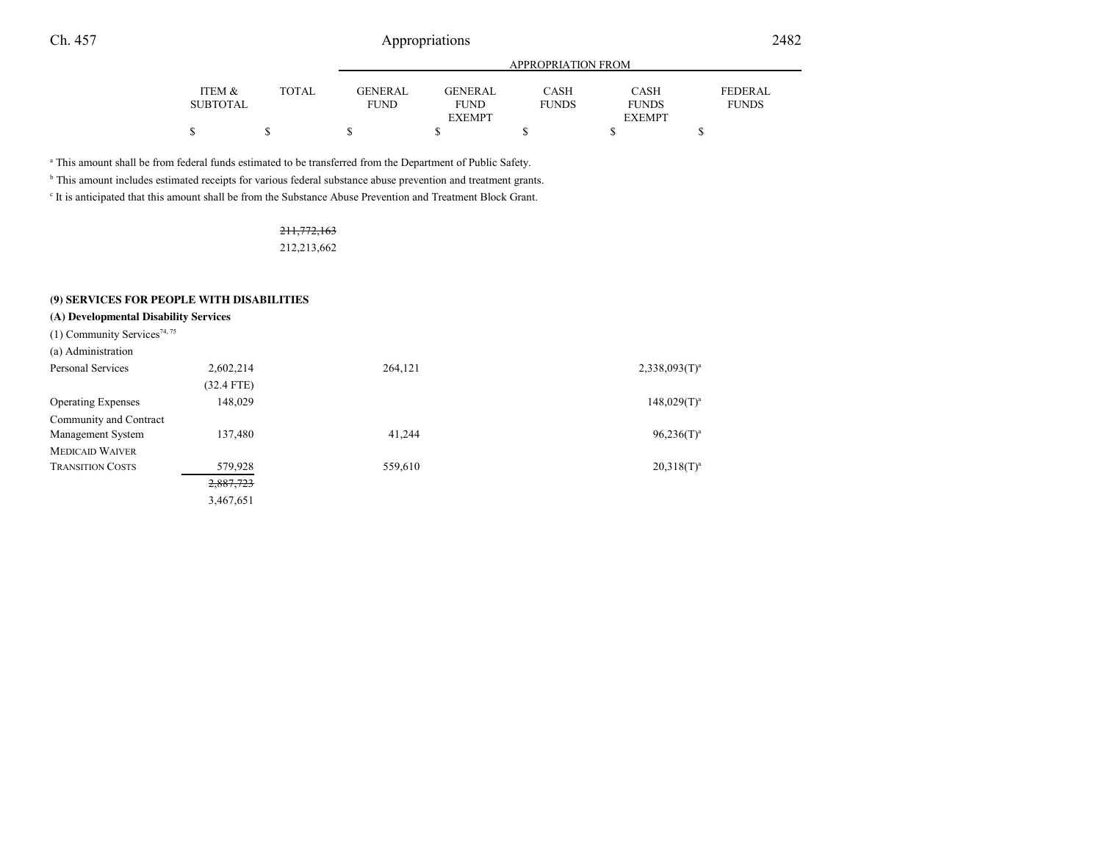|          |              | <b>APPROPRIATION FROM</b> |                |              |               |                |  |  |
|----------|--------------|---------------------------|----------------|--------------|---------------|----------------|--|--|
| ITEM &   | <b>TOTAL</b> | GENERAL                   | <b>GENERAL</b> | <b>CASH</b>  | <b>CASH</b>   | <b>FEDERAL</b> |  |  |
| SUBTOTAL |              | <b>FUND</b>               | FUND           | <b>FUNDS</b> | <b>FUNDS</b>  | <b>FUNDS</b>   |  |  |
|          |              |                           | <b>EXEMPT</b>  |              | <b>EXEMPT</b> |                |  |  |
|          |              |                           |                |              |               |                |  |  |
|          |              |                           |                |              |               |                |  |  |

a This amount shall be from federal funds estimated to be transferred from the Department of Public Safety.

<sup>b</sup> This amount includes estimated receipts for various federal substance abuse prevention and treatment grants.

c It is anticipated that this amount shall be from the Substance Abuse Prevention and Treatment Block Grant.

# 211,772,163

212,213,662

## **(9) SERVICES FOR PEOPLE WITH DISABILITIES**

| (A) Developmental Disability Services |  |  |
|---------------------------------------|--|--|
|---------------------------------------|--|--|

| (1) Community Services <sup>74, 75</sup> |            |         |                              |
|------------------------------------------|------------|---------|------------------------------|
| (a) Administration                       |            |         |                              |
| Personal Services                        | 2,602,214  | 264,121 | $2,338,093$ (T) <sup>a</sup> |
|                                          | (32.4 FTE) |         |                              |
| <b>Operating Expenses</b>                | 148,029    |         | $148,029(T)^3$               |
| Community and Contract                   |            |         |                              |
| Management System                        | 137,480    | 41,244  | $96,236(T)^3$                |
| <b>MEDICAID WAIVER</b>                   |            |         |                              |
| <b>TRANSITION COSTS</b>                  | 579,928    | 559,610 | $20,318(T)^3$                |
|                                          | 2,887,723  |         |                              |
|                                          | 3,467,651  |         |                              |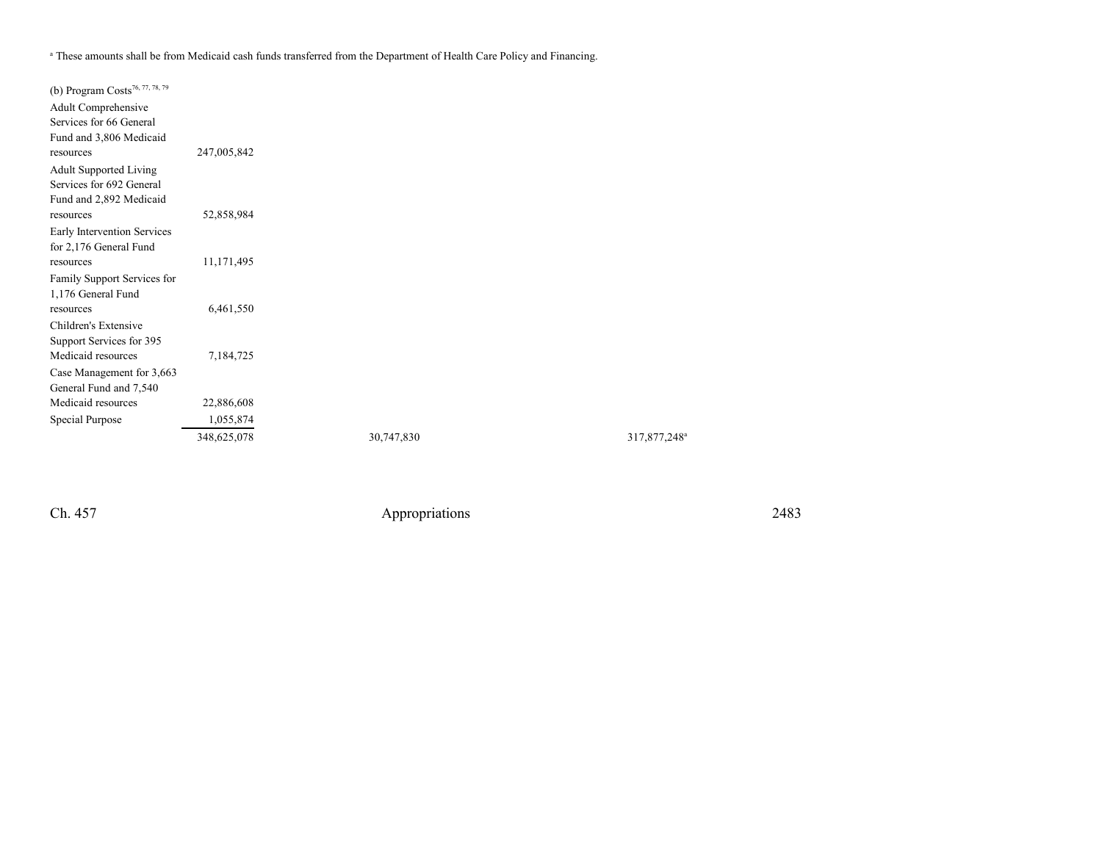a These amounts shall be from Medicaid cash funds transferred from the Department of Health Care Policy and Financing.

| (b) Program Costs <sup>76, 77, 78, 79</sup> |             |            |                          |
|---------------------------------------------|-------------|------------|--------------------------|
| Adult Comprehensive                         |             |            |                          |
| Services for 66 General                     |             |            |                          |
| Fund and 3,806 Medicaid                     |             |            |                          |
| resources                                   | 247,005,842 |            |                          |
| <b>Adult Supported Living</b>               |             |            |                          |
| Services for 692 General                    |             |            |                          |
| Fund and 2,892 Medicaid                     |             |            |                          |
| resources                                   | 52,858,984  |            |                          |
| Early Intervention Services                 |             |            |                          |
| for 2,176 General Fund                      |             |            |                          |
| resources                                   | 11,171,495  |            |                          |
| Family Support Services for                 |             |            |                          |
| 1,176 General Fund                          |             |            |                          |
| resources                                   | 6,461,550   |            |                          |
| Children's Extensive                        |             |            |                          |
| Support Services for 395                    |             |            |                          |
| Medicaid resources                          | 7,184,725   |            |                          |
| Case Management for 3,663                   |             |            |                          |
| General Fund and 7,540                      |             |            |                          |
| Medicaid resources                          | 22,886,608  |            |                          |
| Special Purpose                             | 1,055,874   |            |                          |
|                                             | 348,625,078 | 30,747,830 | 317,877,248 <sup>a</sup> |

Ch. 457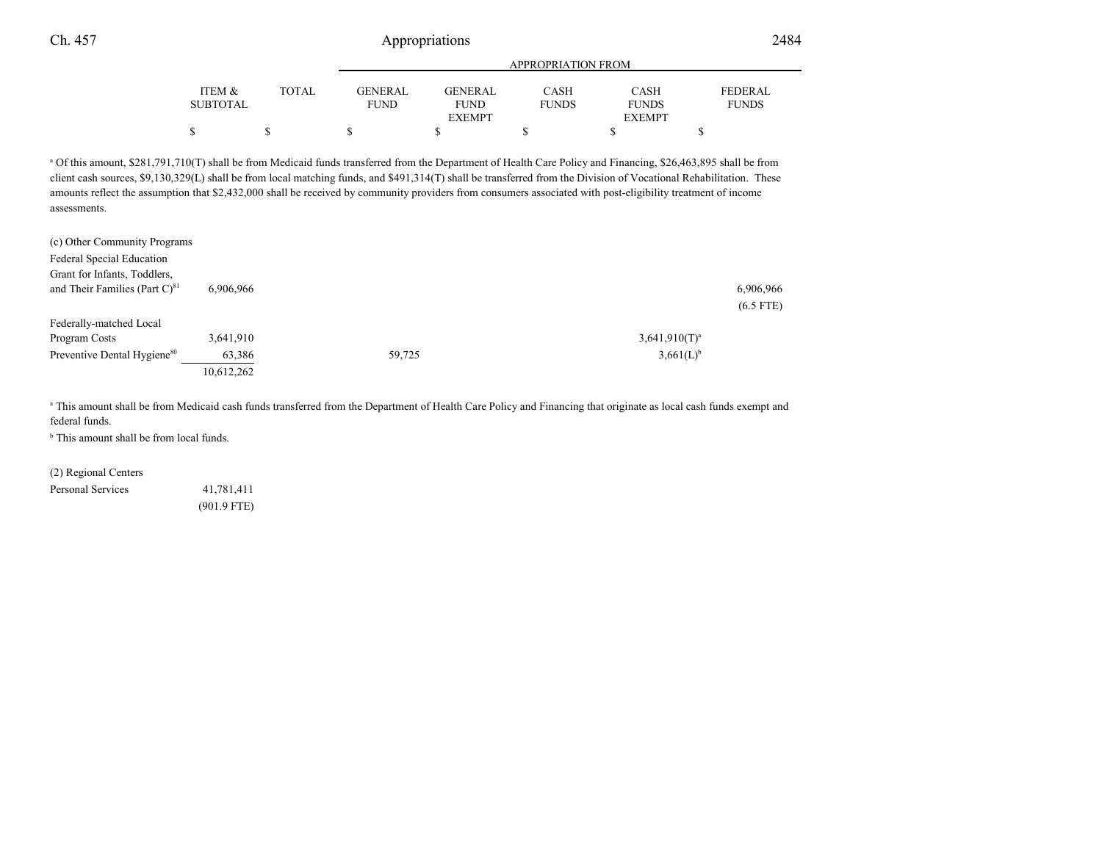|          |       | APPROPRIATION FROM |                |              |               |                |  |
|----------|-------|--------------------|----------------|--------------|---------------|----------------|--|
| ITEM &   | TOTAL | <b>GENERAL</b>     | <b>GENERAL</b> | <b>CASH</b>  | <b>CASH</b>   | <b>FEDERAL</b> |  |
| SUBTOTAL |       | <b>FUND</b>        | <b>FUND</b>    | <b>FUNDS</b> | <b>FUNDS</b>  | <b>FUNDS</b>   |  |
|          |       |                    | <b>EXEMPT</b>  |              | <b>EXEMPT</b> |                |  |
|          |       |                    |                |              |               |                |  |
|          |       |                    |                |              |               |                |  |

<sup>a</sup> Of this amount, \$281,791,710(T) shall be from Medicaid funds transferred from the Department of Health Care Policy and Financing, \$26,463,895 shall be from client cash sources, \$9,130,329(L) shall be from local matching funds, and \$491,314(T) shall be transferred from the Division of Vocational Rehabilitation. Theseamounts reflect the assumption that \$2,432,000 shall be received by community providers from consumers associated with post-eligibility treatment of incomeassessments.

| (c) Other Community Programs<br>Federal Special Education<br>Grant for Infants, Toddlers, |            |        |                  |
|-------------------------------------------------------------------------------------------|------------|--------|------------------|
| and Their Families (Part $C$ ) <sup>81</sup>                                              | 6,906,966  |        | 6,906,966        |
|                                                                                           |            |        | $(6.5$ FTE)      |
| Federally-matched Local                                                                   |            |        |                  |
| Program Costs                                                                             | 3,641,910  |        | $3,641,910(T)^a$ |
| Preventive Dental Hygiene <sup>80</sup>                                                   | 63,386     | 59,725 | $3,661(L)^{b}$   |
|                                                                                           | 10,612,262 |        |                  |

a This amount shall be from Medicaid cash funds transferred from the Department of Health Care Policy and Financing that originate as local cash funds exempt and federal funds.

<sup>b</sup> This amount shall be from local funds.

(2) Regional Centers

Personal Services 41,781,411 (901.9 FTE)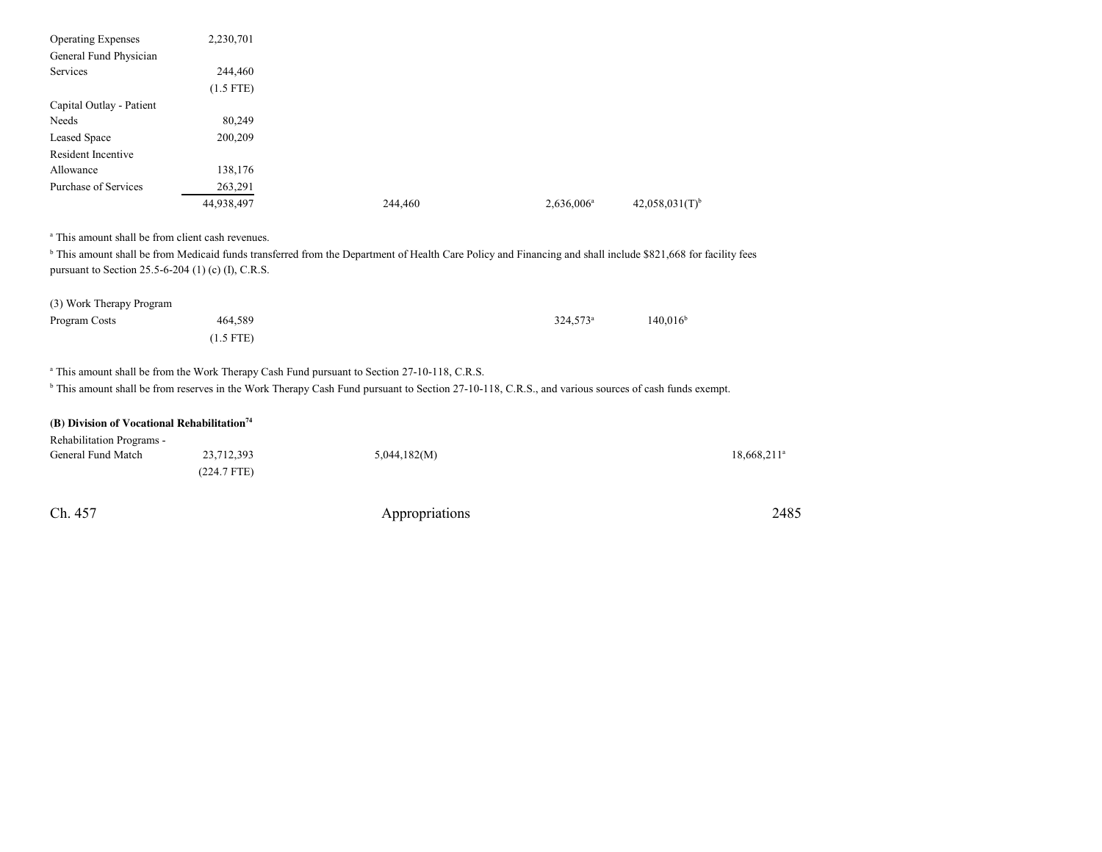| <b>Operating Expenses</b> | 2,230,701   |         |               |                              |
|---------------------------|-------------|---------|---------------|------------------------------|
| General Fund Physician    |             |         |               |                              |
| Services                  | 244,460     |         |               |                              |
|                           | $(1.5$ FTE) |         |               |                              |
| Capital Outlay - Patient  |             |         |               |                              |
| Needs                     | 80,249      |         |               |                              |
| Leased Space              | 200,209     |         |               |                              |
| Resident Incentive        |             |         |               |                              |
| Allowance                 | 138,176     |         |               |                              |
| Purchase of Services      | 263,291     |         |               |                              |
|                           | 44,938,497  | 244,460 | $2,636,006^a$ | $42,058,031(T)$ <sup>b</sup> |

<sup>a</sup> This amount shall be from client cash revenues.

<sup>b</sup> This amount shall be from Medicaid funds transferred from the Department of Health Care Policy and Financing and shall include \$821,668 for facility fees pursuant to Section 25.5-6-204 (1) (c) (I), C.R.S.

| (3) Work Therapy Program |             |             |             |
|--------------------------|-------------|-------------|-------------|
| Program Costs            | 464,589     | $324.573^a$ | $140,016^b$ |
|                          | $(1.5$ FTE) |             |             |

<sup>a</sup> This amount shall be from the Work Therapy Cash Fund pursuant to Section 27-10-118, C.R.S.

<sup>b</sup> This amount shall be from reserves in the Work Therapy Cash Fund pursuant to Section 27-10-118, C.R.S., and various sources of cash funds exempt.

| (B) Division of Vocational Rehabilitation <sup>74</sup> |               |              |            |
|---------------------------------------------------------|---------------|--------------|------------|
| Rehabilitation Programs -                               |               |              |            |
| General Fund Match                                      | 23,712,393    | 5,044,182(M) | 18.668.211 |
|                                                         | $(224.7$ FTE) |              |            |
|                                                         |               |              |            |

| Ch. 457<br>____ | Appropriations | 2485 |
|-----------------|----------------|------|
|-----------------|----------------|------|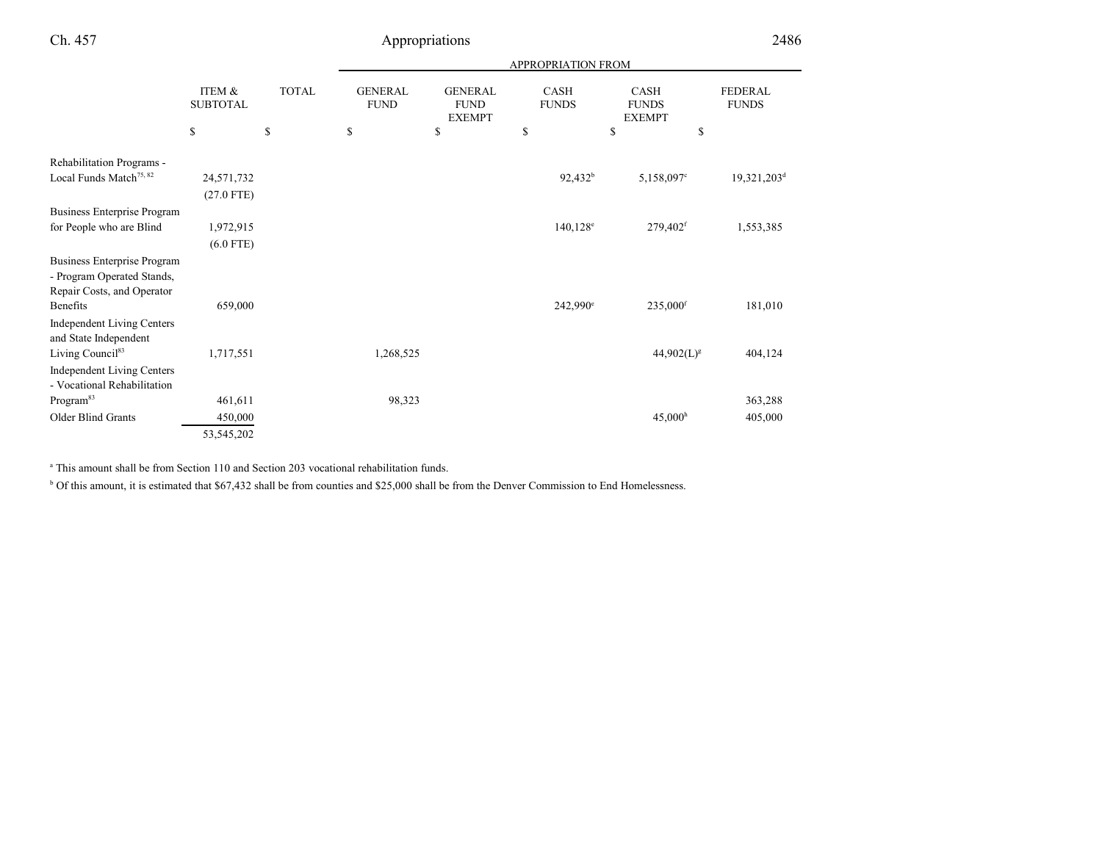|                                                                                                |                                             |              | <b>APPROPRIATION FROM</b>     |                                                |                             |                                              |                                |
|------------------------------------------------------------------------------------------------|---------------------------------------------|--------------|-------------------------------|------------------------------------------------|-----------------------------|----------------------------------------------|--------------------------------|
|                                                                                                | ITEM &<br><b>SUBTOTAL</b>                   | <b>TOTAL</b> | <b>GENERAL</b><br><b>FUND</b> | <b>GENERAL</b><br><b>FUND</b><br><b>EXEMPT</b> | <b>CASH</b><br><b>FUNDS</b> | <b>CASH</b><br><b>FUNDS</b><br><b>EXEMPT</b> | <b>FEDERAL</b><br><b>FUNDS</b> |
|                                                                                                | $\mathbb{S}% _{n}^{X\rightarrow\mathbb{R}}$ | \$           | $\mathbb{S}$                  | \$                                             | \$                          | \$<br>\$                                     |                                |
| Rehabilitation Programs -                                                                      |                                             |              |                               |                                                |                             |                                              |                                |
| Local Funds Match <sup>75, 82</sup>                                                            | 24,571,732<br>$(27.0$ FTE)                  |              |                               |                                                | 92,432 <sup>b</sup>         | 5,158,097°                                   | 19,321,203 <sup>d</sup>        |
| Business Enterprise Program                                                                    |                                             |              |                               |                                                |                             |                                              |                                |
| for People who are Blind                                                                       | 1,972,915<br>$(6.0$ FTE)                    |              |                               |                                                | $140,128^e$                 | $279,402$ <sup>f</sup>                       | 1,553,385                      |
| <b>Business Enterprise Program</b><br>- Program Operated Stands,<br>Repair Costs, and Operator |                                             |              |                               |                                                |                             |                                              |                                |
| Benefits                                                                                       | 659,000                                     |              |                               |                                                | 242,990 <sup>e</sup>        | 235,000 <sup>f</sup>                         | 181,010                        |
| Independent Living Centers<br>and State Independent                                            |                                             |              |                               |                                                |                             |                                              |                                |
| Living Council <sup>83</sup>                                                                   | 1,717,551                                   |              | 1,268,525                     |                                                |                             | $44,902(L)^{g}$                              | 404,124                        |
| <b>Independent Living Centers</b><br>- Vocational Rehabilitation                               |                                             |              |                               |                                                |                             |                                              |                                |
| Program <sup>83</sup>                                                                          | 461,611                                     |              | 98,323                        |                                                |                             |                                              | 363,288                        |
| Older Blind Grants                                                                             | 450,000                                     |              |                               |                                                |                             | 45,000 <sup>h</sup>                          | 405,000                        |
|                                                                                                | 53,545,202                                  |              |                               |                                                |                             |                                              |                                |

<sup>a</sup> This amount shall be from Section 110 and Section 203 vocational rehabilitation funds.

<sup>b</sup> Of this amount, it is estimated that \$67,432 shall be from counties and \$25,000 shall be from the Denver Commission to End Homelessness.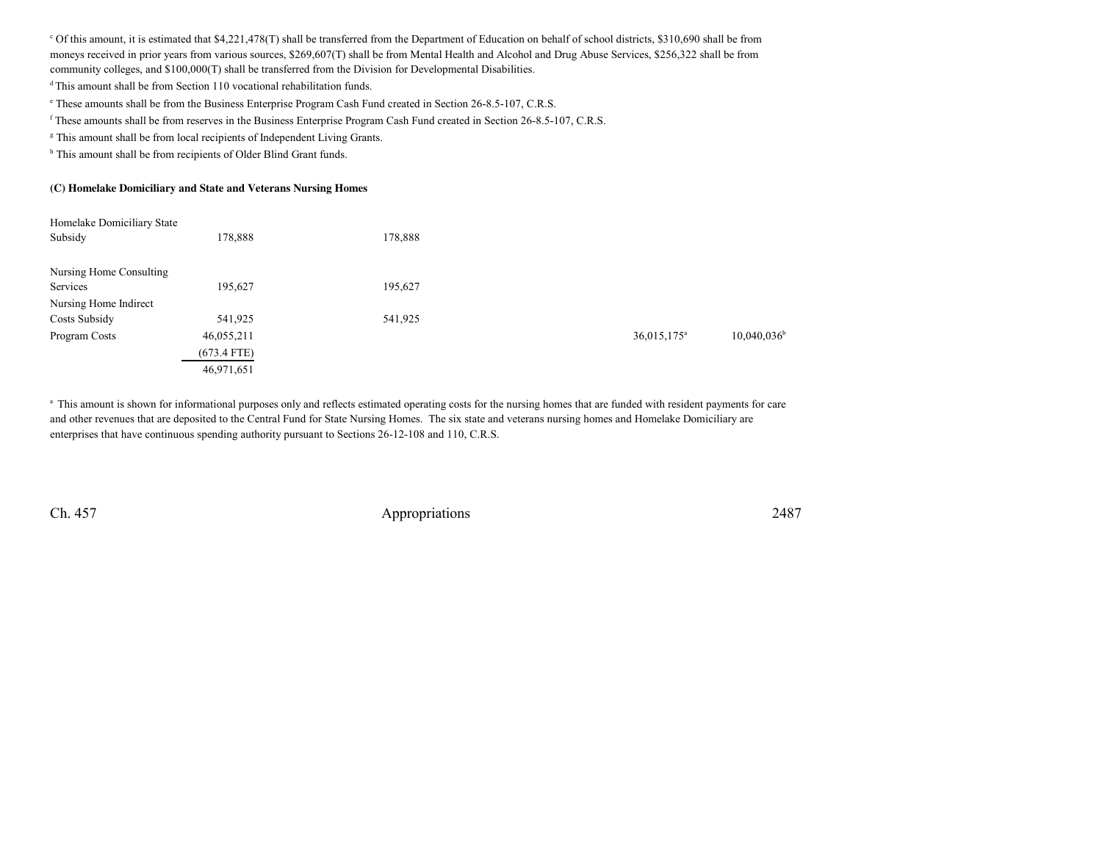$\degree$  Of this amount, it is estimated that \$4,221,478(T) shall be transferred from the Department of Education on behalf of school districts, \$310,690 shall be from moneys received in prior years from various sources, \$269,607(T) shall be from Mental Health and Alcohol and Drug Abuse Services, \$256,322 shall be fromcommunity colleges, and \$100,000(T) shall be transferred from the Division for Developmental Disabilities.

<sup>d</sup>This amount shall be from Section 110 vocational rehabilitation funds.

e These amounts shall be from the Business Enterprise Program Cash Fund created in Section 26-8.5-107, C.R.S.

<sup>f</sup> These amounts shall be from reserves in the Business Enterprise Program Cash Fund created in Section 26-8.5-107, C.R.S.

<sup>g</sup> This amount shall be from local recipients of Independent Living Grants.

h This amount shall be from recipients of Older Blind Grant funds.

## **(C) Homelake Domiciliary and State and Veterans Nursing Homes**

| Homelake Domiciliary State |               |         |                         |                      |
|----------------------------|---------------|---------|-------------------------|----------------------|
| Subsidy                    | 178,888       | 178,888 |                         |                      |
| Nursing Home Consulting    |               |         |                         |                      |
| Services                   | 195,627       | 195,627 |                         |                      |
| Nursing Home Indirect      |               |         |                         |                      |
| Costs Subsidy              | 541,925       | 541,925 |                         |                      |
| Program Costs              | 46,055,211    |         | 36,015,175 <sup>a</sup> | $10,040,036^{\rm b}$ |
|                            | $(673.4$ FTE) |         |                         |                      |
|                            | 46,971,651    |         |                         |                      |

<sup>a</sup> This amount is shown for informational purposes only and reflects estimated operating costs for the nursing homes that are funded with resident payments for care and other revenues that are deposited to the Central Fund for State Nursing Homes. The six state and veterans nursing homes and Homelake Domiciliary areenterprises that have continuous spending authority pursuant to Sections 26-12-108 and 110, C.R.S.

Ch. 457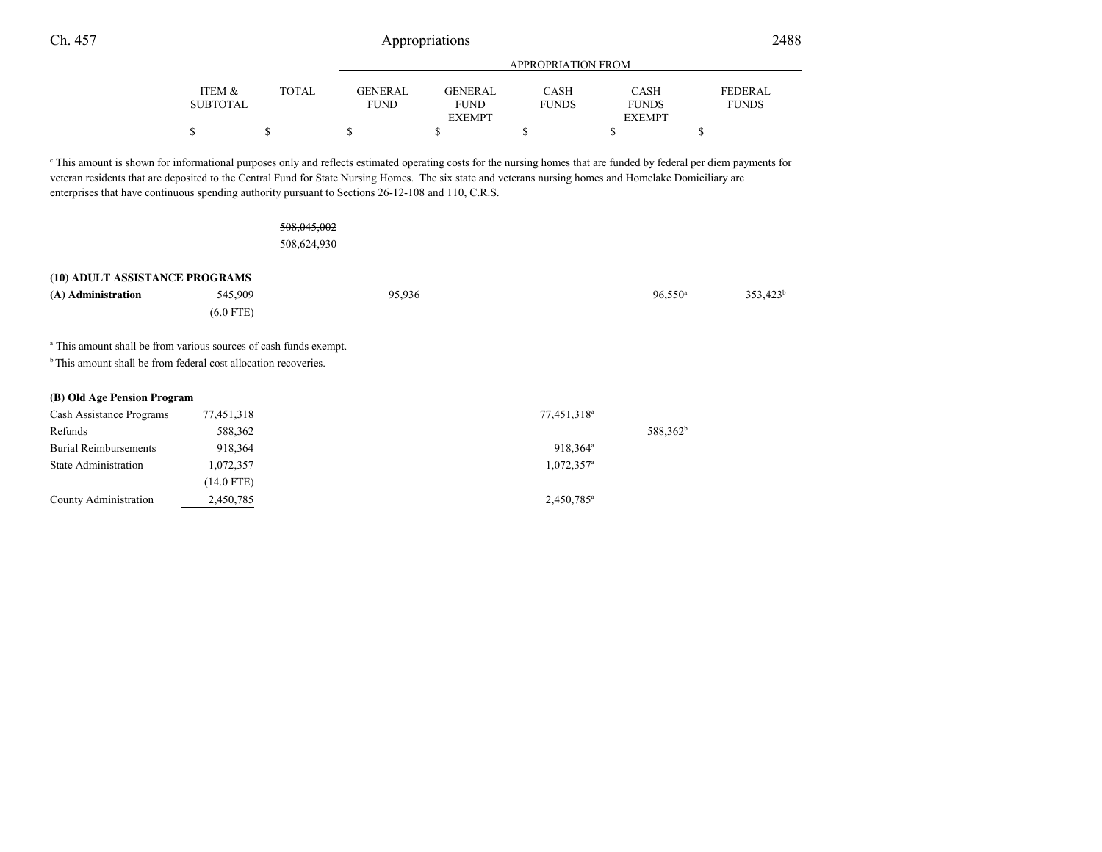|                 |       | APPROPRIATION FROM |                |              |               |                |
|-----------------|-------|--------------------|----------------|--------------|---------------|----------------|
| ITEM &          | TOTAL | GENERAL            | <b>GENERAL</b> | CASH         | CASH          | <b>FEDERAL</b> |
| <b>SUBTOTAL</b> |       | <b>FUND</b>        | <b>FUND</b>    | <b>FUNDS</b> | <b>FUNDS</b>  | <b>FUNDS</b>   |
|                 |       |                    | <b>EXEMPT</b>  |              | <b>EXEMPT</b> |                |
|                 |       |                    |                |              |               |                |

c This amount is shown for informational purposes only and reflects estimated operating costs for the nursing homes that are funded by federal per diem payments forveteran residents that are deposited to the Central Fund for State Nursing Homes. The six state and veterans nursing homes and Homelake Domiciliary areenterprises that have continuous spending authority pursuant to Sections 26-12-108 and 110, C.R.S.

## 508,045,002508,624,930

| (10) ADULT ASSISTANCE PROGRAMS                                               |              |        |                         |                      |             |
|------------------------------------------------------------------------------|--------------|--------|-------------------------|----------------------|-------------|
| (A) Administration                                                           | 545,909      | 95,936 |                         | $96,550^{\circ}$     | $353,423^t$ |
|                                                                              | $(6.0$ FTE)  |        |                         |                      |             |
| <sup>a</sup> This amount shall be from various sources of cash funds exempt. |              |        |                         |                      |             |
| <sup>b</sup> This amount shall be from federal cost allocation recoveries.   |              |        |                         |                      |             |
| (B) Old Age Pension Program                                                  |              |        |                         |                      |             |
| Cash Assistance Programs                                                     | 77,451,318   |        | 77,451,318 <sup>a</sup> |                      |             |
| Refunds                                                                      | 588,362      |        |                         | 588,362 <sup>b</sup> |             |
| <b>Burial Reimbursements</b>                                                 | 918,364      |        | 918,364 <sup>a</sup>    |                      |             |
| State Administration                                                         | 1,072,357    |        | 1,072,357 <sup>a</sup>  |                      |             |
|                                                                              | $(14.0$ FTE) |        |                         |                      |             |
| County Administration                                                        | 2,450,785    |        | 2,450,785 <sup>a</sup>  |                      |             |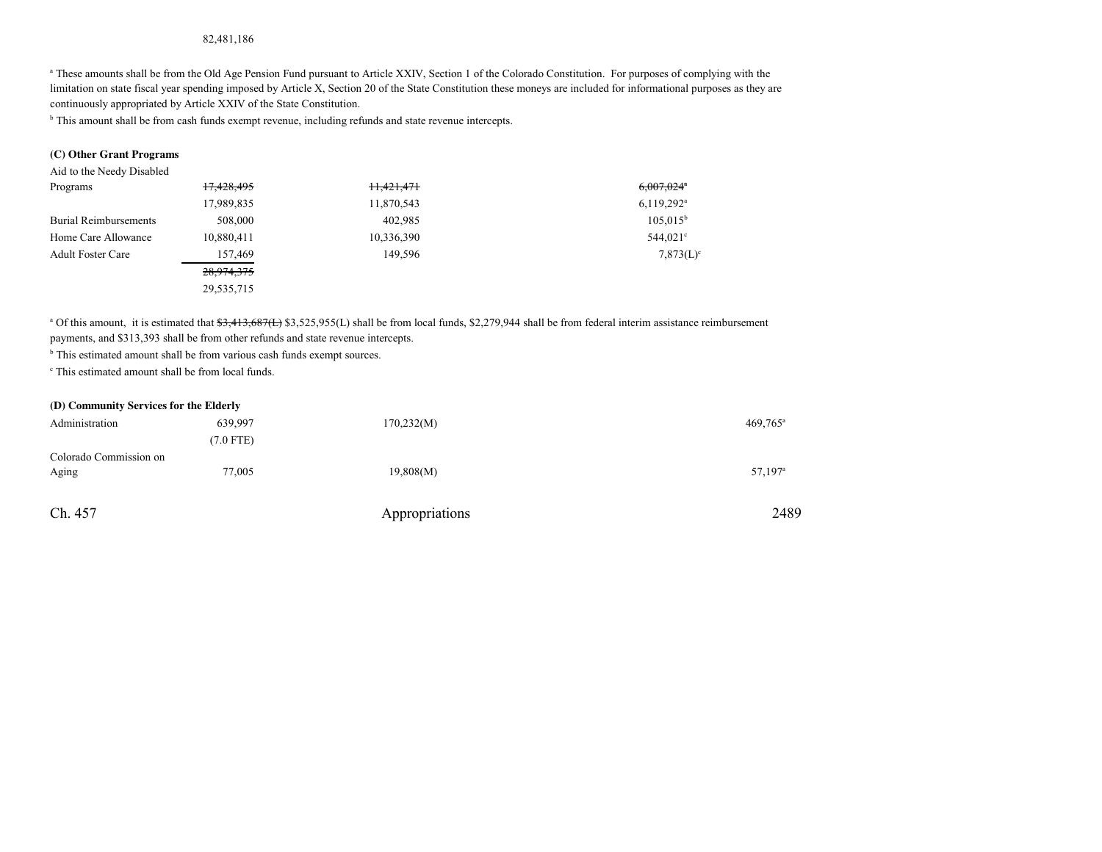## 82,481,186

<sup>a</sup> These amounts shall be from the Old Age Pension Fund pursuant to Article XXIV, Section 1 of the Colorado Constitution. For purposes of complying with the limitation on state fiscal year spending imposed by Article X, Section 20 of the State Constitution these moneys are included for informational purposes as they arecontinuously appropriated by Article XXIV of the State Constitution.

<sup>b</sup> This amount shall be from cash funds exempt revenue, including refunds and state revenue intercepts.

## **(C) Other Grant Programs**

Aid to the Needy Disabled

| Programs                     | 17,428,495 | H <sub>3</sub> 421,471 | $6,007,024$ <sup>*</sup> |
|------------------------------|------------|------------------------|--------------------------|
|                              | 17,989,835 | 11,870,543             | $6,119,292^{\text{a}}$   |
| <b>Burial Reimbursements</b> | 508,000    | 402.985                | $105.015^{\rm b}$        |
| Home Care Allowance          | 10,880,411 | 10,336,390             | 544,021 <sup>c</sup>     |
| <b>Adult Foster Care</b>     | 157,469    | 149.596                | $7,873(L)$ <sup>c</sup>  |
|                              | 28,974,375 |                        |                          |
|                              | 29,535,715 |                        |                          |

<sup>a</sup> Of this amount, it is estimated that  $33,413,687($  \$3,525,955(L) shall be from local funds, \$2,279,944 shall be from federal interim assistance reimbursement payments, and \$313,393 shall be from other refunds and state revenue intercepts.

<sup>b</sup> This estimated amount shall be from various cash funds exempt sources.

c This estimated amount shall be from local funds.

### **(D) Community Services for the Elderly**

| Administration         | 639,997     | 170,232(M)     | $469,765$ <sup>a</sup> |
|------------------------|-------------|----------------|------------------------|
|                        | $(7.0$ FTE) |                |                        |
| Colorado Commission on |             |                |                        |
| Aging                  | 77,005      | 19,808(M)      | 57,197 <sup>a</sup>    |
|                        |             |                |                        |
| Ch. 457                |             | Appropriations | 2489                   |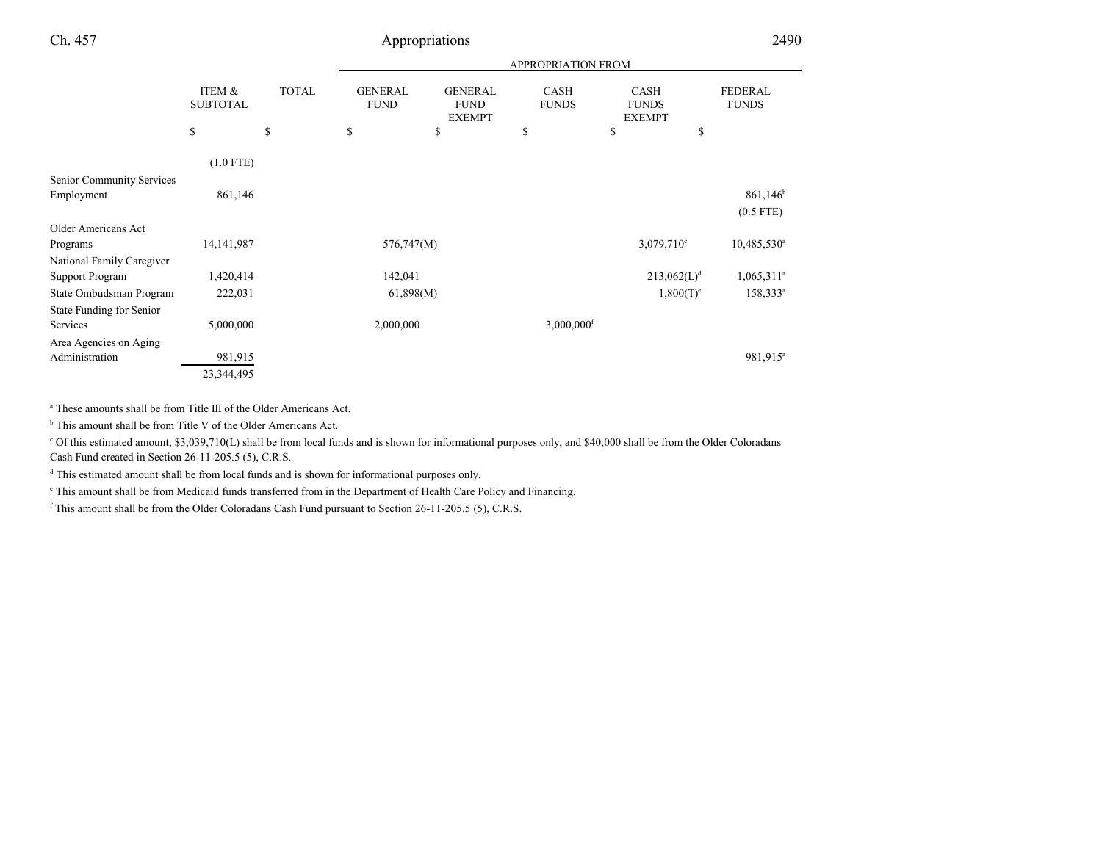|                                 |                                      |              | APPROPRIATION FROM            |                                                |                             |                                              |    |                                |
|---------------------------------|--------------------------------------|--------------|-------------------------------|------------------------------------------------|-----------------------------|----------------------------------------------|----|--------------------------------|
|                                 | <b>ITEM &amp;</b><br><b>SUBTOTAL</b> | <b>TOTAL</b> | <b>GENERAL</b><br><b>FUND</b> | <b>GENERAL</b><br><b>FUND</b><br><b>EXEMPT</b> | <b>CASH</b><br><b>FUNDS</b> | <b>CASH</b><br><b>FUNDS</b><br><b>EXEMPT</b> |    | <b>FEDERAL</b><br><b>FUNDS</b> |
|                                 | \$                                   | \$           | \$                            | \$                                             | \$                          | \$                                           | \$ |                                |
|                                 | $(1.0$ FTE)                          |              |                               |                                                |                             |                                              |    |                                |
| Senior Community Services       |                                      |              |                               |                                                |                             |                                              |    |                                |
| Employment                      | 861,146                              |              |                               |                                                |                             |                                              |    | $861,146$ <sup>b</sup>         |
|                                 |                                      |              |                               |                                                |                             |                                              |    | $(0.5$ FTE)                    |
| <b>Older Americans Act</b>      |                                      |              |                               |                                                |                             |                                              |    |                                |
| Programs                        | 14, 141, 987                         |              | 576,747(M)                    |                                                |                             | $3,079,710^{\circ}$                          |    | $10,485,530$ <sup>a</sup>      |
| National Family Caregiver       |                                      |              |                               |                                                |                             |                                              |    |                                |
| <b>Support Program</b>          | 1,420,414                            |              | 142,041                       |                                                |                             | $213,062(L)^d$                               |    | $1,065,311^a$                  |
| State Ombudsman Program         | 222,031                              |              | 61,898(M)                     |                                                |                             | $1,800(T)^e$                                 |    | $158,333^a$                    |
| <b>State Funding for Senior</b> |                                      |              |                               |                                                |                             |                                              |    |                                |
| Services                        | 5,000,000                            |              | 2,000,000                     |                                                | $3,000,000$ <sup>f</sup>    |                                              |    |                                |
| Area Agencies on Aging          |                                      |              |                               |                                                |                             |                                              |    |                                |
| Administration                  | 981,915                              |              |                               |                                                |                             |                                              |    | 981,915 <sup>a</sup>           |
|                                 | 23,344,495                           |              |                               |                                                |                             |                                              |    |                                |

a These amounts shall be from Title III of the Older Americans Act.

<sup>b</sup> This amount shall be from Title V of the Older Americans Act.

c Of this estimated amount, \$3,039,710(L) shall be from local funds and is shown for informational purposes only, and \$40,000 shall be from the Older ColoradansCash Fund created in Section 26-11-205.5 (5), C.R.S.

<sup>d</sup> This estimated amount shall be from local funds and is shown for informational purposes only.

e This amount shall be from Medicaid funds transferred from in the Department of Health Care Policy and Financing.

<sup>f</sup> This amount shall be from the Older Coloradans Cash Fund pursuant to Section 26-11-205.5 (5), C.R.S.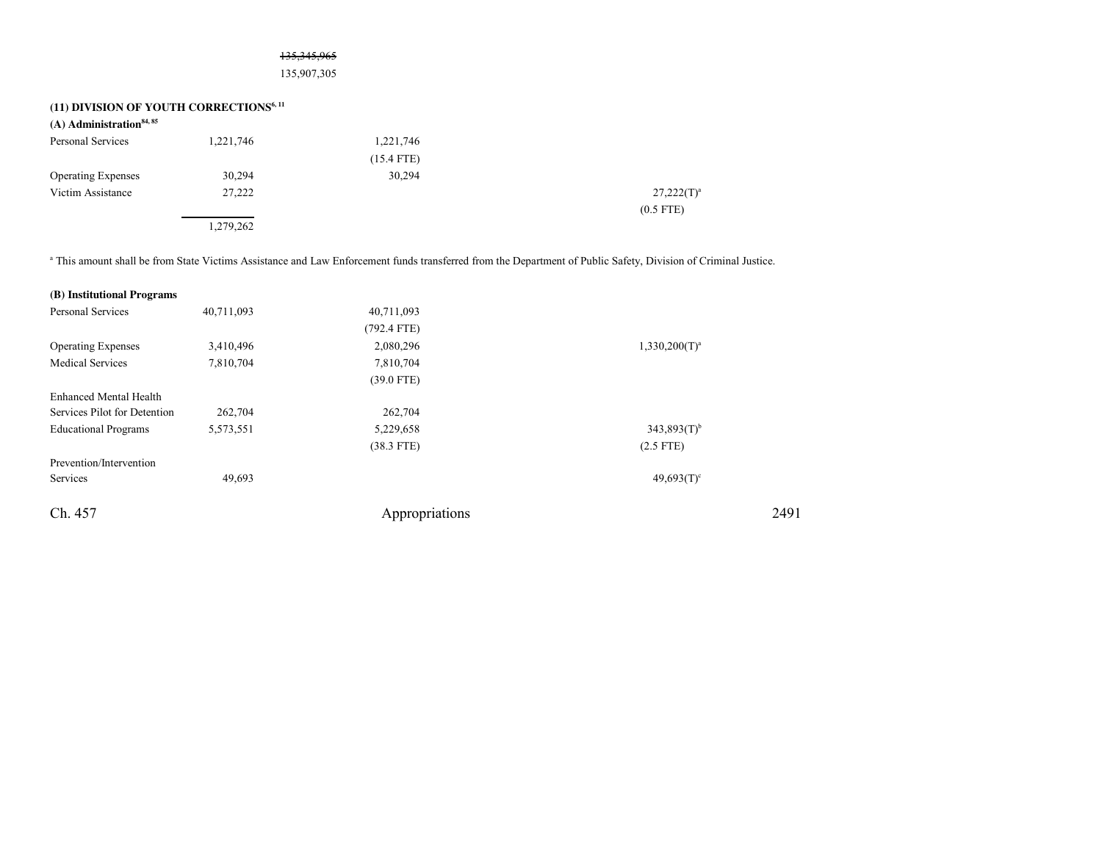## 135,345,965

135,907,305

| (11) DIVISION OF YOUTH CORRECTIONS <sup>6, 11</sup> |           |              |               |
|-----------------------------------------------------|-----------|--------------|---------------|
| $(A)$ Administration <sup>84, 85</sup>              |           |              |               |
| Personal Services                                   | 1,221,746 | 1,221,746    |               |
|                                                     |           | $(15.4$ FTE) |               |
| <b>Operating Expenses</b>                           | 30,294    | 30,294       |               |
| Victim Assistance                                   | 27,222    |              | $27,222(T)^3$ |
|                                                     |           |              | $(0.5$ FTE)   |
|                                                     | 1,279,262 |              |               |

a This amount shall be from State Victims Assistance and Law Enforcement funds transferred from the Department of Public Safety, Division of Criminal Justice.

| 40,711,093 | 40,711,093     |                           |
|------------|----------------|---------------------------|
|            | $(792.4$ FTE)  |                           |
| 3,410,496  | 2,080,296      | $1,330,200(T)^a$          |
| 7,810,704  | 7,810,704      |                           |
|            | $(39.0$ FTE)   |                           |
|            |                |                           |
| 262,704    | 262,704        |                           |
| 5,573,551  | 5,229,658      | $343,893(T)$ <sup>b</sup> |
|            | $(38.3$ FTE)   | $(2.5$ FTE)               |
|            |                |                           |
| 49,693     |                | $49,693(T)$ <sup>c</sup>  |
|            | Appropriations | 2491                      |
|            |                |                           |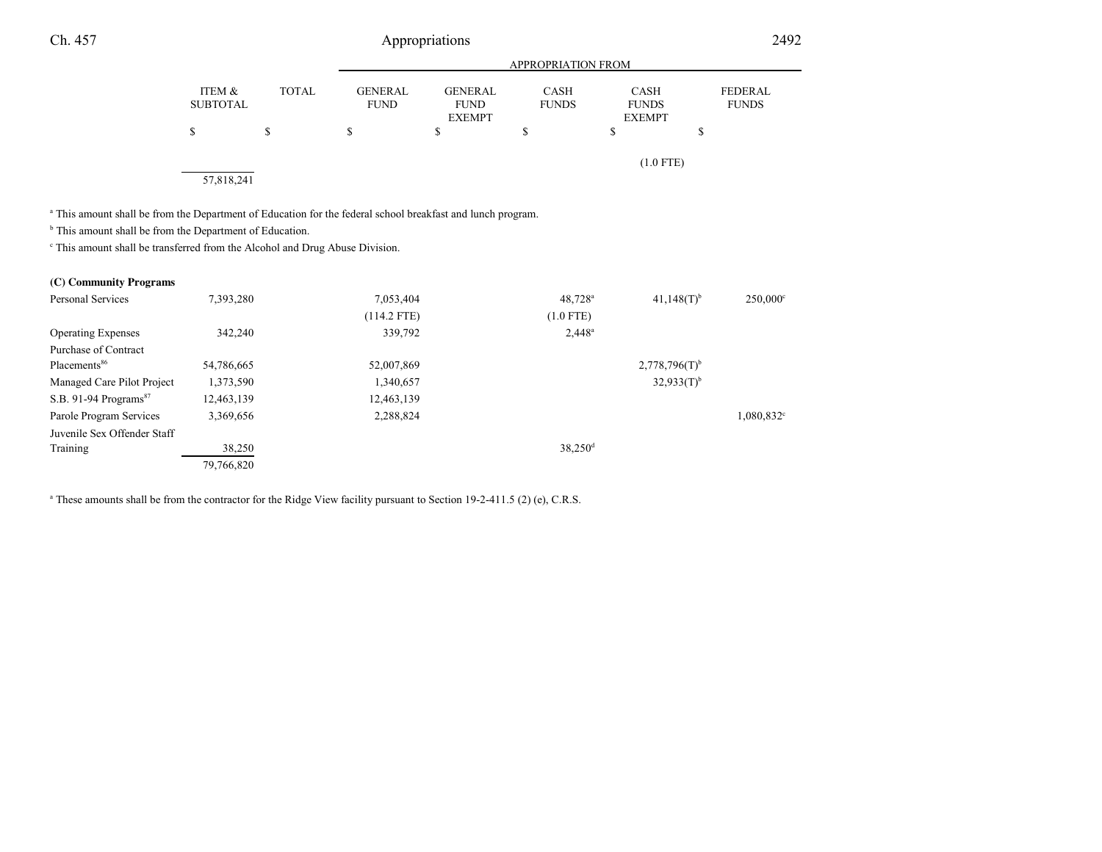|                                      |              |                               | <b>APPROPRIATION FROM</b>                      |                             |                                              |                                |  |  |
|--------------------------------------|--------------|-------------------------------|------------------------------------------------|-----------------------------|----------------------------------------------|--------------------------------|--|--|
| <b>ITEM &amp;</b><br><b>SUBTOTAL</b> | <b>TOTAL</b> | <b>GENERAL</b><br><b>FUND</b> | <b>GENERAL</b><br><b>FUND</b><br><b>EXEMPT</b> | <b>CASH</b><br><b>FUNDS</b> | <b>CASH</b><br><b>FUNDS</b><br><b>EXEMPT</b> | <b>FEDERAL</b><br><b>FUNDS</b> |  |  |
| S                                    | S            | \$                            | \$                                             | S                           | \$                                           | \$                             |  |  |
| 57,818,241                           |              |                               |                                                |                             | $(1.0$ FTE)                                  |                                |  |  |

a This amount shall be from the Department of Education for the federal school breakfast and lunch program.

<sup>b</sup> This amount shall be from the Department of Education.

 $\epsilon$  This amount shall be transferred from the Alcohol and Drug Abuse Division.

| (C) Community Programs              |            |               |                       |                             |                          |
|-------------------------------------|------------|---------------|-----------------------|-----------------------------|--------------------------|
| Personal Services                   | 7,393,280  | 7,053,404     | $48.728$ <sup>a</sup> | $41.148(T)$ <sup>b</sup>    | $250,000^{\circ}$        |
|                                     |            | $(114.2$ FTE) | $(1.0$ FTE)           |                             |                          |
| <b>Operating Expenses</b>           | 342,240    | 339,792       | $2,448^a$             |                             |                          |
| Purchase of Contract                |            |               |                       |                             |                          |
| Placements <sup>86</sup>            | 54,786,665 | 52,007,869    |                       | $2,778,796(T)$ <sup>b</sup> |                          |
| Managed Care Pilot Project          | 1,373,590  | 1,340,657     |                       | $32,933(T)^{b}$             |                          |
| $S.B. 91-94$ Programs <sup>87</sup> | 12,463,139 | 12,463,139    |                       |                             |                          |
| Parole Program Services             | 3,369,656  | 2,288,824     |                       |                             | $1,080,832$ <sup>c</sup> |
| Juvenile Sex Offender Staff         |            |               |                       |                             |                          |
| Training                            | 38,250     |               | $38,250$ <sup>d</sup> |                             |                          |
|                                     | 79,766,820 |               |                       |                             |                          |

<sup>a</sup> These amounts shall be from the contractor for the Ridge View facility pursuant to Section 19-2-411.5 (2) (e), C.R.S.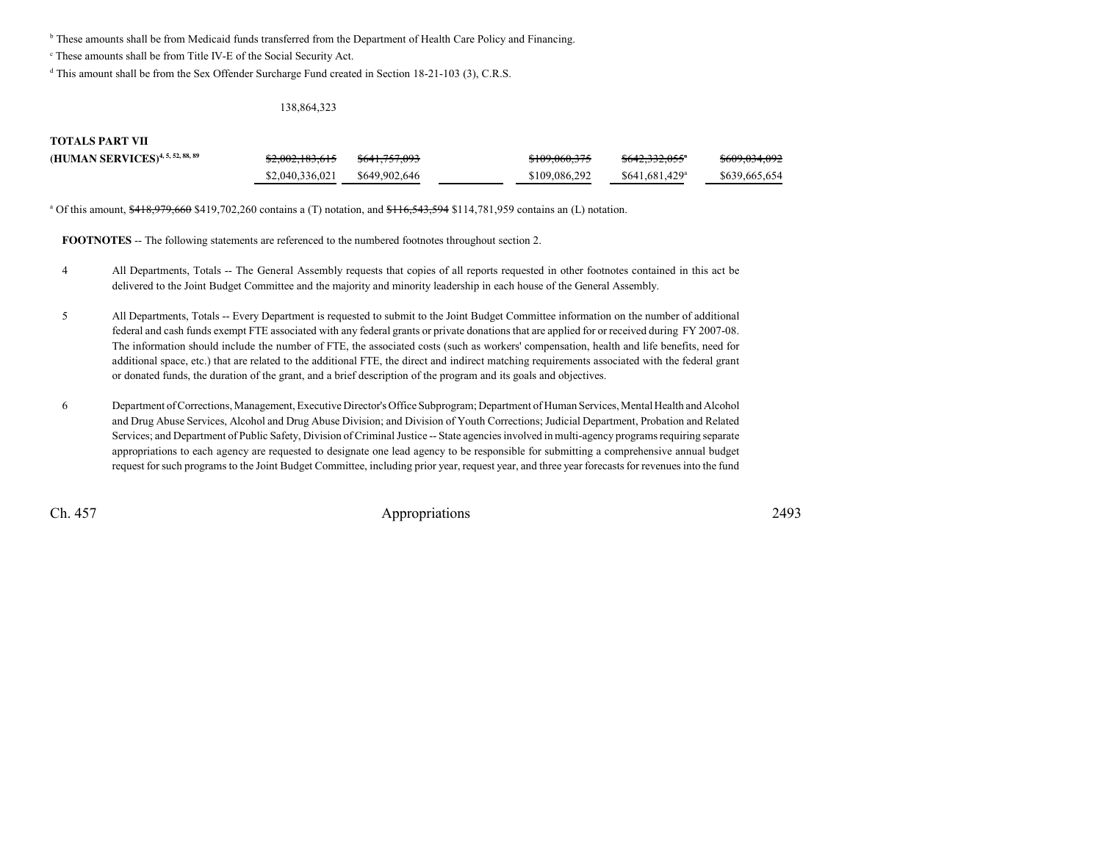<sup>b</sup> These amounts shall be from Medicaid funds transferred from the Department of Health Care Policy and Financing.

c These amounts shall be from Title IV-E of the Social Security Act.

<sup>d</sup> This amount shall be from the Sex Offender Surcharge Fund created in Section 18-21-103 (3), C.R.S.

## 138,864,323

## **TOTALS PART VII**

| (HUMAN SERVICES) <sup>4, 5, 52, 88, 89</sup> | \$2,002,183,615 | <del>\$641.757.093</del> | \$109,060,375 | <del>\$642,332,055</del> ª  | <del>\$609,034,092</del> |
|----------------------------------------------|-----------------|--------------------------|---------------|-----------------------------|--------------------------|
|                                              | \$2,040,336,021 | \$649,902,646            | \$109,086.292 | $$641.681.429$ <sup>a</sup> | \$639,665,654            |

<sup>a</sup> Of this amount,  $\frac{418,979,660}{9419,702,260}$  contains a (T) notation, and  $\frac{416,543,594}{914,781,959}$  contains an (L) notation.

**FOOTNOTES** -- The following statements are referenced to the numbered footnotes throughout section 2.

- <sup>4</sup> All Departments, Totals -- The General Assembly requests that copies of all reports requested in other footnotes contained in this act be delivered to the Joint Budget Committee and the majority and minority leadership in each house of the General Assembly.
- <sup>5</sup> All Departments, Totals -- Every Department is requested to submit to the Joint Budget Committee information on the number of additional federal and cash funds exempt FTE associated with any federal grants or private donations that are applied for or received during FY 2007-08.The information should include the number of FTE, the associated costs (such as workers' compensation, health and life benefits, need foradditional space, etc.) that are related to the additional FTE, the direct and indirect matching requirements associated with the federal grantor donated funds, the duration of the grant, and a brief description of the program and its goals and objectives.
- <sup>6</sup> Department of Corrections, Management, Executive Director's Office Subprogram; Department of Human Services, Mental Health and Alcohol and Drug Abuse Services, Alcohol and Drug Abuse Division; and Division of Youth Corrections; Judicial Department, Probation and Related Services; and Department of Public Safety, Division of Criminal Justice -- State agencies involved in multi-agency programs requiring separate appropriations to each agency are requested to designate one lead agency to be responsible for submitting a comprehensive annual budgetrequest for such programs to the Joint Budget Committee, including prior year, request year, and three year forecasts for revenues into the fund

Ch. 457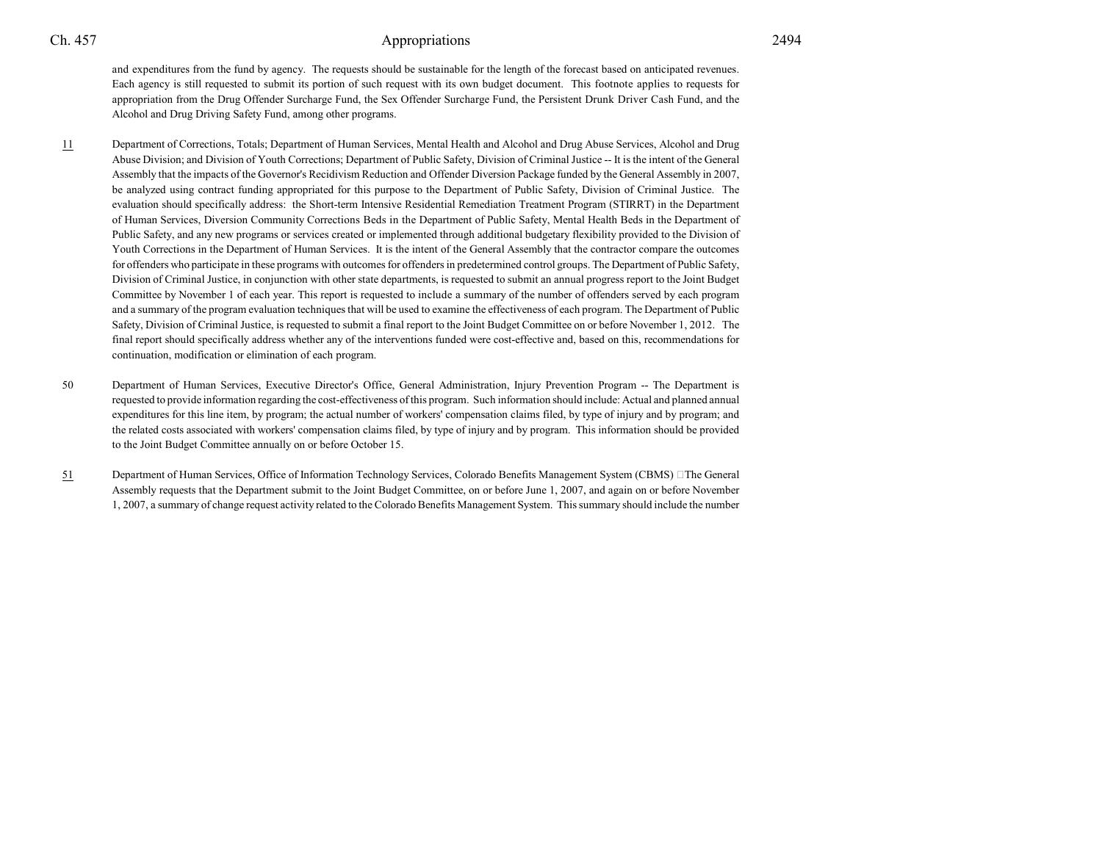and expenditures from the fund by agency. The requests should be sustainable for the length of the forecast based on anticipated revenues.Each agency is still requested to submit its portion of such request with its own budget document. This footnote applies to requests for appropriation from the Drug Offender Surcharge Fund, the Sex Offender Surcharge Fund, the Persistent Drunk Driver Cash Fund, and theAlcohol and Drug Driving Safety Fund, among other programs.

- 11 Department of Corrections, Totals; Department of Human Services, Mental Health and Alcohol and Drug Abuse Services, Alcohol and Drug Abuse Division; and Division of Youth Corrections; Department of Public Safety, Division of Criminal Justice -- It is the intent of the GeneralAssembly that the impacts of the Governor's Recidivism Reduction and Offender Diversion Package funded by the General Assembly in 2007,be analyzed using contract funding appropriated for this purpose to the Department of Public Safety, Division of Criminal Justice. The evaluation should specifically address: the Short-term Intensive Residential Remediation Treatment Program (STIRRT) in the Departmentof Human Services, Diversion Community Corrections Beds in the Department of Public Safety, Mental Health Beds in the Department ofPublic Safety, and any new programs or services created or implemented through additional budgetary flexibility provided to the Division ofYouth Corrections in the Department of Human Services. It is the intent of the General Assembly that the contractor compare the outcomes for offenders who participate in these programs with outcomes for offenders in predetermined control groups. The Department of Public Safety,Division of Criminal Justice, in conjunction with other state departments, is requested to submit an annual progress report to the Joint BudgetCommittee by November 1 of each year. This report is requested to include a summary of the number of offenders served by each program and a summary of the program evaluation techniques that will be used to examine the effectiveness of each program. The Department of Public Safety, Division of Criminal Justice, is requested to submit a final report to the Joint Budget Committee on or before November 1, 2012. The final report should specifically address whether any of the interventions funded were cost-effective and, based on this, recommendations forcontinuation, modification or elimination of each program.
- <sup>50</sup> Department of Human Services, Executive Director's Office, General Administration, Injury Prevention Program -- The Department is requested to provide information regarding the cost-effectiveness of this program. Such information should include: Actual and planned annualexpenditures for this line item, by program; the actual number of workers' compensation claims filed, by type of injury and by program; and the related costs associated with workers' compensation claims filed, by type of injury and by program. This information should be providedto the Joint Budget Committee annually on or before October 15.
- 51 Department of Human Services, Office of Information Technology Services, Colorado Benefits Management System (CBMS) The General Assembly requests that the Department submit to the Joint Budget Committee, on or before June 1, 2007, and again on or before November1, 2007, a summary of change request activity related to the Colorado Benefits Management System. This summary should include the number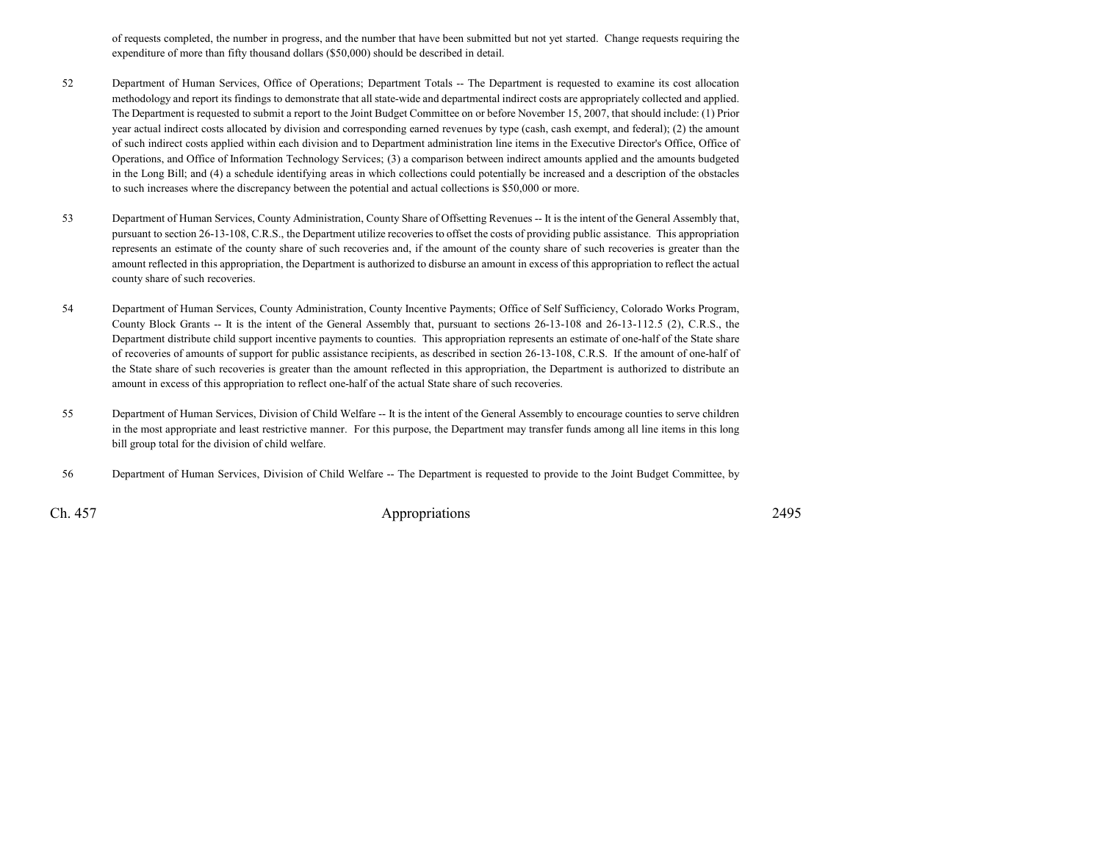of requests completed, the number in progress, and the number that have been submitted but not yet started. Change requests requiring theexpenditure of more than fifty thousand dollars (\$50,000) should be described in detail.

- <sup>52</sup> Department of Human Services, Office of Operations; Department Totals -- The Department is requested to examine its cost allocation methodology and report its findings to demonstrate that all state-wide and departmental indirect costs are appropriately collected and applied.The Department is requested to submit a report to the Joint Budget Committee on or before November 15, 2007, that should include: (1) Prioryear actual indirect costs allocated by division and corresponding earned revenues by type (cash, cash exempt, and federal); (2) the amountof such indirect costs applied within each division and to Department administration line items in the Executive Director's Office, Office ofOperations, and Office of Information Technology Services; (3) a comparison between indirect amounts applied and the amounts budgeted in the Long Bill; and (4) a schedule identifying areas in which collections could potentially be increased and a description of the obstaclesto such increases where the discrepancy between the potential and actual collections is \$50,000 or more.
- <sup>53</sup> Department of Human Services, County Administration, County Share of Offsetting Revenues -- It is the intent of the General Assembly that, pursuant to section 26-13-108, C.R.S., the Department utilize recoveries to offset the costs of providing public assistance. This appropriation represents an estimate of the county share of such recoveries and, if the amount of the county share of such recoveries is greater than the amount reflected in this appropriation, the Department is authorized to disburse an amount in excess of this appropriation to reflect the actualcounty share of such recoveries.
- <sup>54</sup> Department of Human Services, County Administration, County Incentive Payments; Office of Self Sufficiency, Colorado Works Program, County Block Grants -- It is the intent of the General Assembly that, pursuant to sections 26-13-108 and 26-13-112.5 (2), C.R.S., the Department distribute child support incentive payments to counties. This appropriation represents an estimate of one-half of the State share of recoveries of amounts of support for public assistance recipients, as described in section 26-13-108, C.R.S. If the amount of one-half ofthe State share of such recoveries is greater than the amount reflected in this appropriation, the Department is authorized to distribute anamount in excess of this appropriation to reflect one-half of the actual State share of such recoveries.
- 55 Department of Human Services, Division of Child Welfare -- It is the intent of the General Assembly to encourage counties to serve children in the most appropriate and least restrictive manner. For this purpose, the Department may transfer funds among all line items in this longbill group total for the division of child welfare.
- <sup>56</sup> Department of Human Services, Division of Child Welfare -- The Department is requested to provide to the Joint Budget Committee, by

Ch. 457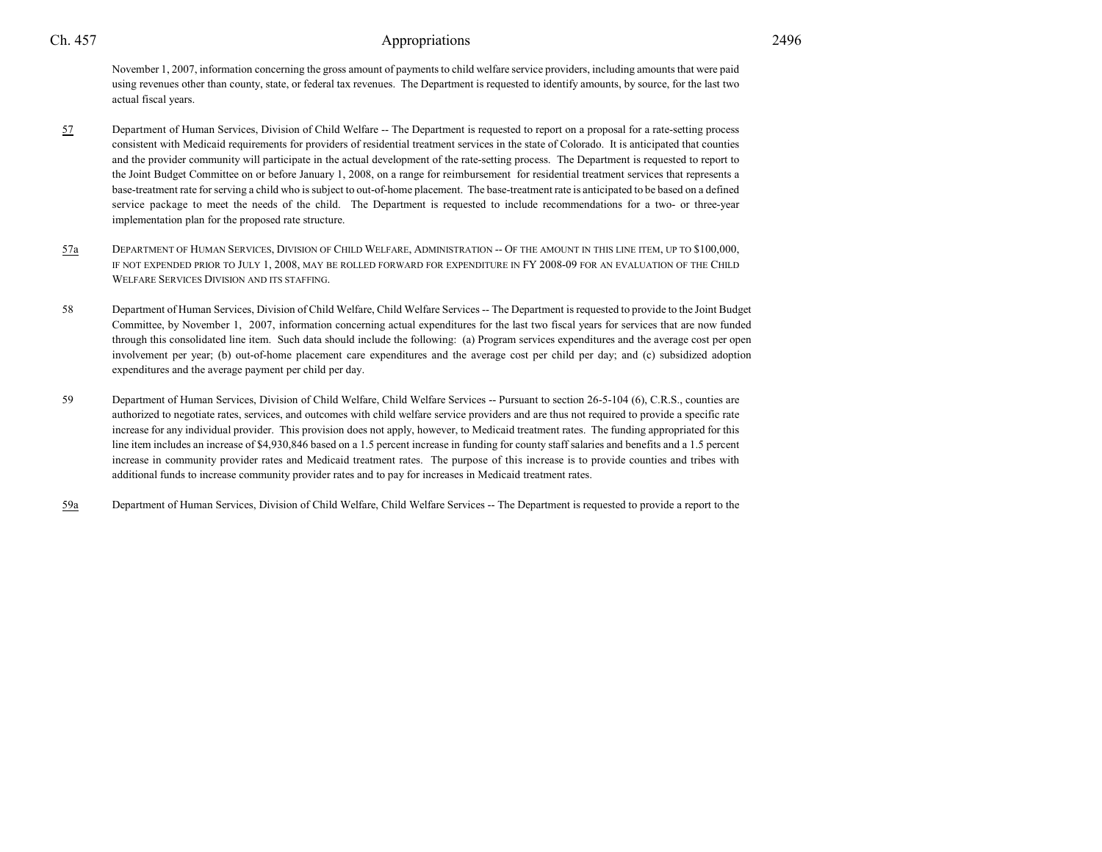November 1, 2007, information concerning the gross amount of payments to child welfare service providers, including amounts that were paid using revenues other than county, state, or federal tax revenues. The Department is requested to identify amounts, by source, for the last twoactual fiscal years.

- 57 Department of Human Services, Division of Child Welfare -- The Department is requested to report on a proposal for a rate-setting process consistent with Medicaid requirements for providers of residential treatment services in the state of Colorado. It is anticipated that counties and the provider community will participate in the actual development of the rate-setting process. The Department is requested to report to the Joint Budget Committee on or before January 1, 2008, on a range for reimbursement for residential treatment services that represents a base-treatment rate for serving a child who is subject to out-of-home placement. The base-treatment rate is anticipated to be based on a definedservice package to meet the needs of the child. The Department is requested to include recommendations for a two- or three-year implementation plan for the proposed rate structure.
- 57a <sup>D</sup>EPARTMENT OF HUMAN SERVICES, <sup>D</sup>IVISION OF CHILD WELFARE, <sup>A</sup>DMINISTRATION -- <sup>O</sup>F THE AMOUNT IN THIS LINE ITEM, UP TO \$100,000, IF NOT EXPENDED PRIOR TO JULY 1, 2008, MAY BE ROLLED FORWARD FOR EXPENDITURE IN FY 2008-09 FOR AN EVALUATION OF THE CHILD<br>---WELFARE SERVICES DIVISION AND ITS STAFFING.
- <sup>58</sup> Department of Human Services, Division of Child Welfare, Child Welfare Services -- The Department is requested to provide to the Joint Budget Committee, by November 1, 2007, information concerning actual expenditures for the last two fiscal years for services that are now funded through this consolidated line item. Such data should include the following: (a) Program services expenditures and the average cost per open involvement per year; (b) out-of-home placement care expenditures and the average cost per child per day; and (c) subsidized adoptionexpenditures and the average payment per child per day.
- <sup>59</sup> Department of Human Services, Division of Child Welfare, Child Welfare Services -- Pursuant to section 26-5-104 (6), C.R.S., counties are authorized to negotiate rates, services, and outcomes with child welfare service providers and are thus not required to provide a specific rate increase for any individual provider. This provision does not apply, however, to Medicaid treatment rates. The funding appropriated for this line item includes an increase of \$4,930,846 based on a 1.5 percent increase in funding for county staff salaries and benefits and a 1.5 percentincrease in community provider rates and Medicaid treatment rates. The purpose of this increase is to provide counties and tribes withadditional funds to increase community provider rates and to pay for increases in Medicaid treatment rates.
- 59aDepartment of Human Services, Division of Child Welfare, Child Welfare Services -- The Department is requested to provide a report to the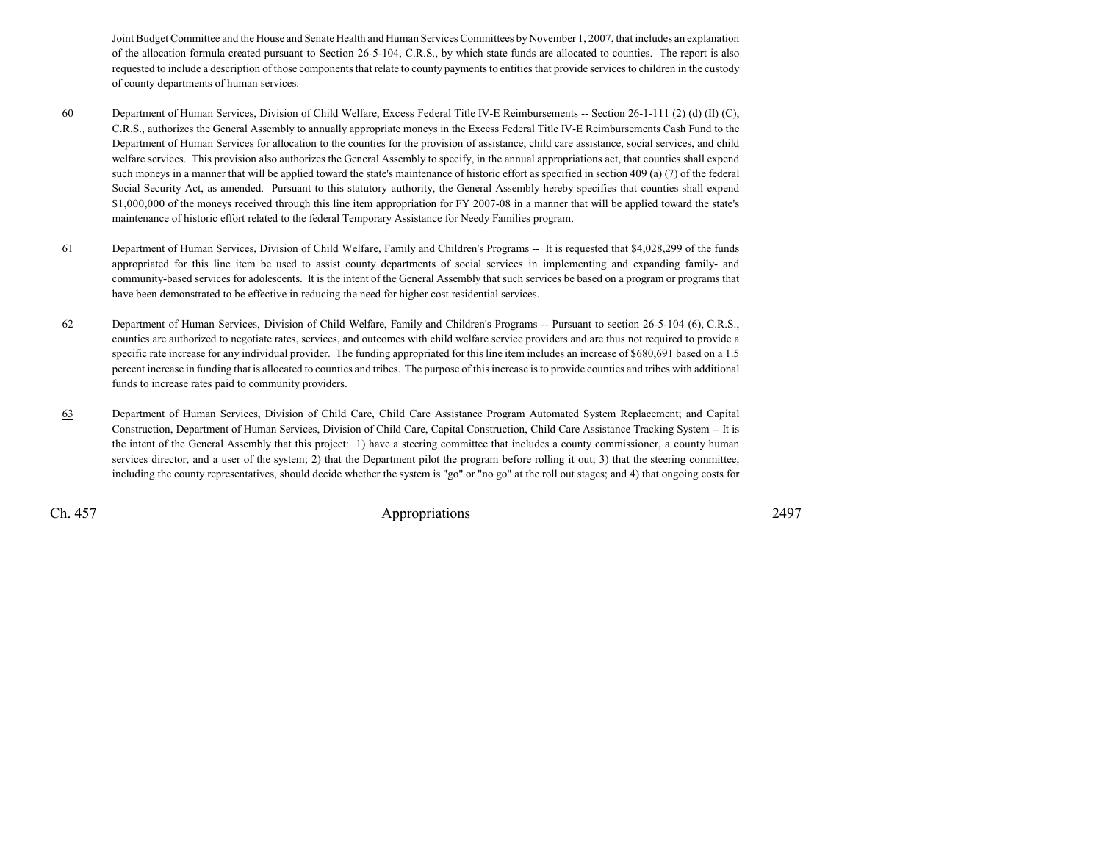Joint Budget Committee and the House and Senate Health and Human Services Committees by November 1, 2007, that includes an explanation of the allocation formula created pursuant to Section 26-5-104, C.R.S., by which state funds are allocated to counties. The report is also requested to include a description of those components that relate to county payments to entities that provide services to children in the custodyof county departments of human services.

- <sup>60</sup> Department of Human Services, Division of Child Welfare, Excess Federal Title IV-E Reimbursements -- Section 26-1-111 (2) (d) (II) (C), C.R.S., authorizes the General Assembly to annually appropriate moneys in the Excess Federal Title IV-E Reimbursements Cash Fund to the Department of Human Services for allocation to the counties for the provision of assistance, child care assistance, social services, and child welfare services. This provision also authorizes the General Assembly to specify, in the annual appropriations act, that counties shall expendsuch moneys in a manner that will be applied toward the state's maintenance of historic effort as specified in section 409 (a) (7) of the federal Social Security Act, as amended. Pursuant to this statutory authority, the General Assembly hereby specifies that counties shall expend \$1,000,000 of the moneys received through this line item appropriation for FY 2007-08 in a manner that will be applied toward the state's maintenance of historic effort related to the federal Temporary Assistance for Needy Families program.
- <sup>61</sup> Department of Human Services, Division of Child Welfare, Family and Children's Programs -- It is requested that \$4,028,299 of the funds appropriated for this line item be used to assist county departments of social services in implementing and expanding family- and community-based services for adolescents. It is the intent of the General Assembly that such services be based on a program or programs thathave been demonstrated to be effective in reducing the need for higher cost residential services.
- 62 Department of Human Services, Division of Child Welfare, Family and Children's Programs -- Pursuant to section 26-5-104 (6), C.R.S.,counties are authorized to negotiate rates, services, and outcomes with child welfare service providers and are thus not required to provide a specific rate increase for any individual provider. The funding appropriated for this line item includes an increase of \$680,691 based on a 1.5 percent increase in funding that is allocated to counties and tribes. The purpose of this increase is to provide counties and tribes with additionalfunds to increase rates paid to community providers.
- 63 Department of Human Services, Division of Child Care, Child Care Assistance Program Automated System Replacement; and Capital Construction, Department of Human Services, Division of Child Care, Capital Construction, Child Care Assistance Tracking System -- It is the intent of the General Assembly that this project: 1) have a steering committee that includes a county commissioner, a county human services director, and a user of the system; 2) that the Department pilot the program before rolling it out; 3) that the steering committee,including the county representatives, should decide whether the system is "go" or "no go" at the roll out stages; and 4) that ongoing costs for

Ch. 457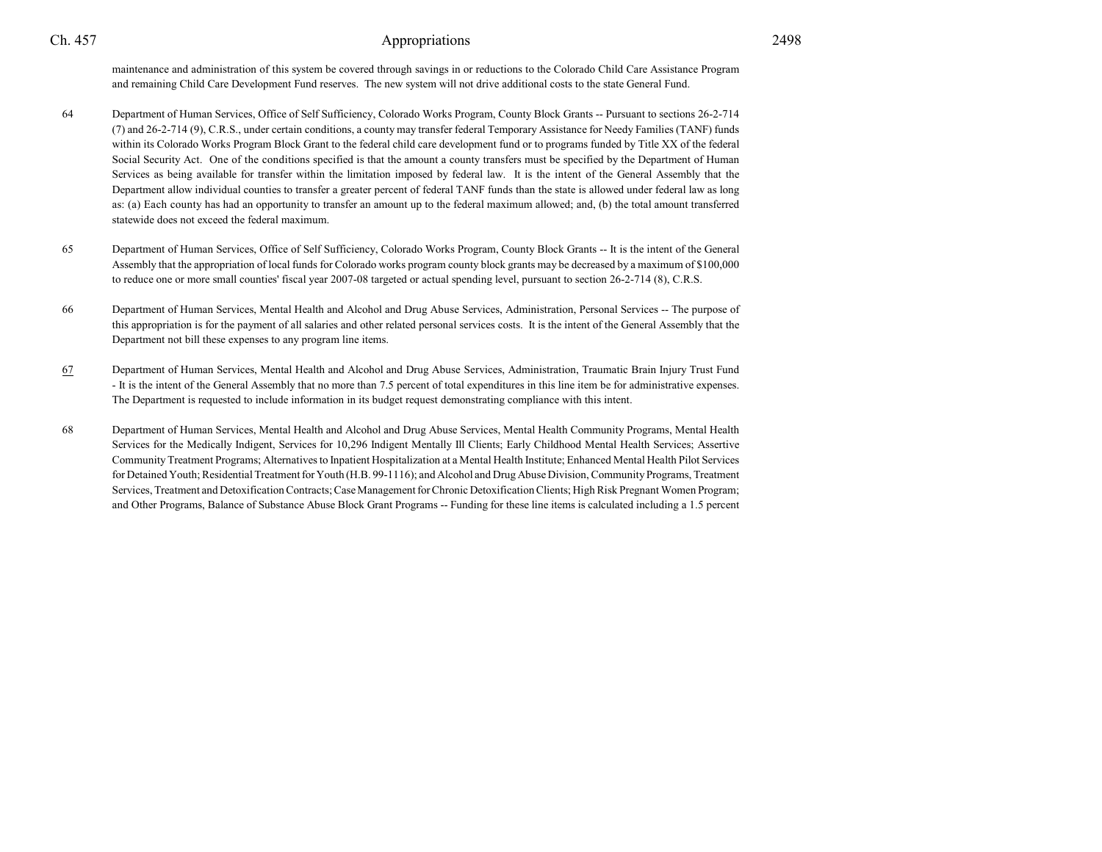maintenance and administration of this system be covered through savings in or reductions to the Colorado Child Care Assistance Programand remaining Child Care Development Fund reserves. The new system will not drive additional costs to the state General Fund.

- <sup>64</sup> Department of Human Services, Office of Self Sufficiency, Colorado Works Program, County Block Grants -- Pursuant to sections 26-2-714 (7) and 26-2-714 (9), C.R.S., under certain conditions, a county may transfer federal Temporary Assistance for Needy Families (TANF) funds within its Colorado Works Program Block Grant to the federal child care development fund or to programs funded by Title XX of the federalSocial Security Act. One of the conditions specified is that the amount a county transfers must be specified by the Department of Human Services as being available for transfer within the limitation imposed by federal law. It is the intent of the General Assembly that the Department allow individual counties to transfer a greater percent of federal TANF funds than the state is allowed under federal law as long as: (a) Each county has had an opportunity to transfer an amount up to the federal maximum allowed; and, (b) the total amount transferredstatewide does not exceed the federal maximum.
- <sup>65</sup> Department of Human Services, Office of Self Sufficiency, Colorado Works Program, County Block Grants -- It is the intent of the General Assembly that the appropriation of local funds for Colorado works program county block grants may be decreased by a maximum of \$100,000to reduce one or more small counties' fiscal year 2007-08 targeted or actual spending level, pursuant to section 26-2-714 (8), C.R.S.
- <sup>66</sup> Department of Human Services, Mental Health and Alcohol and Drug Abuse Services, Administration, Personal Services -- The purpose of this appropriation is for the payment of all salaries and other related personal services costs. It is the intent of the General Assembly that theDepartment not bill these expenses to any program line items.
- 67 Department of Human Services, Mental Health and Alcohol and Drug Abuse Services, Administration, Traumatic Brain Injury Trust Fund - It is the intent of the General Assembly that no more than 7.5 percent of total expenditures in this line item be for administrative expenses.The Department is requested to include information in its budget request demonstrating compliance with this intent.
- <sup>68</sup> Department of Human Services, Mental Health and Alcohol and Drug Abuse Services, Mental Health Community Programs, Mental Health Services for the Medically Indigent, Services for 10,296 Indigent Mentally Ill Clients; Early Childhood Mental Health Services; Assertive Community Treatment Programs; Alternatives to Inpatient Hospitalization at a Mental Health Institute; Enhanced Mental Health Pilot Services for Detained Youth; Residential Treatment for Youth (H.B. 99-1116); and Alcohol and Drug Abuse Division, Community Programs, TreatmentServices, Treatment and Detoxification Contracts; Case Management for Chronic Detoxification Clients; High Risk Pregnant Women Program;and Other Programs, Balance of Substance Abuse Block Grant Programs -- Funding for these line items is calculated including a 1.5 percent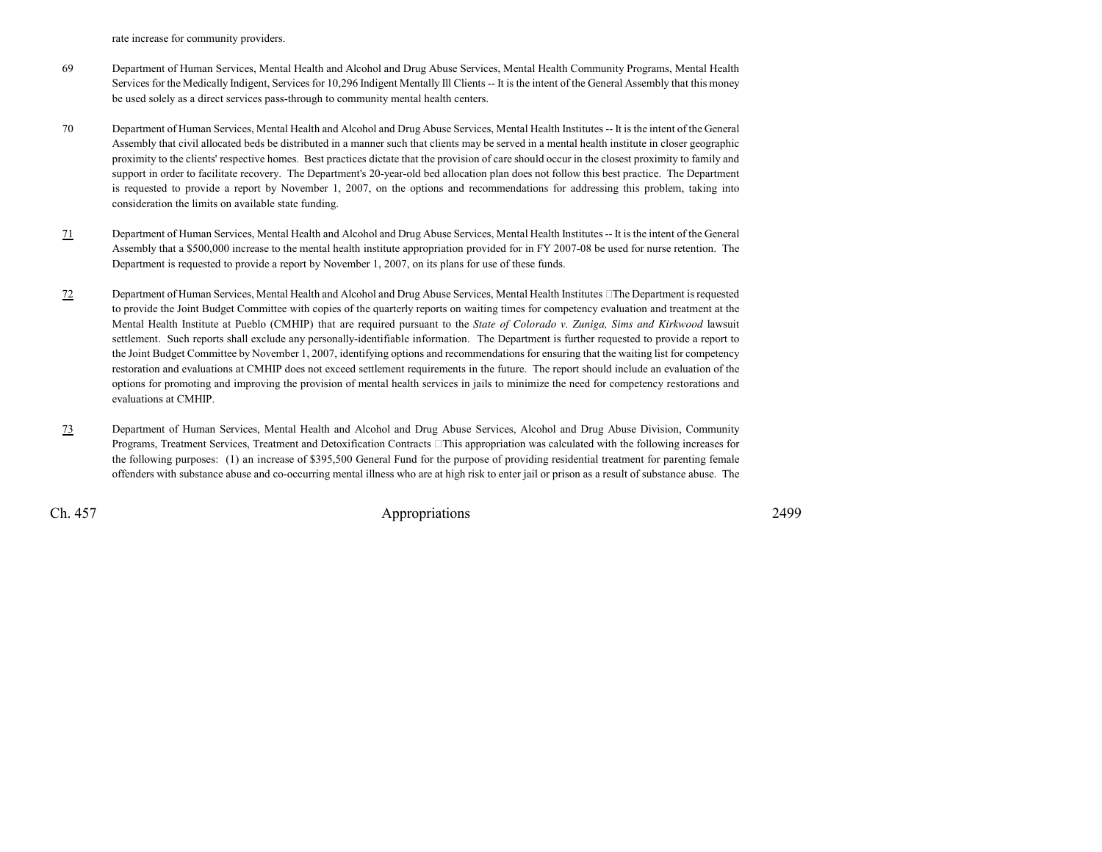rate increase for community providers.

- <sup>69</sup> Department of Human Services, Mental Health and Alcohol and Drug Abuse Services, Mental Health Community Programs, Mental Health Services for the Medically Indigent, Services for 10,296 Indigent Mentally Ill Clients -- It is the intent of the General Assembly that this moneybe used solely as a direct services pass-through to community mental health centers.
- <sup>70</sup> Department of Human Services, Mental Health and Alcohol and Drug Abuse Services, Mental Health Institutes -- It is the intent of the General Assembly that civil allocated beds be distributed in a manner such that clients may be served in a mental health institute in closer geographic proximity to the clients' respective homes. Best practices dictate that the provision of care should occur in the closest proximity to family and support in order to facilitate recovery. The Department's 20-year-old bed allocation plan does not follow this best practice. The Departmentis requested to provide a report by November 1, 2007, on the options and recommendations for addressing this problem, taking intoconsideration the limits on available state funding.
- 71 Department of Human Services, Mental Health and Alcohol and Drug Abuse Services, Mental Health Institutes -- It is the intent of the General Assembly that a \$500,000 increase to the mental health institute appropriation provided for in FY 2007-08 be used for nurse retention. TheDepartment is requested to provide a report by November 1, 2007, on its plans for use of these funds.
- 72 Department of Human Services, Mental Health and Alcohol and Drug Abuse Services, Mental Health Institutes The Department is requested to provide the Joint Budget Committee with copies of the quarterly reports on waiting times for competency evaluation and treatment at the Mental Health Institute at Pueblo (CMHIP) that are required pursuant to the *State of Colorado v. Zuniga, Sims and Kirkwood* lawsuitsettlement. Such reports shall exclude any personally-identifiable information. The Department is further requested to provide a report to the Joint Budget Committee by November 1, 2007, identifying options and recommendations for ensuring that the waiting list for competency restoration and evaluations at CMHIP does not exceed settlement requirements in the future. The report should include an evaluation of the options for promoting and improving the provision of mental health services in jails to minimize the need for competency restorations andevaluations at CMHIP.
- 73 Department of Human Services, Mental Health and Alcohol and Drug Abuse Services, Alcohol and Drug Abuse Division, Community Programs, Treatment Services, Treatment and Detoxification Contracts This appropriation was calculated with the following increases forthe following purposes: (1) an increase of \$395,500 General Fund for the purpose of providing residential treatment for parenting femaleoffenders with substance abuse and co-occurring mental illness who are at high risk to enter jail or prison as a result of substance abuse. The

Ch. 457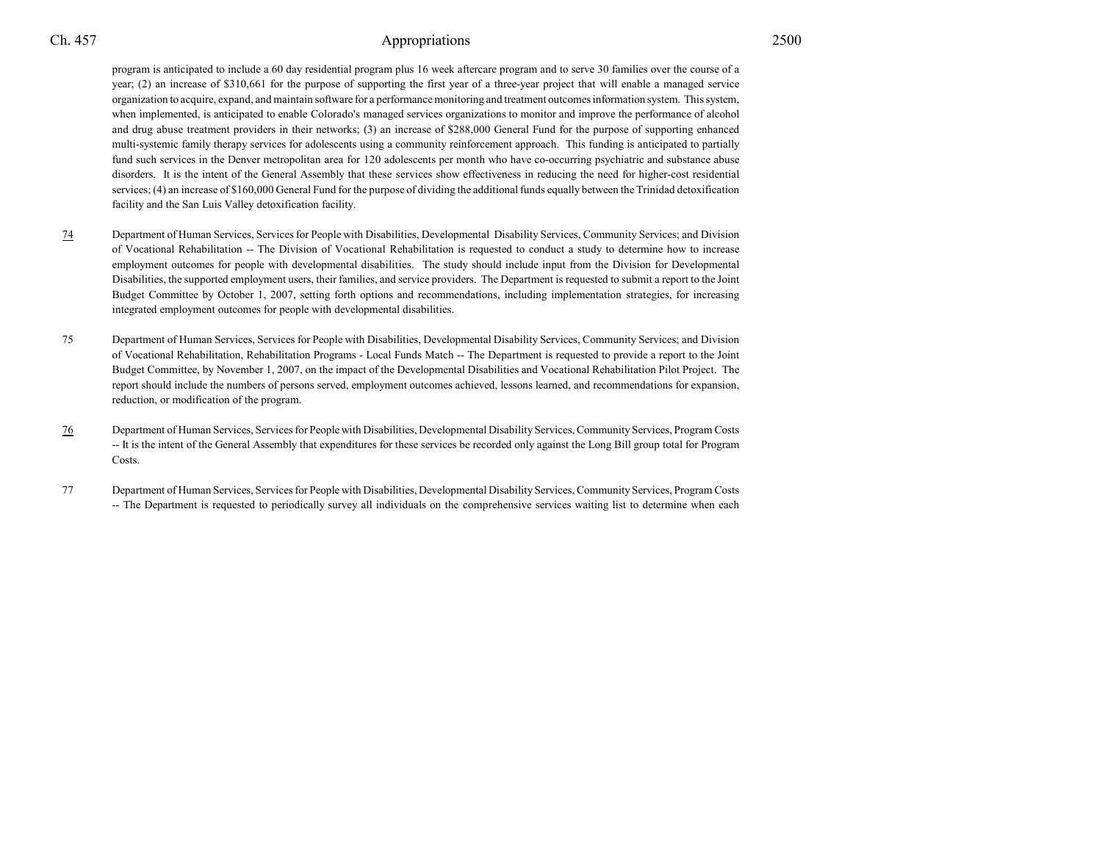program is anticipated to include a 60 day residential program plus 16 week aftercare program and to serve 30 families over the course of a year; (2) an increase of \$310,661 for the purpose of supporting the first year of a three-year project that will enable a managed service organization to acquire, expand, and maintain software for a performance monitoring and treatment outcomes information system. This system,when implemented, is anticipated to enable Colorado's managed services organizations to monitor and improve the performance of alcoholand drug abuse treatment providers in their networks; (3) an increase of \$288,000 General Fund for the purpose of supporting enhanced multi-systemic family therapy services for adolescents using a community reinforcement approach. This funding is anticipated to partiallyfund such services in the Denver metropolitan area for 120 adolescents per month who have co-occurring psychiatric and substance abuse disorders. It is the intent of the General Assembly that these services show effectiveness in reducing the need for higher-cost residential services; (4) an increase of \$160,000 General Fund for the purpose of dividing the additional funds equally between the Trinidad detoxificationfacility and the San Luis Valley detoxification facility.

- 74 Department of Human Services, Services for People with Disabilities, Developmental Disability Services, Community Services; and Division of Vocational Rehabilitation -- The Division of Vocational Rehabilitation is requested to conduct a study to determine how to increase employment outcomes for people with developmental disabilities. The study should include input from the Division for DevelopmentalDisabilities, the supported employment users, their families, and service providers. The Department is requested to submit a report to the JointBudget Committee by October 1, 2007, setting forth options and recommendations, including implementation strategies, for increasingintegrated employment outcomes for people with developmental disabilities.
- <sup>75</sup> Department of Human Services, Services for People with Disabilities, Developmental Disability Services, Community Services; and Division of Vocational Rehabilitation, Rehabilitation Programs - Local Funds Match -- The Department is requested to provide a report to the JointBudget Committee, by November 1, 2007, on the impact of the Developmental Disabilities and Vocational Rehabilitation Pilot Project. The report should include the numbers of persons served, employment outcomes achieved, lessons learned, and recommendations for expansion,reduction, or modification of the program.
- 76 Department of Human Services, Services for People with Disabilities, Developmental Disability Services, Community Services, Program Costs -- It is the intent of the General Assembly that expenditures for these services be recorded only against the Long Bill group total for ProgramCosts.
- <sup>77</sup> Department of Human Services, Services for People with Disabilities, Developmental Disability Services, Community Services, Program Costs -- The Department is requested to periodically survey all individuals on the comprehensive services waiting list to determine when each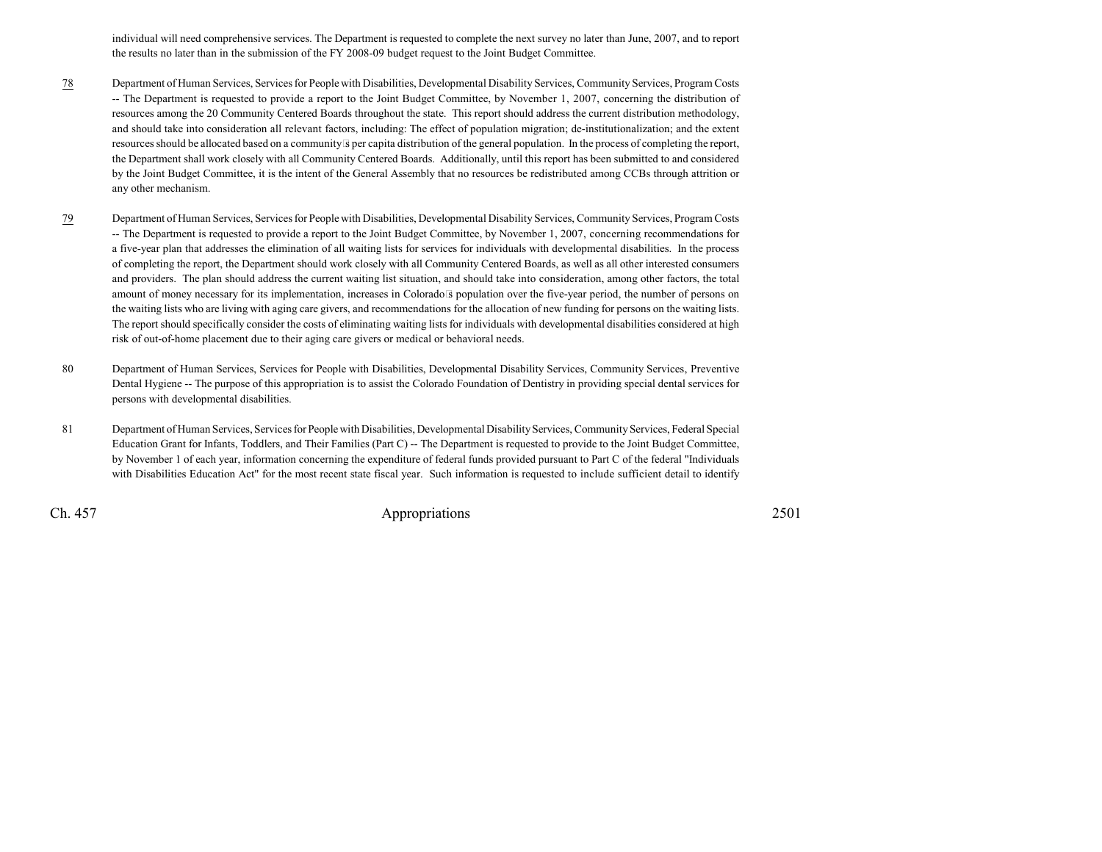individual will need comprehensive services. The Department is requested to complete the next survey no later than June, 2007, and to reportthe results no later than in the submission of the FY 2008-09 budget request to the Joint Budget Committee.

- 78 Department of Human Services, Services for People with Disabilities, Developmental Disability Services, Community Services, Program Costs -- The Department is requested to provide a report to the Joint Budget Committee, by November 1, 2007, concerning the distribution ofresources among the 20 Community Centered Boards throughout the state. This report should address the current distribution methodology,and should take into consideration all relevant factors, including: The effect of population migration; de-institutionalization; and the extentresources should be allocated based on a communitys per capita distribution of the general population. In the process of completing the report,the Department shall work closely with all Community Centered Boards. Additionally, until this report has been submitted to and considered by the Joint Budget Committee, it is the intent of the General Assembly that no resources be redistributed among CCBs through attrition orany other mechanism.
- 79 Department of Human Services, Services for People with Disabilities, Developmental Disability Services, Community Services, Program Costs -- The Department is requested to provide a report to the Joint Budget Committee, by November 1, 2007, concerning recommendations for a five-year plan that addresses the elimination of all waiting lists for services for individuals with developmental disabilities. In the process of completing the report, the Department should work closely with all Community Centered Boards, as well as all other interested consumers and providers. The plan should address the current waiting list situation, and should take into consideration, among other factors, the total amount of money necessary for its implementation, increases in Colorados population over the five-year period, the number of persons on the waiting lists who are living with aging care givers, and recommendations for the allocation of new funding for persons on the waiting lists.The report should specifically consider the costs of eliminating waiting lists for individuals with developmental disabilities considered at highrisk of out-of-home placement due to their aging care givers or medical or behavioral needs.
- <sup>80</sup> Department of Human Services, Services for People with Disabilities, Developmental Disability Services, Community Services, Preventive Dental Hygiene -- The purpose of this appropriation is to assist the Colorado Foundation of Dentistry in providing special dental services forpersons with developmental disabilities.
- <sup>81</sup> Department of Human Services, Services for People with Disabilities, Developmental Disability Services, Community Services, Federal Special Education Grant for Infants, Toddlers, and Their Families (Part C) -- The Department is requested to provide to the Joint Budget Committee,by November 1 of each year, information concerning the expenditure of federal funds provided pursuant to Part C of the federal "Individualswith Disabilities Education Act" for the most recent state fiscal year. Such information is requested to include sufficient detail to identify

Ch. 457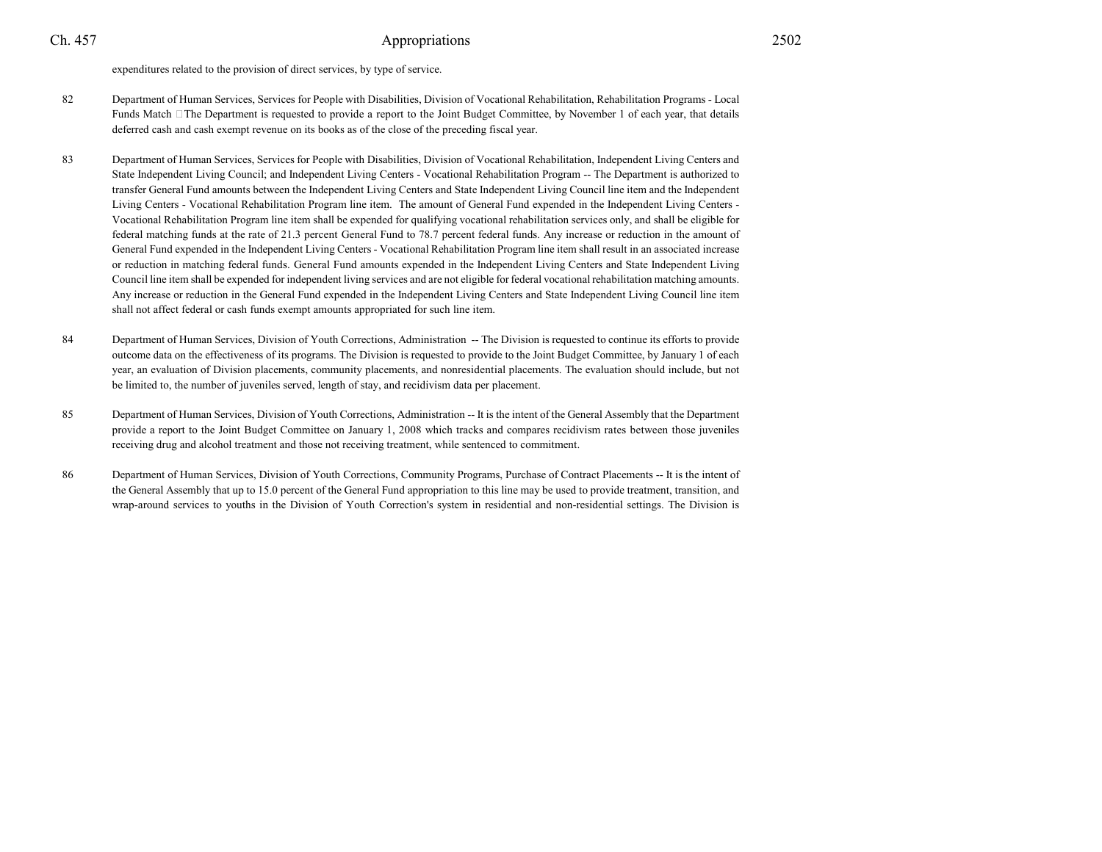expenditures related to the provision of direct services, by type of service.

- <sup>82</sup> Department of Human Services, Services for People with Disabilities, Division of Vocational Rehabilitation, Rehabilitation Programs Local Funds Match The Department is requested to provide a report to the Joint Budget Committee, by November 1 of each year, that detailsdeferred cash and cash exempt revenue on its books as of the close of the preceding fiscal year.
- <sup>83</sup> Department of Human Services, Services for People with Disabilities, Division of Vocational Rehabilitation, Independent Living Centers and State Independent Living Council; and Independent Living Centers - Vocational Rehabilitation Program -- The Department is authorized to transfer General Fund amounts between the Independent Living Centers and State Independent Living Council line item and the IndependentLiving Centers - Vocational Rehabilitation Program line item. The amount of General Fund expended in the Independent Living Centers - Vocational Rehabilitation Program line item shall be expended for qualifying vocational rehabilitation services only, and shall be eligible forfederal matching funds at the rate of 21.3 percent General Fund to 78.7 percent federal funds. Any increase or reduction in the amount of General Fund expended in the Independent Living Centers - Vocational Rehabilitation Program line item shall result in an associated increase or reduction in matching federal funds. General Fund amounts expended in the Independent Living Centers and State Independent Living Council line item shall be expended for independent living services and are not eligible for federal vocational rehabilitation matching amounts.Any increase or reduction in the General Fund expended in the Independent Living Centers and State Independent Living Council line itemshall not affect federal or cash funds exempt amounts appropriated for such line item.
- 84 Department of Human Services, Division of Youth Corrections, Administration -- The Division is requested to continue its efforts to provide outcome data on the effectiveness of its programs. The Division is requested to provide to the Joint Budget Committee, by January 1 of each year, an evaluation of Division placements, community placements, and nonresidential placements. The evaluation should include, but notbe limited to, the number of juveniles served, length of stay, and recidivism data per placement.
- <sup>85</sup> Department of Human Services, Division of Youth Corrections, Administration -- It is the intent of the General Assembly that the Department provide a report to the Joint Budget Committee on January 1, 2008 which tracks and compares recidivism rates between those juvenilesreceiving drug and alcohol treatment and those not receiving treatment, while sentenced to commitment.
- <sup>86</sup> Department of Human Services, Division of Youth Corrections, Community Programs, Purchase of Contract Placements -- It is the intent of the General Assembly that up to 15.0 percent of the General Fund appropriation to this line may be used to provide treatment, transition, andwrap-around services to youths in the Division of Youth Correction's system in residential and non-residential settings. The Division is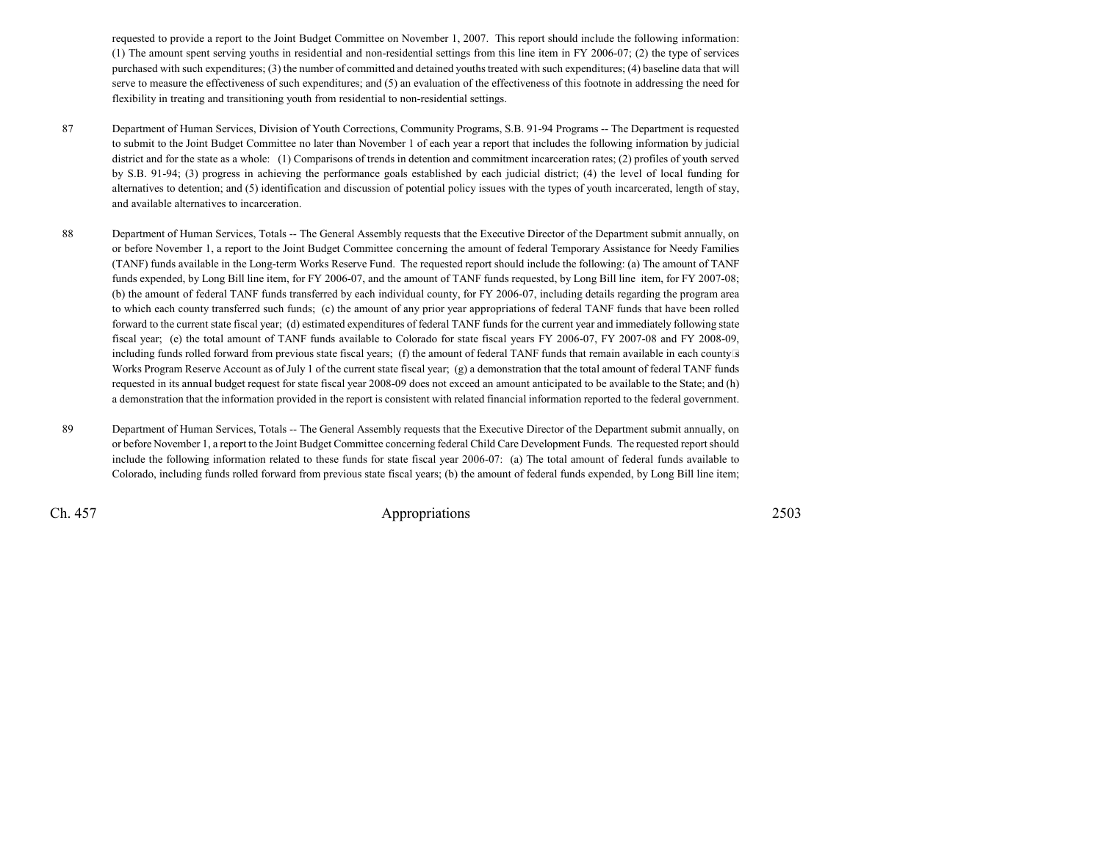requested to provide a report to the Joint Budget Committee on November 1, 2007. This report should include the following information:(1) The amount spent serving youths in residential and non-residential settings from this line item in FY 2006-07; (2) the type of services purchased with such expenditures; (3) the number of committed and detained youths treated with such expenditures; (4) baseline data that willserve to measure the effectiveness of such expenditures; and (5) an evaluation of the effectiveness of this footnote in addressing the need forflexibility in treating and transitioning youth from residential to non-residential settings.

- <sup>87</sup> Department of Human Services, Division of Youth Corrections, Community Programs, S.B. 91-94 Programs -- The Department is requested to submit to the Joint Budget Committee no later than November 1 of each year a report that includes the following information by judicialdistrict and for the state as a whole: (1) Comparisons of trends in detention and commitment incarceration rates; (2) profiles of youth served by S.B. 91-94; (3) progress in achieving the performance goals established by each judicial district; (4) the level of local funding foralternatives to detention; and (5) identification and discussion of potential policy issues with the types of youth incarcerated, length of stay,and available alternatives to incarceration.
- 88 Department of Human Services, Totals -- The General Assembly requests that the Executive Director of the Department submit annually, on or before November 1, a report to the Joint Budget Committee concerning the amount of federal Temporary Assistance for Needy Families (TANF) funds available in the Long-term Works Reserve Fund. The requested report should include the following: (a) The amount of TANF funds expended, by Long Bill line item, for FY 2006-07, and the amount of TANF funds requested, by Long Bill line item, for FY 2007-08; (b) the amount of federal TANF funds transferred by each individual county, for FY 2006-07, including details regarding the program area to which each county transferred such funds; (c) the amount of any prior year appropriations of federal TANF funds that have been rolled forward to the current state fiscal year; (d) estimated expenditures of federal TANF funds for the current year and immediately following state fiscal year; (e) the total amount of TANF funds available to Colorado for state fiscal years FY 2006-07, FY 2007-08 and FY 2008-09,including funds rolled forward from previous state fiscal years; (f) the amount of federal TANF funds that remain available in each countys Works Program Reserve Account as of July 1 of the current state fiscal year; (g) a demonstration that the total amount of federal TANF funds requested in its annual budget request for state fiscal year 2008-09 does not exceed an amount anticipated to be available to the State; and (h)a demonstration that the information provided in the report is consistent with related financial information reported to the federal government.
- 89 Department of Human Services, Totals -- The General Assembly requests that the Executive Director of the Department submit annually, on or before November 1, a report to the Joint Budget Committee concerning federal Child Care Development Funds. The requested report should include the following information related to these funds for state fiscal year 2006-07: (a) The total amount of federal funds available toColorado, including funds rolled forward from previous state fiscal years; (b) the amount of federal funds expended, by Long Bill line item;

Ch. 457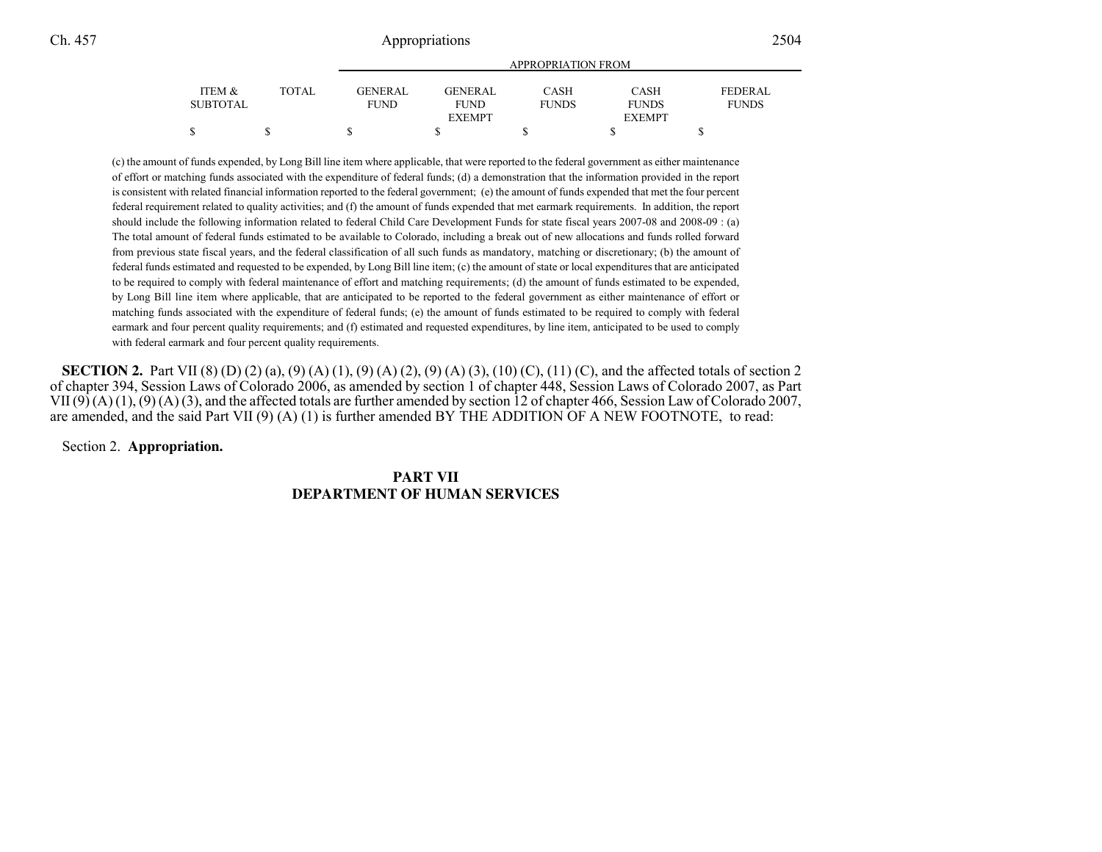|                 |              | APPROPRIATION FROM |                |              |               |                |  |
|-----------------|--------------|--------------------|----------------|--------------|---------------|----------------|--|
| ITEM &          | <b>TOTAL</b> | <b>GENERAL</b>     | <b>GENERAL</b> | <b>CASH</b>  | <b>CASH</b>   | <b>FEDERAL</b> |  |
| <b>SUBTOTAL</b> |              | <b>FUND</b>        | <b>FUND</b>    | <b>FUNDS</b> | <b>FUNDS</b>  | <b>FUNDS</b>   |  |
|                 |              |                    | <b>EXEMPT</b>  |              | <b>EXEMPT</b> |                |  |
| \$              |              |                    |                |              |               |                |  |

(c) the amount of funds expended, by Long Bill line item where applicable, that were reported to the federal government as either maintenance of effort or matching funds associated with the expenditure of federal funds; (d) a demonstration that the information provided in the reportis consistent with related financial information reported to the federal government; (e) the amount of funds expended that met the four percentfederal requirement related to quality activities; and (f) the amount of funds expended that met earmark requirements. In addition, the reportshould include the following information related to federal Child Care Development Funds for state fiscal years 2007-08 and 2008-09 : (a)The total amount of federal funds estimated to be available to Colorado, including a break out of new allocations and funds rolled forward from previous state fiscal years, and the federal classification of all such funds as mandatory, matching or discretionary; (b) the amount offederal funds estimated and requested to be expended, by Long Bill line item; (c) the amount of state or local expenditures that are anticipated to be required to comply with federal maintenance of effort and matching requirements; (d) the amount of funds estimated to be expended,by Long Bill line item where applicable, that are anticipated to be reported to the federal government as either maintenance of effort or matching funds associated with the expenditure of federal funds; (e) the amount of funds estimated to be required to comply with federal earmark and four percent quality requirements; and (f) estimated and requested expenditures, by line item, anticipated to be used to complywith federal earmark and four percent quality requirements.

**SECTION 2.** Part VII (8) (D) (2) (a), (9) (A) (1), (9) (A) (2), (9) (A) (3), (10) (C), (11) (C), and the affected totals of section 2 of chapter 394, Session Laws of Colorado 2006, as amended by section 1 of chapter 448, Session Laws of Colorado 2007, as Part VII (9) (A) (1), (9) (A) (3), and the affected totals are further amended by section 12 of chapter 466, Session Law of Colorado 2007,are amended, and the said Part VII (9) (A) (1) is further amended BY THE ADDITION OF A NEW FOOTNOTE, to read:

Section 2. **Appropriation.**

## **PART VIIDEPARTMENT OF HUMAN SERVICES**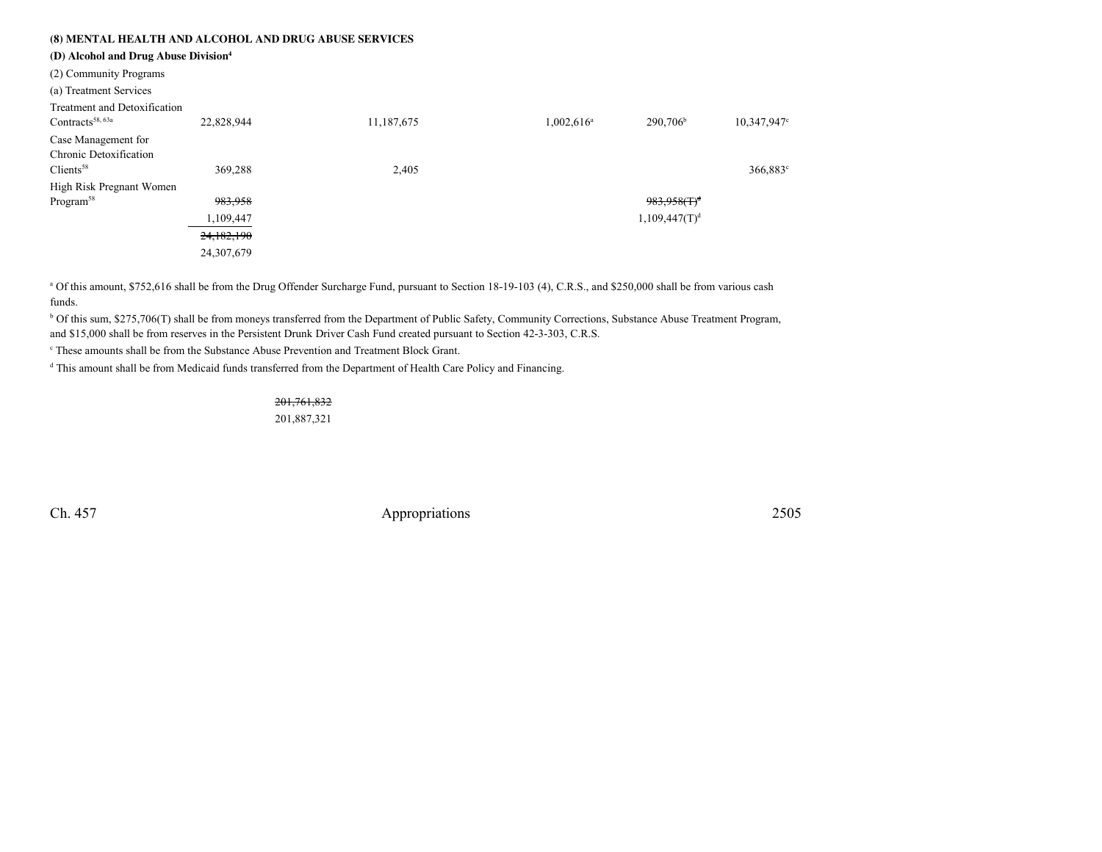## **(8) MENTAL HEALTH AND ALCOHOL AND DRUG ABUSE SERVICES**

**(D) Alcohol and Drug Abuse Division<sup>4</sup>**

(2) Community Programs

| Treatment and Detoxification |            |            |               |                            |             |
|------------------------------|------------|------------|---------------|----------------------------|-------------|
| Contracts <sup>58, 63a</sup> | 22,828,944 | 11,187,675 | $1,002,616^a$ | 290,706 <sup>b</sup>       | 10,347,947° |
| Case Management for          |            |            |               |                            |             |
| Chronic Detoxification       |            |            |               |                            |             |
| $C$ lients <sup>58</sup>     | 369,288    | 2,405      |               |                            | 366,883°    |
| High Risk Pregnant Women     |            |            |               |                            |             |
| Program <sup>58</sup>        | 983,958    |            |               | $983.958$ (T) <sup>d</sup> |             |
|                              | 1,109,447  |            |               | 1,109,447(T) <sup>d</sup>  |             |
|                              | 24,182,190 |            |               |                            |             |
|                              | 24,307,679 |            |               |                            |             |
|                              |            |            |               |                            |             |

a Of this amount, \$752,616 shall be from the Drug Offender Surcharge Fund, pursuant to Section 18-19-103 (4), C.R.S., and \$250,000 shall be from various cash funds.

b Of this sum, \$275,706(T) shall be from moneys transferred from the Department of Public Safety, Community Corrections, Substance Abuse Treatment Program, and \$15,000 shall be from reserves in the Persistent Drunk Driver Cash Fund created pursuant to Section 42-3-303, C.R.S.

c These amounts shall be from the Substance Abuse Prevention and Treatment Block Grant.

<sup>d</sup> This amount shall be from Medicaid funds transferred from the Department of Health Care Policy and Financing.

## 201,761,832

201,887,321

Ch. 457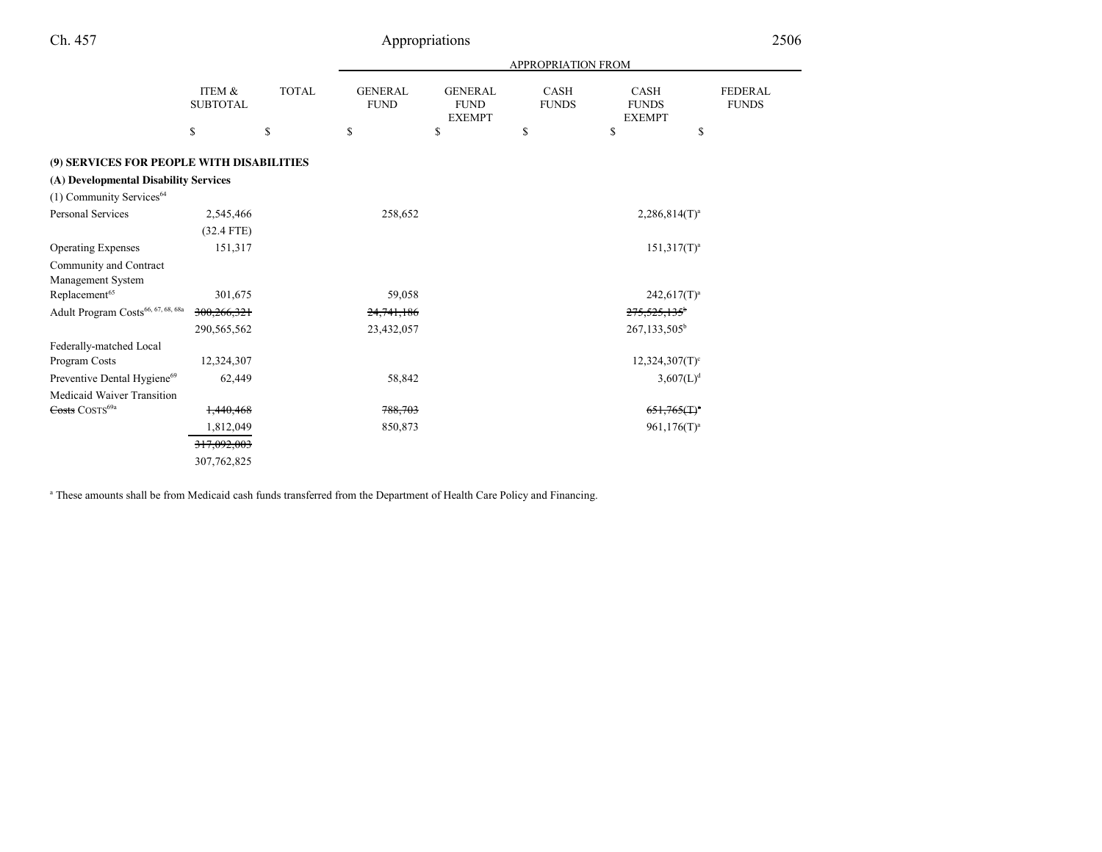|                                                |                           |              | <b>APPROPRIATION FROM</b>     |                                                |                             |                                              |                                |  |
|------------------------------------------------|---------------------------|--------------|-------------------------------|------------------------------------------------|-----------------------------|----------------------------------------------|--------------------------------|--|
|                                                | ITEM &<br><b>SUBTOTAL</b> | <b>TOTAL</b> | <b>GENERAL</b><br><b>FUND</b> | <b>GENERAL</b><br><b>FUND</b><br><b>EXEMPT</b> | <b>CASH</b><br><b>FUNDS</b> | <b>CASH</b><br><b>FUNDS</b><br><b>EXEMPT</b> | <b>FEDERAL</b><br><b>FUNDS</b> |  |
|                                                | \$                        | \$           | \$                            | \$                                             | \$                          | \$                                           | \$                             |  |
| (9) SERVICES FOR PEOPLE WITH DISABILITIES      |                           |              |                               |                                                |                             |                                              |                                |  |
| (A) Developmental Disability Services          |                           |              |                               |                                                |                             |                                              |                                |  |
| (1) Community Services <sup>64</sup>           |                           |              |                               |                                                |                             |                                              |                                |  |
| Personal Services                              | 2,545,466                 |              | 258,652                       |                                                |                             | $2,286,814(T)^a$                             |                                |  |
|                                                | $(32.4$ FTE)              |              |                               |                                                |                             |                                              |                                |  |
| <b>Operating Expenses</b>                      | 151,317                   |              |                               |                                                |                             | $151,317(T)^a$                               |                                |  |
| Community and Contract                         |                           |              |                               |                                                |                             |                                              |                                |  |
| Management System                              |                           |              |                               |                                                |                             |                                              |                                |  |
| Replacement <sup>65</sup>                      | 301,675                   |              | 59,058                        |                                                |                             | $242,617(T)^a$                               |                                |  |
| Adult Program Costs <sup>66, 67, 68, 68a</sup> | 300,266,321               |              | 24,741,186                    |                                                |                             | 275,525,135 <sup>b</sup>                     |                                |  |
|                                                | 290,565,562               |              | 23,432,057                    |                                                |                             | 267,133,505 <sup>b</sup>                     |                                |  |
| Federally-matched Local                        |                           |              |                               |                                                |                             |                                              |                                |  |
| Program Costs                                  | 12,324,307                |              |                               |                                                |                             | $12,324,307(T)^c$                            |                                |  |
| Preventive Dental Hygiene <sup>69</sup>        | 62,449                    |              | 58,842                        |                                                |                             | $3,607(L)^d$                                 |                                |  |
| Medicaid Waiver Transition                     |                           |              |                               |                                                |                             |                                              |                                |  |
| Costs COSTS <sup>69a</sup>                     | 1,440,468                 |              | 788,703                       |                                                |                             | $651,765($ T) <sup>a</sup>                   |                                |  |
|                                                | 1,812,049                 |              | 850,873                       |                                                |                             | $961,176(T)^a$                               |                                |  |
|                                                | 317,092,003               |              |                               |                                                |                             |                                              |                                |  |
|                                                | 307,762,825               |              |                               |                                                |                             |                                              |                                |  |

<sup>a</sup> These amounts shall be from Medicaid cash funds transferred from the Department of Health Care Policy and Financing.

Ch. 457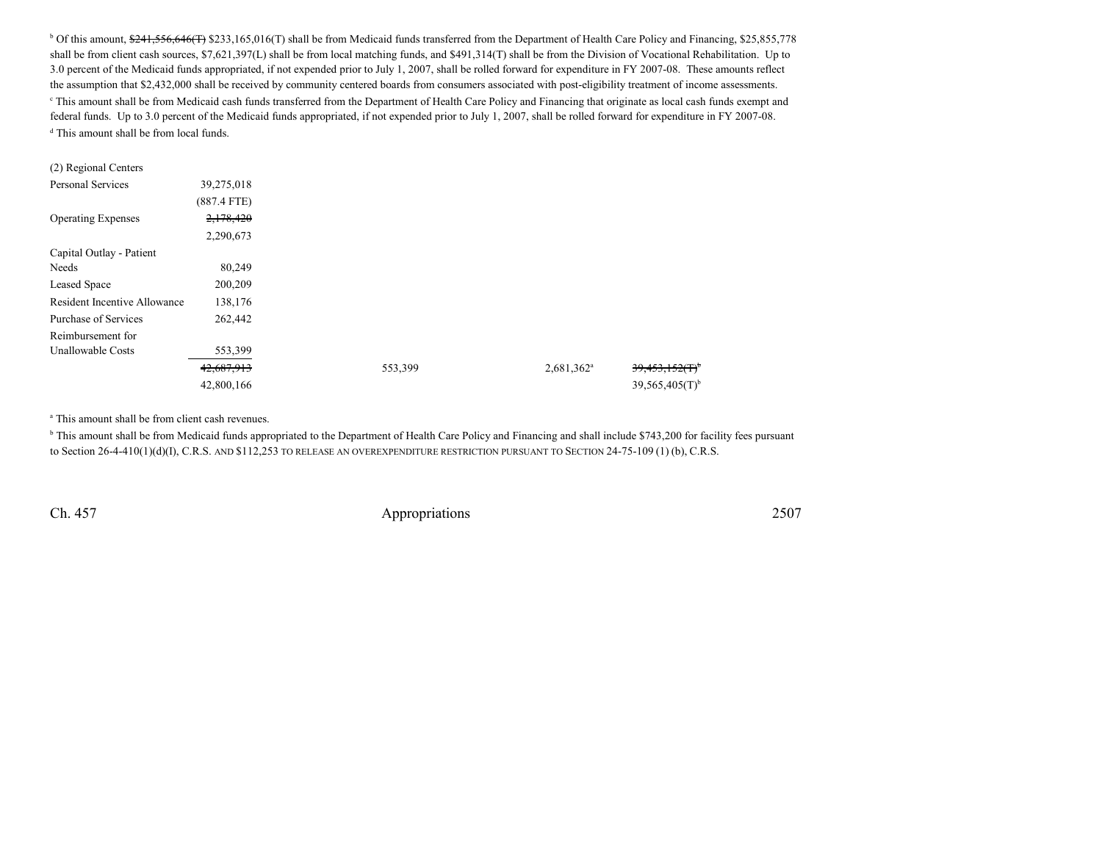$b$  Of this amount,  $\frac{241.556,646(T)}{233,165,016(T)}$  shall be from Medicaid funds transferred from the Department of Health Care Policy and Financing, \$25,855,778 shall be from client cash sources, \$7,621,397(L) shall be from local matching funds, and \$491,314(T) shall be from the Division of Vocational Rehabilitation. Up to 3.0 percent of the Medicaid funds appropriated, if not expended prior to July 1, 2007, shall be rolled forward for expenditure in FY 2007-08. These amounts reflectthe assumption that \$2,432,000 shall be received by community centered boards from consumers associated with post-eligibility treatment of income assessments.<sup>e</sup> This amount shall be from Medicaid cash funds transferred from the Department of Health Care Policy and Financing that originate as local cash funds exempt and federal funds. Up to 3.0 percent of the Medicaid funds appropriated, if not expended prior to July 1, 2007, shall be rolled forward for expenditure in FY 2007-08. <sup>d</sup> This amount shall be from local funds.

| (2) Regional Centers         |               |         |               |                   |
|------------------------------|---------------|---------|---------------|-------------------|
| <b>Personal Services</b>     | 39,275,018    |         |               |                   |
|                              | $(887.4$ FTE) |         |               |                   |
| <b>Operating Expenses</b>    | 2,178,420     |         |               |                   |
|                              | 2,290,673     |         |               |                   |
| Capital Outlay - Patient     |               |         |               |                   |
| Needs                        | 80,249        |         |               |                   |
| Leased Space                 | 200,209       |         |               |                   |
| Resident Incentive Allowance | 138,176       |         |               |                   |
| Purchase of Services         | 262,442       |         |               |                   |
| Reimbursement for            |               |         |               |                   |
| Unallowable Costs            | 553,399       |         |               |                   |
|                              | 42,687,913    | 553,399 | $2,681,362^a$ | $39,453,152(f)^6$ |
|                              | 42,800,166    |         |               | 39,565,405(T)     |

<sup>a</sup> This amount shall be from client cash revenues.

b This amount shall be from Medicaid funds appropriated to the Department of Health Care Policy and Financing and shall include \$743,200 for facility fees pursuant to Section 26-4-410(1)(d)(I), C.R.S. AND \$112,253 TO RELEASE AN OVEREXPENDITURE RESTRICTION PURSUANT TO SECTION 24-75-109 (1) (b), C.R.S.

Ch. 457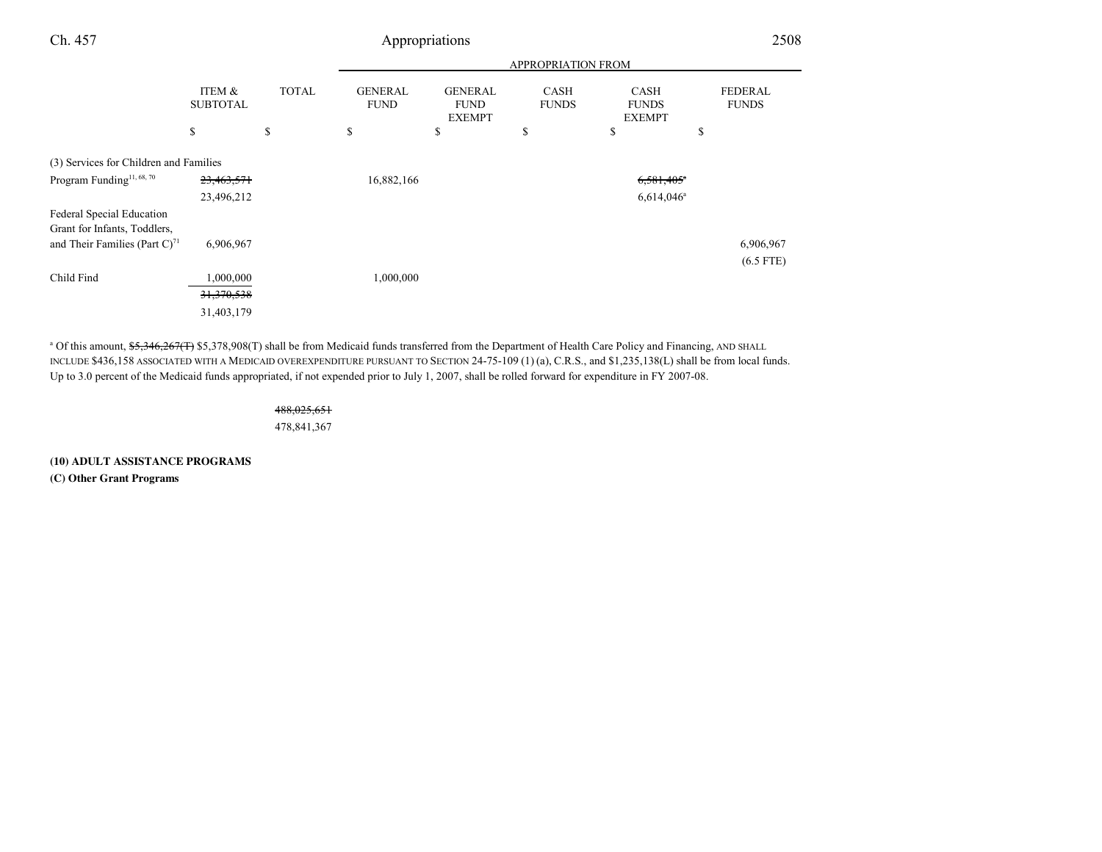| Ch. 457                                                   |                           |              |                               | Appropriations                                 |                             |                                              | 2508                    |
|-----------------------------------------------------------|---------------------------|--------------|-------------------------------|------------------------------------------------|-----------------------------|----------------------------------------------|-------------------------|
|                                                           |                           |              |                               |                                                |                             |                                              |                         |
|                                                           | ITEM &<br><b>SUBTOTAL</b> | <b>TOTAL</b> | <b>GENERAL</b><br><b>FUND</b> | <b>GENERAL</b><br><b>FUND</b><br><b>EXEMPT</b> | <b>CASH</b><br><b>FUNDS</b> | <b>CASH</b><br><b>FUNDS</b><br><b>EXEMPT</b> | FEDERAL<br><b>FUNDS</b> |
|                                                           | \$                        | \$           | \$                            | \$                                             | \$                          | \$                                           | \$                      |
| (3) Services for Children and Families                    |                           |              |                               |                                                |                             |                                              |                         |
| Program Funding <sup>11, 68, 70</sup>                     | 23,463,571                |              | 16,882,166                    |                                                |                             | $6,581,405$ <sup>*</sup>                     |                         |
|                                                           | 23,496,212                |              |                               |                                                |                             | $6,614,046$ <sup>a</sup>                     |                         |
| Federal Special Education<br>Grant for Infants, Toddlers, |                           |              |                               |                                                |                             |                                              |                         |
| and Their Families (Part $C$ ) <sup>71</sup>              | 6,906,967                 |              |                               |                                                |                             |                                              | 6,906,967               |
|                                                           |                           |              |                               |                                                |                             |                                              | $(6.5$ FTE)             |
| Child Find                                                | 1,000,000                 |              | 1,000,000                     |                                                |                             |                                              |                         |
|                                                           | 31,370,538                |              |                               |                                                |                             |                                              |                         |
|                                                           | 31,403,179                |              |                               |                                                |                             |                                              |                         |

<sup>a</sup> Of this amount, \$5,346,267(T) \$5,378,908(T) shall be from Medicaid funds transferred from the Department of Health Care Policy and Financing, AND SHALL INCLUDE \$436,158 ASSOCIATED WITH A MEDICAID OVEREXPENDITURE PURSUANT TO SECTION 24-75-109 (1) (a), C.R.S., and \$1,235,138(L) shall be from local funds. Up to 3.0 percent of the Medicaid funds appropriated, if not expended prior to July 1, 2007, shall be rolled forward for expenditure in FY 2007-08.

## 488,025,651478,841,367

**(10) ADULT ASSISTANCE PROGRAMS(C) Other Grant Programs**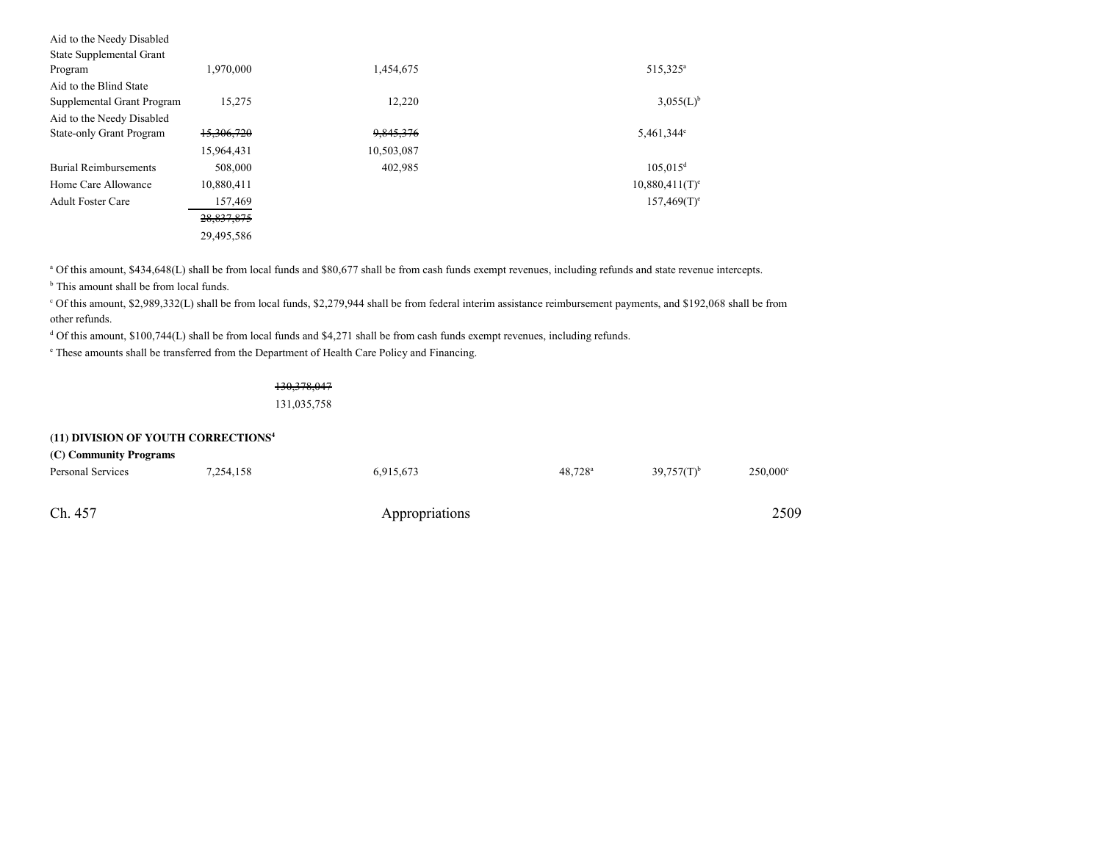| Aid to the Needy Disabled       |            |            |                               |
|---------------------------------|------------|------------|-------------------------------|
| State Supplemental Grant        |            |            |                               |
| Program                         | 1,970,000  | 1,454,675  | 515,325 <sup>a</sup>          |
| Aid to the Blind State          |            |            |                               |
| Supplemental Grant Program      | 15.275     | 12,220     | $3,055(L)^{b}$                |
| Aid to the Needy Disabled       |            |            |                               |
| <b>State-only Grant Program</b> | 15,306,720 | 9,845,376  | 5,461,344 $\degree$           |
|                                 | 15,964,431 | 10,503,087 |                               |
| <b>Burial Reimbursements</b>    | 508,000    | 402,985    | $105,015^d$                   |
| Home Care Allowance             | 10,880,411 |            | $10,880,411$ (T) <sup>e</sup> |
| <b>Adult Foster Care</b>        | 157,469    |            | $157,469(T)$ <sup>e</sup>     |
|                                 | 28,837,875 |            |                               |
|                                 | 29,495,586 |            |                               |

<sup>a</sup> Of this amount, \$434,648(L) shall be from local funds and \$80,677 shall be from cash funds exempt revenues, including refunds and state revenue intercepts.

<sup>b</sup> This amount shall be from local funds.

<sup>c</sup> Of this amount, \$2,989,332(L) shall be from local funds, \$2,279,944 shall be from federal interim assistance reimbursement payments, and \$192,068 shall be from other refunds.

<sup>d</sup> Of this amount, \$100,744(L) shall be from local funds and \$4,271 shall be from cash funds exempt revenues, including refunds.

e These amounts shall be transferred from the Department of Health Care Policy and Financing.

130,378,047131,035,758

#### **(11) DIVISION OF YOUTH CORRECTIONS<sup>4</sup> (C) Community Programs**

| (C) Community Programs |           |                |                  |                 |          |
|------------------------|-----------|----------------|------------------|-----------------|----------|
| Personal Services      | 7,254,158 | 6,915,673      | $48,728^{\rm a}$ | $39.757(T)^{b}$ | 250,000° |
| Ch. 457                |           | Appropriations |                  |                 | 2509     |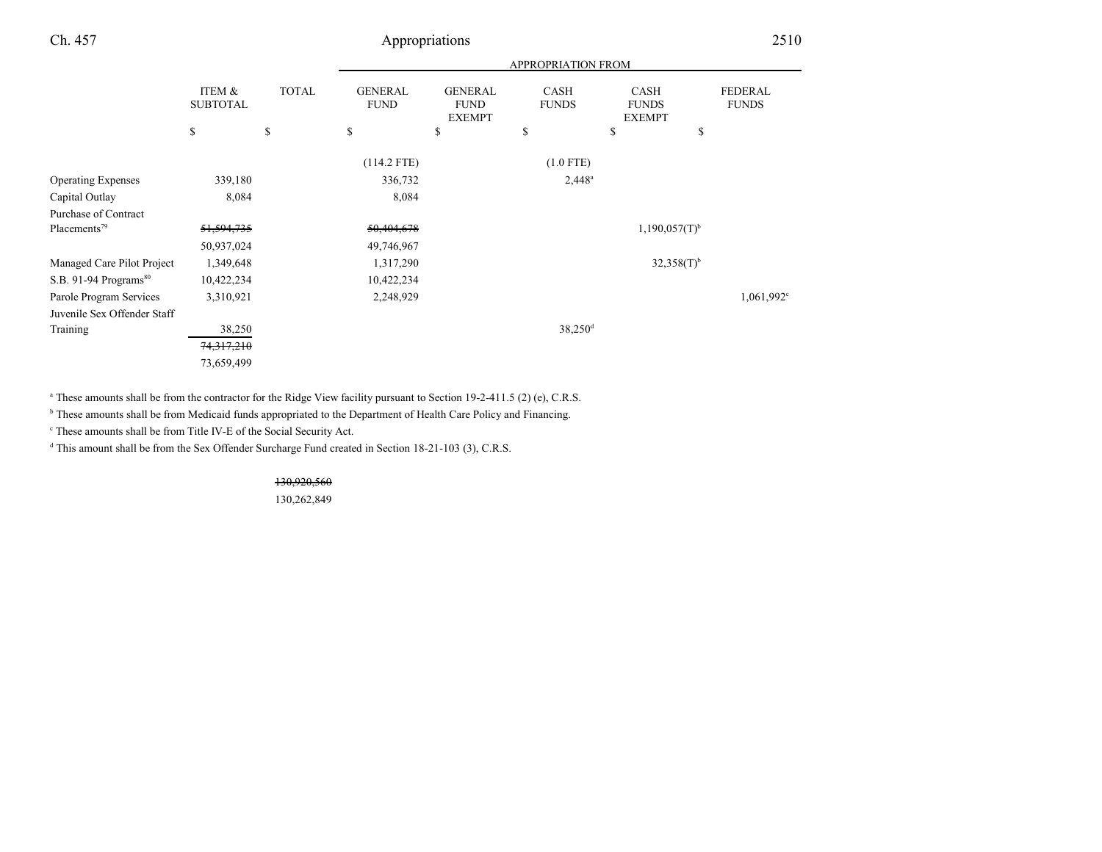|                                   |                                      |              | <b>APPROPRIATION FROM</b>     |                                                |                             |                                              |    |                                |
|-----------------------------------|--------------------------------------|--------------|-------------------------------|------------------------------------------------|-----------------------------|----------------------------------------------|----|--------------------------------|
|                                   | <b>ITEM &amp;</b><br><b>SUBTOTAL</b> | <b>TOTAL</b> | <b>GENERAL</b><br><b>FUND</b> | <b>GENERAL</b><br><b>FUND</b><br><b>EXEMPT</b> | <b>CASH</b><br><b>FUNDS</b> | <b>CASH</b><br><b>FUNDS</b><br><b>EXEMPT</b> |    | <b>FEDERAL</b><br><b>FUNDS</b> |
|                                   | $\mathbb{S}$                         | \$           | \$                            | \$                                             | \$                          | \$                                           | \$ |                                |
|                                   |                                      |              | $(114.2$ FTE)                 |                                                | $(1.0$ FTE)                 |                                              |    |                                |
| <b>Operating Expenses</b>         | 339,180                              |              | 336,732                       |                                                | $2,448^a$                   |                                              |    |                                |
| Capital Outlay                    | 8,084                                |              | 8,084                         |                                                |                             |                                              |    |                                |
| Purchase of Contract              |                                      |              |                               |                                                |                             |                                              |    |                                |
| Placements <sup>79</sup>          | 51,594,735                           |              | 50,404,678                    |                                                |                             | $1,190,057(T)$ <sup>b</sup>                  |    |                                |
|                                   | 50,937,024                           |              | 49,746,967                    |                                                |                             |                                              |    |                                |
| Managed Care Pilot Project        | 1,349,648                            |              | 1,317,290                     |                                                |                             | $32,358(T)$ <sup>b</sup>                     |    |                                |
| S.B. 91-94 Programs <sup>80</sup> | 10,422,234                           |              | 10,422,234                    |                                                |                             |                                              |    |                                |
| Parole Program Services           | 3,310,921                            |              | 2,248,929                     |                                                |                             |                                              |    | 1,061,992 <sup>c</sup>         |
| Juvenile Sex Offender Staff       |                                      |              |                               |                                                |                             |                                              |    |                                |
| Training                          | 38,250                               |              |                               |                                                | 38,250 <sup>d</sup>         |                                              |    |                                |
|                                   | 74, 317, 210                         |              |                               |                                                |                             |                                              |    |                                |
|                                   | 73,659,499                           |              |                               |                                                |                             |                                              |    |                                |

<sup>a</sup> These amounts shall be from the contractor for the Ridge View facility pursuant to Section 19-2-411.5 (2) (e), C.R.S.

<sup>b</sup> These amounts shall be from Medicaid funds appropriated to the Department of Health Care Policy and Financing.

c These amounts shall be from Title IV-E of the Social Security Act.

<sup>d</sup> This amount shall be from the Sex Offender Surcharge Fund created in Section 18-21-103 (3), C.R.S.

130,920,560

130,262,849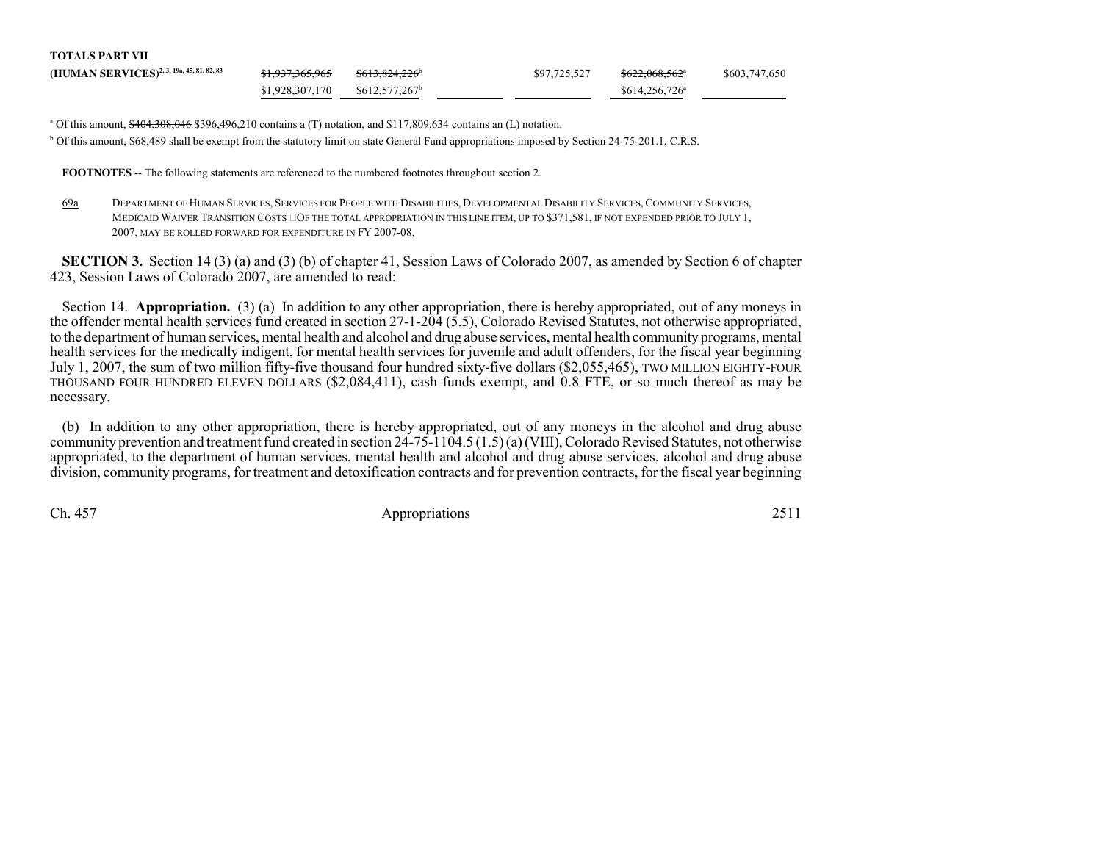| <b>TOTALS PART VII</b>                                |                            |                            |              |                            |               |
|-------------------------------------------------------|----------------------------|----------------------------|--------------|----------------------------|---------------|
| (HUMAN SERVICES) <sup>2, 3, 19a, 45, 81, 82, 83</sup> | <del>\$1,937,365,965</del> | <del>\$613,824,226</del>   | \$97,725,527 | <del>\$622,068,562</del> * | \$603,747,650 |
|                                                       | \$1,928,307,170            | \$612,577,267 <sup>b</sup> |              | $$614,256,726^{\circ}$     |               |

<sup>a</sup> Of this amount,  $\frac{$404,308,046}{9,396,496,210}$  contains a (T) notation, and \$117,809,634 contains an (L) notation. b Of this amount, \$68,489 shall be exempt from the statutory limit on state General Fund appropriations imposed by Section 24-75-201.1, C.R.S.

**FOOTNOTES** -- The following statements are referenced to the numbered footnotes throughout section 2.

69a <sup>D</sup>EPARTMENT OF HUMAN SERVICES, <sup>S</sup>ERVICES FOR PEOPLE WITH DISABILITIES, <sup>D</sup>EVELOPMENTAL DISABILITY SERVICES, <sup>C</sup>OMMUNITY SERVICES, MEDICAID WAIVER TRANSITION COSTS OF THE TOTAL APPROPRIATION IN THIS LINE ITEM, UP TO \$371,581, IF NOT EXPENDED PRIOR TO JULY 1,2007, MAY BE ROLLED FORWARD FOR EXPENDITURE IN FY 2007-08.

**SECTION 3.** Section 14 (3) (a) and (3) (b) of chapter 41, Session Laws of Colorado 2007, as amended by Section 6 of chapter 423, Session Laws of Colorado 2007, are amended to read:

Section 14. **Appropriation.** (3) (a) In addition to any other appropriation, there is hereby appropriated, out of any moneys in the offender mental health services fund created in section 27-1-204 (5.5), Colorado Revised Statutes, not otherwise appropriated, to the department of human services, mental health and alcohol and drug abuse services, mental health community programs, mental health services for the medically indigent, for mental health services for juvenile and adult offenders, for the fiscal year beginningJuly 1, 2007, <del>the sum of two million fifty-five thousand four hundred sixty-five dollars (\$2,055,465),</del> TWO MILLION EIGHTY-FOUR THOUSAND FOUR HUNDRED ELEVEN DOLLARS (\$2,084,411), cash funds exempt, and 0.8 FTE, or so much thereof as may benecessary.

(b) In addition to any other appropriation, there is hereby appropriated, out of any moneys in the alcohol and drug abuse community prevention and treatment fund created in section 24-75-1104.5 (1.5) (a) (VIII), Colorado Revised Statutes, not otherwise appropriated, to the department of human services, mental health and alcohol and drug abuse services, alcohol and drug abusedivision, community programs, for treatment and detoxification contracts and for prevention contracts, for the fiscal year beginning

Ch. 457